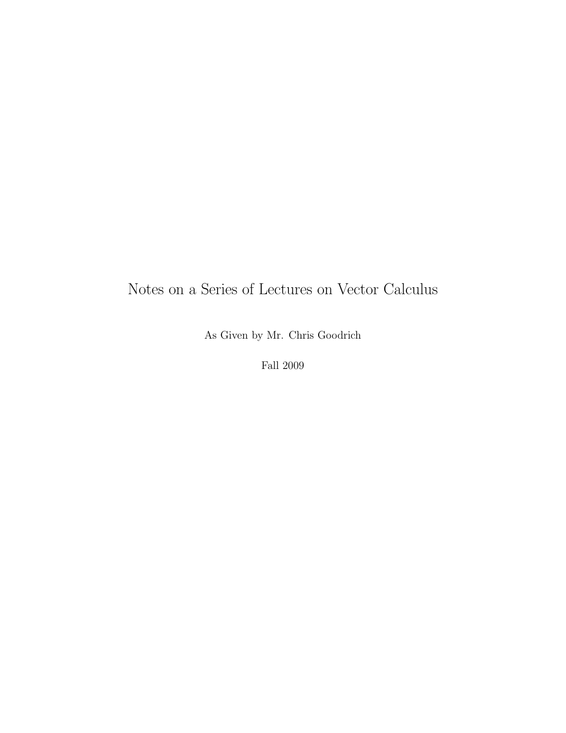# Notes on a Series of Lectures on Vector Calculus

As Given by Mr. Chris Goodrich

Fall 2009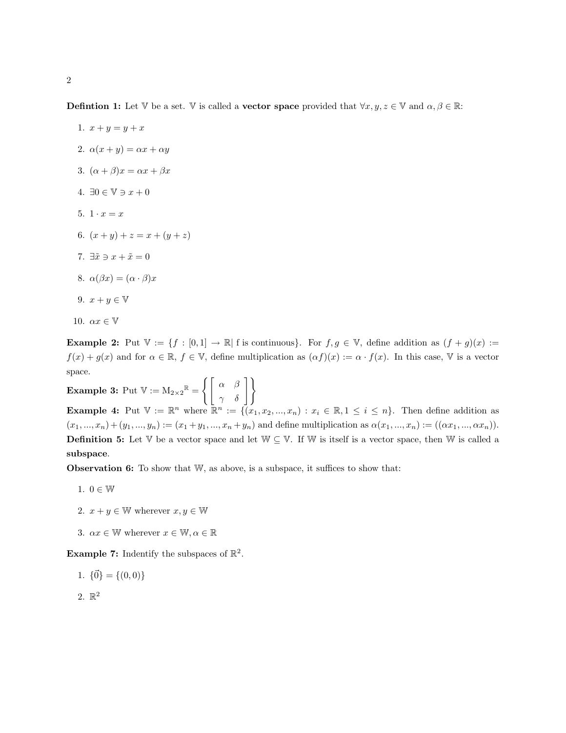**Defintion 1:** Let V be a set. V is called a **vector space** provided that  $\forall x, y, z \in \mathbb{V}$  and  $\alpha, \beta \in \mathbb{R}$ :

1.  $x + y = y + x$ 2.  $\alpha(x+y) = \alpha x + \alpha y$ 3.  $(\alpha + \beta)x = \alpha x + \beta x$ 4.  $\exists 0 \in \mathbb{V} \ni x + 0$ 5.  $1 \cdot x = x$ 6.  $(x + y) + z = x + (y + z)$ 7.  $\exists \tilde{x} \ni x + \tilde{x} = 0$ 8.  $\alpha(\beta x) = (\alpha \cdot \beta)x$ 9.  $x + y \in V$ 10.  $\alpha x \in \mathbb{V}$ 

**Example 2:** Put  $\mathbb{V} := \{f : [0,1] \to \mathbb{R} \mid f \text{ is continuous}\}\.$  For  $f, g \in \mathbb{V}$ , define addition as  $(f + g)(x) :=$  $f(x) + g(x)$  and for  $\alpha \in \mathbb{R}$ ,  $f \in \mathbb{V}$ , define multiplication as  $(\alpha f)(x) := \alpha \cdot f(x)$ . In this case, V is a vector space.

Example 3: Put  $\mathbb{V}:=\mathrm{M}_{2\times 2}^{\mathbb{R}}=\left\{\left[\begin{array}{cc} \alpha & \beta \ \gamma & \delta \end{array}\right]\right\}$ **Example 4:** Put  $V := \mathbb{R}^n$  where  $\mathbb{R}^n := \{(x_1, x_2, ..., x_n) : x_i \in \mathbb{R}, 1 \le i \le n\}.$  Then define addition as  $(x_1, ..., x_n) + (y_1, ..., y_n) := (x_1 + y_1, ..., x_n + y_n)$  and define multiplication as  $\alpha(x_1, ..., x_n) := ((\alpha x_1, ..., \alpha x_n))$ . **Definition 5:** Let V be a vector space and let  $\mathbb{W} \subseteq \mathbb{V}$ . If W is itself is a vector space, then W is called a subspace.

**Observation 6:** To show that  $W$ , as above, is a subspace, it suffices to show that:

- 1.  $0 \in \mathbb{W}$
- 2.  $x + y \in \mathbb{W}$  wherever  $x, y \in \mathbb{W}$
- 3.  $\alpha x \in \mathbb{W}$  wherever  $x \in \mathbb{W}, \alpha \in \mathbb{R}$

**Example 7:** Indentify the subspaces of  $\mathbb{R}^2$ .

- 1.  $\{\vec{0}\} = \{(0, 0)\}\$
- 2.  $\mathbb{R}^2$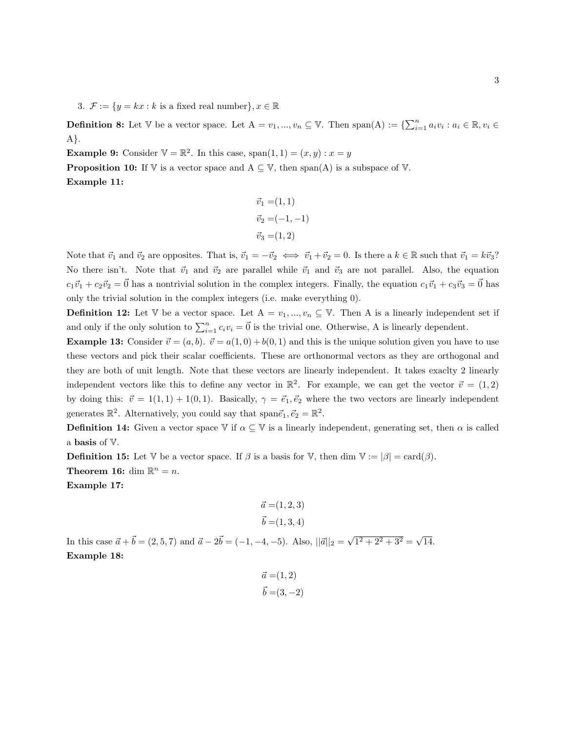3.  $\mathcal{F} := \{y = kx : k \text{ is a fixed real number}\}, x \in \mathbb{R}$ 

**Definition 8:** Let  $\mathbb{V}$  be a vector space. Let  $A = v_1, ..., v_n \subseteq \mathbb{V}$ . Then span(A) :=  $\{\sum_{i=1}^n a_i v_i : a_i \in \mathbb{R}, v_i \in \mathbb{V}\}$ A}.

**Example 9:** Consider  $V = \mathbb{R}^2$ . In this case, span $(1, 1) = (x, y) : x = y$ 

**Proposition 10:** If V is a vector space and  $A \subseteq V$ , then span(A) is a subspace of V. Example 11:

$$
\vec{v}_1 = (1, 1) \n\vec{v}_2 = (-1, -1) \n\vec{v}_3 = (1, 2)
$$

Note that  $\vec{v}_1$  and  $\vec{v}_2$  are opposites. That is,  $\vec{v}_1 = -\vec{v}_2 \iff \vec{v}_1 + \vec{v}_2 = 0$ . Is there a  $k \in \mathbb{R}$  such that  $\vec{v}_1 = k\vec{v}_3$ ? No there isn't. Note that  $\vec{v}_1$  and  $\vec{v}_2$  are parallel while  $\vec{v}_1$  and  $\vec{v}_3$  are not parallel. Also, the equation  $c_1\vec{v}_1 + c_2\vec{v}_2 = \vec{0}$  has a nontrivial solution in the complex integers. Finally, the equation  $c_1\vec{v}_1 + c_3\vec{v}_3 = \vec{0}$  has only the trivial solution in the complex integers (i.e. make everything 0).

**Definition 12:** Let  $\mathbb{V}$  be a vector space. Let  $A = v_1, ..., v_n \subseteq \mathbb{V}$ . Then A is a linearly independent set if and only if the only solution to  $\sum_{i=1}^{n} c_i v_i = \vec{0}$  is the trivial one. Otherwise, A is linearly dependent.

**Example 13:** Consider  $\vec{v} = (a, b)$ .  $\vec{v} = a(1, 0) + b(0, 1)$  and this is the unique solution given you have to use these vectors and pick their scalar coefficients. These are orthonormal vectors as they are orthogonal and they are both of unit length. Note that these vectors are linearly independent. It takes exaclty 2 linearly independent vectors like this to define any vector in  $\mathbb{R}^2$ . For example, we can get the vector  $\vec{v} = (1,2)$ by doing this:  $\vec{v} = 1(1, 1) + 1(0, 1)$ . Basically,  $\gamma = \vec{e_1}, \vec{e_2}$  where the two vectors are linearly independent generates  $\mathbb{R}^2$ . Alternatively, you could say that span $\vec{e}_1, \vec{e}_2 = \mathbb{R}^2$ .

**Definition 14:** Given a vector space  $\mathbb{V}$  if  $\alpha \subseteq \mathbb{V}$  is a linearly independent, generating set, then  $\alpha$  is called a basis of V.

**Definition 15:** Let V be a vector space. If  $\beta$  is a basis for V, then dim  $V := |\beta| = \text{card}(\beta)$ .

**Theorem 16:** dim  $\mathbb{R}^n = n$ .

Example 17:

$$
\vec{a} = (1, 2, 3)
$$
  

$$
\vec{b} = (1, 3, 4)
$$

In this case  $\vec{a} + \vec{b} = (2, 5, 7)$  and  $\vec{a} - 2\vec{b} = (-1, -4, -5)$ . Also,  $||\vec{a}||_2 = \sqrt{2}$  $\overline{1^2 + 2^2 + 3^2} = \sqrt{}$ 14. Example 18:

$$
\vec{a} = (1, 2)
$$
  

$$
\vec{b} = (3, -2)
$$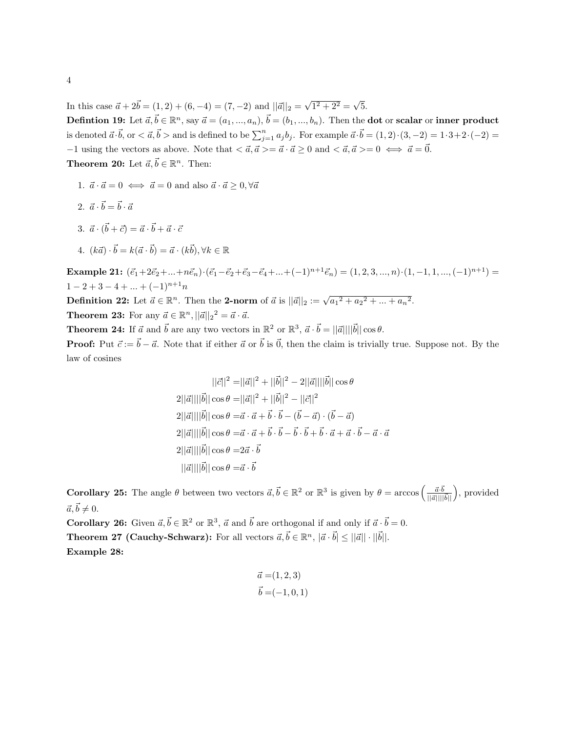In this case  $\vec{a} + 2\vec{b} = (1, 2) + (6, -4) = (7, -2)$  and  $||\vec{a}||_2 = \sqrt{2}$  $\sqrt{1^2 + 2^2} = \sqrt{}$ 5.

Defintion 19: Let  $\vec{a}, \vec{b} \in \mathbb{R}^n$ , say  $\vec{a} = (a_1, ..., a_n), \vec{b} = (b_1, ..., b_n)$ . Then the dot or scalar or inner product is denoted  $\vec{a} \cdot \vec{b}$ , or  $\lt \vec{a}$ ,  $\vec{b}$  > and is defined to be  $\sum_{j=1}^{n} a_j b_j$ . For example  $\vec{a} \cdot \vec{b} = (1, 2) \cdot (3, -2) = 1 \cdot 3 + 2 \cdot (-2) =$  $-1$  using the vectors as above. Note that  $\langle \vec{a}, \vec{a} \rangle = \vec{a} \cdot \vec{a} \geq 0$  and  $\langle \vec{a}, \vec{a} \rangle = 0 \iff \vec{a} = \vec{0}$ .

**Theorem 20:** Let  $\vec{a}, \vec{b} \in \mathbb{R}^n$ . Then:

- 1.  $\vec{a} \cdot \vec{a} = 0 \iff \vec{a} = 0$  and also  $\vec{a} \cdot \vec{a} > 0, \forall \vec{a}$
- 2.  $\vec{a} \cdot \vec{b} = \vec{b} \cdot \vec{a}$
- 3.  $\vec{a} \cdot (\vec{b} + \vec{c}) = \vec{a} \cdot \vec{b} + \vec{a} \cdot \vec{c}$
- 4.  $(k\vec{a}) \cdot \vec{b} = k(\vec{a} \cdot \vec{b}) = \vec{a} \cdot (k\vec{b}), \forall k \in \mathbb{R}$

Example 21:  $(\vec{e}_1+2\vec{e}_2+...+n\vec{e}_n)\cdot(\vec{e}_1-\vec{e}_2+\vec{e}_3-\vec{e}_4+...+(-1)^{n+1}\vec{e}_n)=(1, 2, 3, ..., n)\cdot(1, -1, 1, ..., (-1)^{n+1})=$  $1-2+3-4+...+(-1)^{n+1}n$ 

**Definition 22:** Let  $\vec{a} \in \mathbb{R}^n$ . Then the **2-norm** of  $\vec{a}$  is  $||\vec{a}||_2 := \sqrt{a_1^2 + a_2^2 + ... + a_n^2}$ . **Theorem 23:** For any  $\vec{a} \in \mathbb{R}^n$ ,  $||\vec{a}||_2^2 = \vec{a} \cdot \vec{a}$ .

**Theorem 24:** If  $\vec{a}$  and  $\vec{b}$  are any two vectors in  $\mathbb{R}^2$  or  $\mathbb{R}^3$ ,  $\vec{a} \cdot \vec{b} = ||\vec{a}|| ||\vec{b}|| \cos \theta$ .

**Proof:** Put  $\vec{c} := \vec{b} - \vec{a}$ . Note that if either  $\vec{a}$  or  $\vec{b}$  is  $\vec{0}$ , then the claim is trivially true. Suppose not. By the law of cosines

$$
||\vec{c}||^2 = ||\vec{a}||^2 + ||\vec{b}||^2 - 2||\vec{a}|| ||\vec{b}|| \cos \theta
$$
  
\n
$$
2||\vec{a}|| ||\vec{b}|| \cos \theta = ||\vec{a}||^2 + ||\vec{b}||^2 - ||\vec{c}||^2
$$
  
\n
$$
2||\vec{a}|| ||\vec{b}|| \cos \theta = \vec{a} \cdot \vec{a} + \vec{b} \cdot \vec{b} - (\vec{b} - \vec{a}) \cdot (\vec{b} - \vec{a})
$$
  
\n
$$
2||\vec{a}|| ||\vec{b}|| \cos \theta = \vec{a} \cdot \vec{a} + \vec{b} \cdot \vec{b} - \vec{b} \cdot \vec{b} + \vec{b} \cdot \vec{a} + \vec{a} \cdot \vec{b} - \vec{a} \cdot \vec{a}
$$
  
\n
$$
2||\vec{a}|| ||\vec{b}|| \cos \theta = 2\vec{a} \cdot \vec{b}
$$
  
\n
$$
||\vec{a}|| ||\vec{b}|| \cos \theta = \vec{a} \cdot \vec{b}
$$

**Corollary 25:** The angle  $\theta$  between two vectors  $\vec{a}, \vec{b} \in \mathbb{R}^2$  or  $\mathbb{R}^3$  is given by  $\theta = \arccos\left(\frac{\vec{a} \cdot \vec{b}}{||\vec{a}|| ||\vec{b}||}\right)$ , provided  $\vec{a}, \vec{b} \neq 0.$ 

**Corollary 26:** Given  $\vec{a}, \vec{b} \in \mathbb{R}^2$  or  $\mathbb{R}^3$ ,  $\vec{a}$  and  $\vec{b}$  are orthogonal if and only if  $\vec{a} \cdot \vec{b} = 0$ . **Theorem 27 (Cauchy-Schwarz):** For all vectors  $\vec{a}, \vec{b} \in \mathbb{R}^n$ ,  $|\vec{a} \cdot \vec{b}| \le ||\vec{a}|| \cdot ||\vec{b}||$ . Example 28:

$$
\vec{a} = (1, 2, 3) \n\vec{b} = (-1, 0, 1)
$$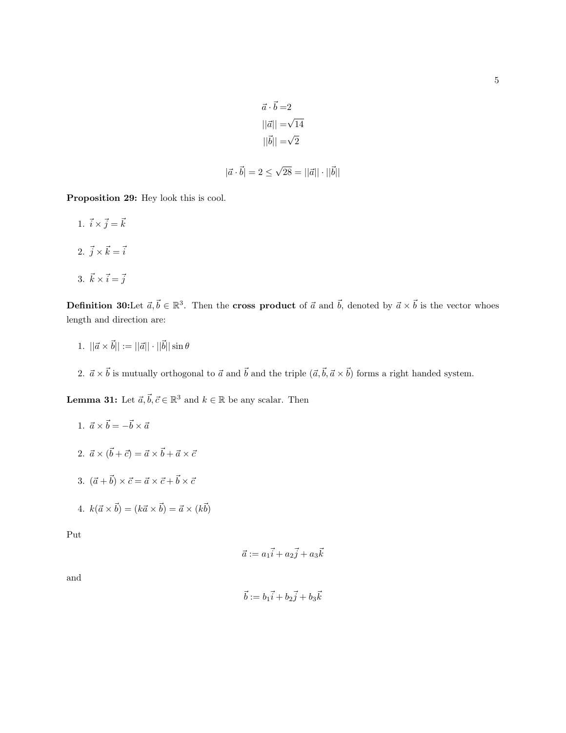$$
\vec{a} \cdot \vec{b} = 2
$$

$$
||\vec{a}|| = \sqrt{14}
$$

$$
||\vec{b}|| = \sqrt{2}
$$

$$
|\vec{a} \cdot \vec{b}| = 2 \le \sqrt{28} = ||\vec{a}|| \cdot ||\vec{b}||
$$

Proposition 29: Hey look this is cool.

1.  $\vec{i} \times \vec{j} = \vec{k}$ 2.  $\vec{j} \times \vec{k} = \vec{i}$ 3.  $\vec{k} \times \vec{i} = \vec{j}$ 

**Definition 30:**Let  $\vec{a}, \vec{b} \in \mathbb{R}^3$ . Then the **cross product** of  $\vec{a}$  and  $\vec{b}$ , denoted by  $\vec{a} \times \vec{b}$  is the vector whoes length and direction are:

- 1.  $||\vec{a} \times \vec{b}|| := ||\vec{a}|| \cdot ||\vec{b}|| \sin \theta$
- 2.  $\vec{a} \times \vec{b}$  is mutually orthogonal to  $\vec{a}$  and  $\vec{b}$  and the triple  $(\vec{a}, \vec{b}, \vec{a} \times \vec{b})$  forms a right handed system.

**Lemma 31:** Let  $\vec{a}, \vec{b}, \vec{c} \in \mathbb{R}^3$  and  $k \in \mathbb{R}$  be any scalar. Then

1. 
$$
\vec{a} \times \vec{b} = -\vec{b} \times \vec{a}
$$
  
\n2.  $\vec{a} \times (\vec{b} + \vec{c}) = \vec{a} \times \vec{b} + \vec{a} \times \vec{c}$   
\n3.  $(\vec{a} + \vec{b}) \times \vec{c} = \vec{a} \times \vec{c} + \vec{b} \times \vec{c}$ 

4. 
$$
k(\vec{a} \times \vec{b}) = (k\vec{a} \times \vec{b}) = \vec{a} \times (k\vec{b})
$$

Put

$$
\vec{a} := a_1\vec{i} + a_2\vec{j} + a_3\vec{k}
$$

and

$$
\vec{b} := b_1\vec{i} + b_2\vec{j} + b_3\vec{k}
$$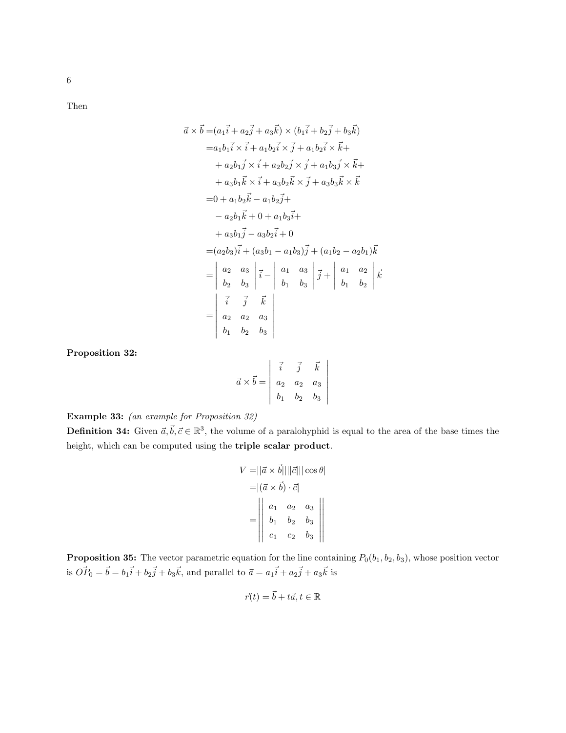6

Then

$$
\vec{a} \times \vec{b} = (a_1 \vec{i} + a_2 \vec{j} + a_3 \vec{k}) \times (b_1 \vec{i} + b_2 \vec{j} + b_3 \vec{k})
$$
  
\n
$$
= a_1 b_1 \vec{i} \times \vec{i} + a_1 b_2 \vec{i} \times \vec{j} + a_1 b_2 \vec{i} \times \vec{k} + a_2 b_1 \vec{j} \times \vec{i} + a_2 b_2 \vec{j} \times \vec{j} + a_1 b_3 \vec{j} \times \vec{k} + a_3 b_1 \vec{k} \times \vec{i} + a_3 b_2 \vec{k} \times \vec{j} + a_3 b_3 \vec{k} \times \vec{k}
$$
  
\n
$$
= 0 + a_1 b_2 \vec{k} - a_1 b_2 \vec{j} + a_3 b_3 \vec{k} \times \vec{k}
$$
  
\n
$$
= 0 + a_1 b_2 \vec{k} - a_1 b_3 \vec{j} + a_3 b_3 \vec{k} + a_3 b_1 \vec{j} - a_3 b_2 \vec{i} + 0
$$
  
\n
$$
= (a_2 b_3) \vec{i} + (a_3 b_1 - a_1 b_3) \vec{j} + (a_1 b_2 - a_2 b_1) \vec{k}
$$
  
\n
$$
= \begin{vmatrix} a_2 & a_3 \\ b_2 & b_3 \end{vmatrix} \vec{i} - \begin{vmatrix} a_1 & a_3 \\ b_1 & b_3 \end{vmatrix} \vec{j} + \begin{vmatrix} a_1 & a_2 \\ b_1 & b_2 \end{vmatrix} \vec{k}
$$
  
\n
$$
= \begin{vmatrix} \vec{i} & \vec{j} & \vec{k} \\ a_2 & a_2 & a_3 \\ b_1 & b_2 & b_3 \end{vmatrix}
$$

Proposition 32:

$$
\vec{a} \times \vec{b} = \begin{vmatrix} \vec{i} & \vec{j} & \vec{k} \\ a_2 & a_2 & a_3 \\ b_1 & b_2 & b_3 \end{vmatrix}
$$

 $\overline{\phantom{a}}$  $\overline{\phantom{a}}$  $\overline{\phantom{a}}$  $\overline{\phantom{a}}$  $\overline{\phantom{a}}$  $\overline{\phantom{a}}$ I  $\mid$ 

Example 33: (an example for Proposition 32)

**Definition 34:** Given  $\vec{a}, \vec{b}, \vec{c} \in \mathbb{R}^3$ , the volume of a paralohyphid is equal to the area of the base times the height, which can be computed using the triple scalar product.

$$
V = ||\vec{a} \times \vec{b}|| ||\vec{c}|| |\cos \theta|
$$
  
= 
$$
|(\vec{a} \times \vec{b}) \cdot \vec{c}|
$$
  
= 
$$
\begin{vmatrix} a_1 & a_2 & a_3 \\ b_1 & b_2 & b_3 \\ c_1 & c_2 & b_3 \end{vmatrix}
$$

**Proposition 35:** The vector parametric equation for the line containing  $P_0(b_1, b_2, b_3)$ , whose position vector is  $\vec{OP}_0 = \vec{b} = b_1 \vec{i} + b_2 \vec{j} + b_3 \vec{k}$ , and parallel to  $\vec{a} = a_1 \vec{i} + a_2 \vec{j} + a_3 \vec{k}$  is

$$
\vec{r}(t) = \vec{b} + t\vec{a}, t \in \mathbb{R}
$$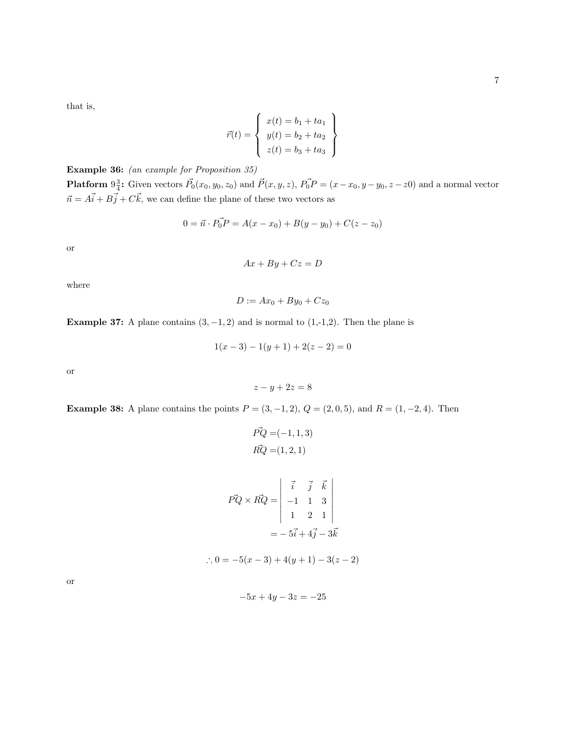that is,

$$
\vec{r}(t) = \begin{cases}\nx(t) = b_1 + ta_1 \\
y(t) = b_2 + ta_2 \\
z(t) = b_3 + ta_3\n\end{cases}
$$

Example 36: (an example for Proposition 35) **Platform**  $9\frac{3}{4}$ : Given vectors  $\vec{P}_0(x_0, y_0, z_0)$  and  $\vec{P}(x, y, z)$ ,  $\vec{P}_0 \vec{P} = (x - x_0, y - y_0, z - z_0)$  and a normal vector  $\vec{n} = A\vec{i} + B\vec{j} + C\vec{k}$ , we can define the plane of these two vectors as

$$
0 = \vec{n} \cdot \vec{P_0 P} = A(x - x_0) + B(y - y_0) + C(z - z_0)
$$

or

 $Ax + By + Cz = D$ 

where

$$
D := Ax_0 + By_0 + Cz_0
$$

Example 37: A plane contains  $(3, -1, 2)$  and is normal to  $(1, -1, 2)$ . Then the plane is

$$
1(x-3) - 1(y+1) + 2(z-2) = 0
$$

or

$$
z - y + 2z = 8
$$

**Example 38:** A plane contains the points  $P = (3, -1, 2), Q = (2, 0, 5),$  and  $R = (1, -2, 4)$ . Then

$$
\vec{PQ} = (-1, 1, 3)
$$
  
\n
$$
\vec{RQ} = (1, 2, 1)
$$
  
\n
$$
\vec{PQ} \times \vec{RQ} = \begin{vmatrix} \vec{i} & \vec{j} & \vec{k} \\ -1 & 1 & 3 \\ 1 & 2 & 1 \end{vmatrix}
$$
  
\n
$$
= -5\vec{i} + 4\vec{j} - 3\vec{k}
$$
  
\n∴ 0 = -5(x - 3) + 4(y + 1) - 3(z - 2)

or

$$
-5x + 4y - 3z = -25
$$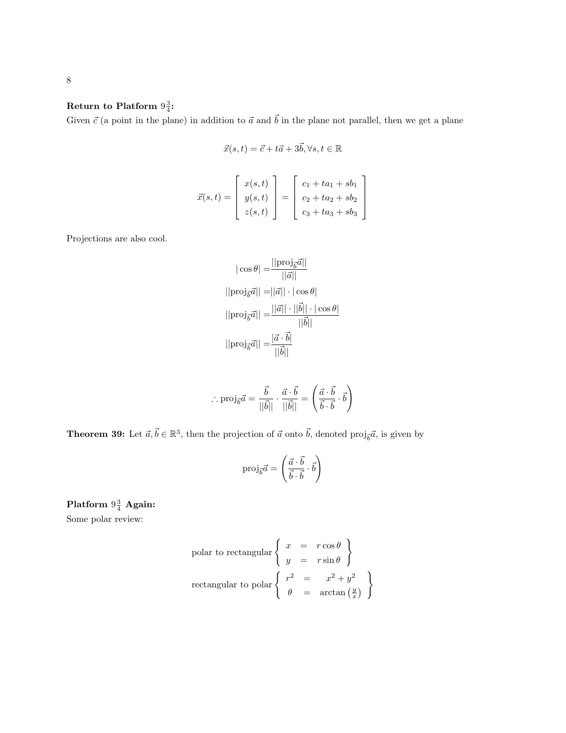## Return to Platform  $9\frac{3}{4}$ :

Given  $\vec{c}$  (a point in the plane) in addition to  $\vec{a}$  and  $\vec{b}$  in the plane not parallel, then we get a plane

$$
\vec{x}(s,t) = \vec{c} + t\vec{a} + 3\vec{b}, \forall s, t \in \mathbb{R}
$$

$$
\vec{x}(s,t) = \begin{bmatrix} x(s,t) \\ y(s,t) \\ z(s,t) \end{bmatrix} = \begin{bmatrix} c_1 + ta_1 + sb_1 \\ c_2 + ta_2 + sb_2 \\ c_3 + ta_3 + sb_3 \end{bmatrix}
$$

Projections are also cool.

$$
|\cos \theta| = \frac{||\text{proj}_{\vec{b}}\vec{a}||}{||\vec{a}||}
$$
  
||proj<sub>*b*</sub> $\vec{a}|| = ||\vec{a}|| \cdot |\cos \theta|$   
||proj<sub>*b*</sub> $\vec{a}|| = \frac{||\vec{a}|| \cdot ||\vec{b}|| \cdot |\cos \theta|}{||\vec{b}||}$   
||proj<sub>*b*</sub> $\vec{a}|| = \frac{|\vec{a} \cdot \vec{b}|}{||\vec{b}||}$ 

$$
\therefore \operatorname{proj}_{\vec{b}} \vec{a} = \frac{\vec{b}}{||\vec{b}||} \cdot \frac{\vec{a} \cdot \vec{b}}{||\vec{b}||} = \left(\frac{\vec{a} \cdot \vec{b}}{\vec{b} \cdot \vec{b}} \cdot \vec{b}\right)
$$

**Theorem 39:** Let  $\vec{a}, \vec{b} \in \mathbb{R}^3$ , then the projection of  $\vec{a}$  onto  $\vec{b}$ , denoted proj<sub> $\vec{b}$ </sub> $\vec{a}$ , is given by

$$
\text{proj}_{\vec{b}}\vec{a} = \left(\frac{\vec{a}\cdot\vec{b}}{\vec{b}\cdot\vec{b}}\cdot\vec{b}\right)
$$

Platform  $9\frac{3}{4}$  Again:

Some polar review:

polar to rectangular 
$$
\begin{cases} x = r \cos \theta \\ y = r \sin \theta \end{cases}
$$

\nrectangular to polar 
$$
\begin{cases} r^2 = x^2 + y^2 \\ \theta = \arctan\left(\frac{y}{x}\right) \end{cases}
$$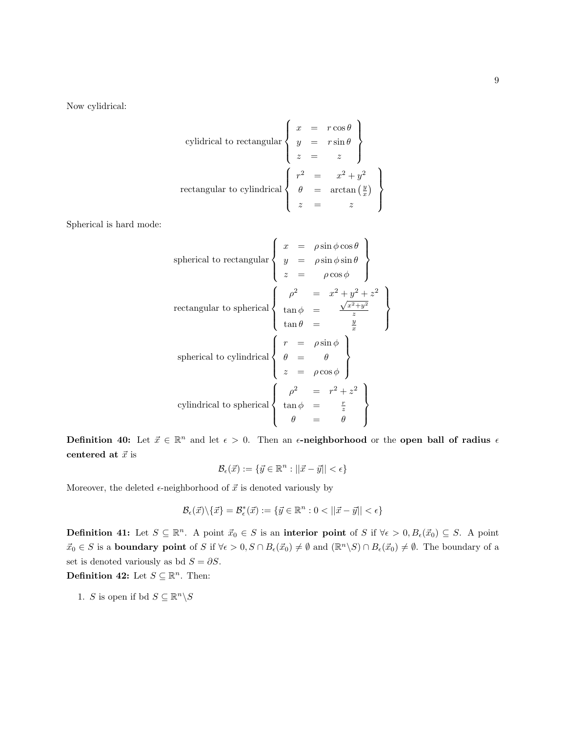Now cylidrical:

cylidrical to rectangular 
$$
\begin{cases}\nx = r \cos \theta \\
y = r \sin \theta \\
z = z\n\end{cases}
$$
\nrectangular to cylindrical 
$$
\begin{cases}\nr^2 = x^2 + y^2 \\
\theta = \arctan(\frac{y}{x}) \\
z = z\n\end{cases}
$$

Spherical is hard mode:

spherical to rectangular 
$$
\begin{cases}\nx = \rho \sin \phi \cos \theta \\
y = \rho \sin \phi \sin \theta \\
z = \rho \cos \phi\n\end{cases}
$$
\nrectangular to spherical 
$$
\begin{cases}\n\rho^2 = x^2 + y^2 + z^2 \\
\tan \phi = \frac{y}{z} \\
\tan \theta = \frac{y}{x}\n\end{cases}
$$
\nspherical to cylindrical 
$$
\begin{cases}\nr = \rho \sin \phi \\
\theta = \theta \\
z = \rho \cos \phi\n\end{cases}
$$
\ncylindrical to spherical 
$$
\begin{cases}\n\rho^2 = r^2 + z^2 \\
\tan \phi = \frac{r}{z} \\
\theta = \theta\n\end{cases}
$$

Definition 40: Let  $\vec{x} \in \mathbb{R}^n$  and let  $\epsilon > 0$ . Then an  $\epsilon$ -neighborhood or the open ball of radius  $\epsilon$ centered at  $\vec{x}$  is

$$
\mathcal{B}_{\epsilon}(\vec{x}) := \{ \vec{y} \in \mathbb{R}^n : ||\vec{x} - \vec{y}|| < \epsilon \}
$$

Moreover, the deleted  $\epsilon$ -neighborhood of  $\vec{x}$  is denoted variously by

$$
\mathcal{B}_{\epsilon}(\vec{x})\backslash\{\vec{x}\}=\mathcal{B}_{\epsilon}^{*}(\vec{x}):=\{\vec{y}\in\mathbb{R}^{n}:0<||\vec{x}-\vec{y}||<\epsilon\}
$$

**Definition 41:** Let  $S \subseteq \mathbb{R}^n$ . A point  $\vec{x}_0 \in S$  is an interior point of S if  $\forall \epsilon > 0, B_{\epsilon}(\vec{x}_0) \subseteq S$ . A point  $\vec{x}_0 \in S$  is a **boundary point** of S if  $\forall \epsilon > 0$ ,  $S \cap B_{\epsilon}(\vec{x}_0) \neq \emptyset$  and  $(\mathbb{R}^n \backslash S) \cap B_{\epsilon}(\vec{x}_0) \neq \emptyset$ . The boundary of a set is denoted variously as bd  $S = \partial S$ .

Definition 42: Let  $S \subseteq \mathbb{R}^n$ . Then:

1. S is open if bd  $S \subseteq \mathbb{R}^n \backslash S$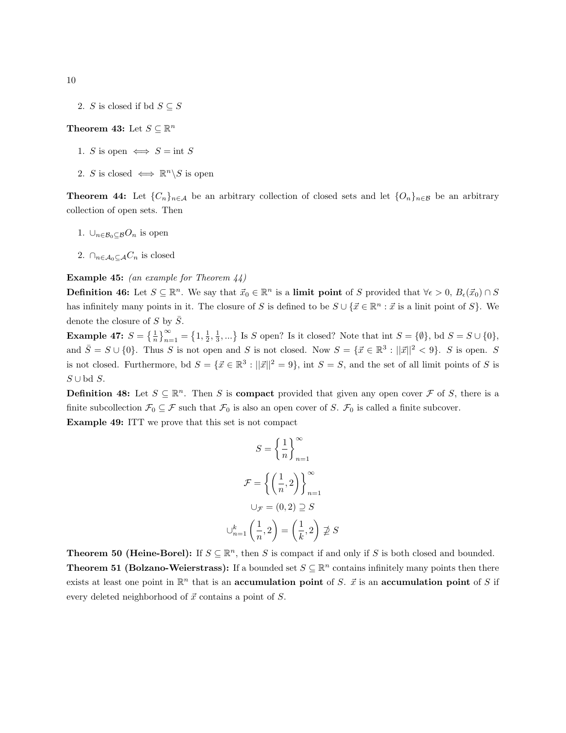2. S is closed if bd  $S \subseteq S$ 

## Theorem 43: Let  $S \subseteq \mathbb{R}^n$

- 1. S is open  $\iff$  S = int S
- 2. S is closed  $\iff \mathbb{R}^n \backslash S$  is open

**Theorem 44:** Let  $\{C_n\}_{n\in\mathcal{A}}$  be an arbitrary collection of closed sets and let  $\{O_n\}_{n\in\mathcal{B}}$  be an arbitrary collection of open sets. Then

- 1.  $\bigcup_{n\in\mathcal{B}_0\subset\mathcal{B}}O_n$  is open
- 2.  $\bigcap_{n \in A_0 \subset A} C_n$  is closed

#### Example 45: (an example for Theorem 44)

**Definition 46:** Let  $S \subseteq \mathbb{R}^n$ . We say that  $\vec{x}_0 \in \mathbb{R}^n$  is a **limit point** of S provided that  $\forall \epsilon > 0$ ,  $B_{\epsilon}(\vec{x}_0) \cap S$ has infinitely many points in it. The closure of S is defined to be  $S \cup {\mathcal{X} \in \mathbb{R}^n : \vec{x}$  is a linit point of S. denote the closure of S by  $\overline{S}$ .

**Example 47:**  $S = \left\{\frac{1}{n}\right\}_{n=1}^{\infty} = \left\{1, \frac{1}{2}, \frac{1}{3}, ...\right\}$  Is S open? Is it closed? Note that int  $S = \{\emptyset\}$ , bd  $S = S \cup \{0\}$ , and  $\overline{S} = S \cup \{0\}$ . Thus S is not open and S is not closed. Now  $S = \{\vec{x} \in \mathbb{R}^3 : ||\vec{x}||^2 < 9\}$ . S is open. S is not closed. Furthermore, bd  $S = \{ \vec{x} \in \mathbb{R}^3 : ||\vec{x}||^2 = 9 \}$ , int  $S = S$ , and the set of all limit points of S is  $S ∪ bd S.$ 

**Definition 48:** Let  $S \subseteq \mathbb{R}^n$ . Then S is **compact** provided that given any open cover F of S, there is a finite subcollection  $\mathcal{F}_0 \subseteq \mathcal{F}$  such that  $\mathcal{F}_0$  is also an open cover of S.  $\mathcal{F}_0$  is called a finite subcover.

Example 49: ITT we prove that this set is not compact

$$
S = \left\{ \frac{1}{n} \right\}_{n=1}^{\infty}
$$

$$
\mathcal{F} = \left\{ \left( \frac{1}{n}, 2 \right) \right\}_{n=1}^{\infty}
$$

$$
\bigcup_{\mathcal{F}} = (0, 2) \supseteq S
$$

$$
\bigcup_{n=1}^{k} \left( \frac{1}{n}, 2 \right) = \left( \frac{1}{k}, 2 \right) \not\supseteq S
$$

**Theorem 50 (Heine-Borel):** If  $S \subseteq \mathbb{R}^n$ , then S is compact if and only if S is both closed and bounded. **Theorem 51 (Bolzano-Weierstrass):** If a bounded set  $S \subseteq \mathbb{R}^n$  contains infinitely many points then there exists at least one point in  $\mathbb{R}^n$  that is an accumulation point of S.  $\vec{x}$  is an accumulation point of S if every deleted neighborhood of  $\vec{x}$  contains a point of  $S$ .

10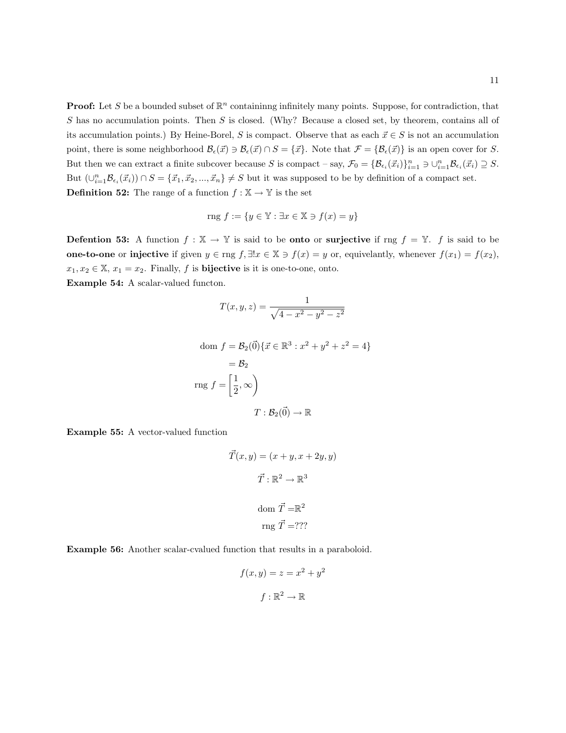**Proof:** Let S be a bounded subset of  $\mathbb{R}^n$  containinng infinitely many points. Suppose, for contradiction, that S has no accumulation points. Then S is closed. (Why? Because a closed set, by theorem, contains all of its accumulation points.) By Heine-Borel, S is compact. Observe that as each  $\vec{x} \in S$  is not an accumulation point, there is some neighborhood  $\mathcal{B}_{\epsilon}(\vec{x}) \ni \mathcal{B}_{\epsilon}(\vec{x}) \cap S = {\vec{x}}$ . Note that  $\mathcal{F} = {\mathcal{B}_{\epsilon}(\vec{x})}$  is an open cover for S. But then we can extract a finite subcover because S is compact – say,  $\mathcal{F}_0 = \{\mathcal{B}_{\epsilon_i}(\vec{x}_i)\}_{i=1}^n \ni \cup_{i=1}^n \mathcal{B}_{\epsilon_i}(\vec{x}_i) \supseteq S$ . But  $(\cup_{i=1}^n \mathcal{B}_{\epsilon_i}(\vec{x}_i)) \cap S = {\vec{x}_1, \vec{x}_2, ..., \vec{x}_n} \neq S$  but it was supposed to be by definition of a compact set. **Definition 52:** The range of a function  $f : \mathbb{X} \to \mathbb{Y}$  is the set

$$
rng f := \{ y \in \mathbb{Y} : \exists x \in \mathbb{X} \ni f(x) = y \}
$$

**Defention 53:** A function  $f : \mathbb{X} \to \mathbb{Y}$  is said to be **onto** or **surjective** if rng  $f = \mathbb{Y}$ . f is said to be **one-to-one** or **injective** if given  $y \in \text{rng } f$ ,  $\exists ! x \in \mathbb{X} \ni f(x) = y$  or, equivelantly, whenever  $f(x_1) = f(x_2)$ ,  $x_1, x_2 \in \mathbb{X}, x_1 = x_2$ . Finally, f is **bijective** is it is one-to-one, onto. Example 54: A scalar-valued functon.

$$
T(x, y, z) = \frac{1}{\sqrt{4 - x^2 - y^2 - z^2}}
$$

dom 
$$
f = \mathcal{B}_2(\vec{0}) \{ \vec{x} \in \mathbb{R}^3 : x^2 + y^2 + z^2 = 4 \}
$$
  
\n $= \mathcal{B}_2$   
\n $\text{rng } f = \left[ \frac{1}{2}, \infty \right)$   
\n $T : \mathcal{B}_2(\vec{0}) \to \mathbb{R}$ 

Example 55: A vector-valued function

$$
\vec{T}(x, y) = (x + y, x + 2y, y)
$$

$$
\vec{T} : \mathbb{R}^2 \to \mathbb{R}^3
$$

$$
\text{dom } \vec{T} = \mathbb{R}^2
$$

$$
\text{rng } \vec{T} = ??
$$

Example 56: Another scalar-cvalued function that results in a paraboloid.

$$
f(x, y) = z = x^2 + y^2
$$

$$
f: \mathbb{R}^2 \to \mathbb{R}
$$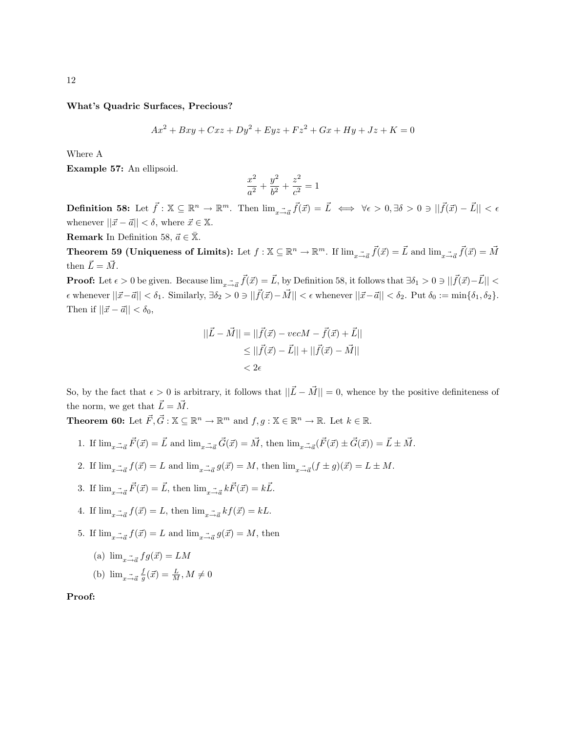What's Quadric Surfaces, Precious?

$$
Ax^{2} + Bxy + Cxz + Dy^{2} + Eyz + Fz^{2} + Gx + Hy + Jz + K = 0
$$

Where A

Example 57: An ellipsoid.

$$
\frac{x^2}{a^2} + \frac{y^2}{b^2} + \frac{z^2}{c^2} = 1
$$

**Definition 58:** Let  $\vec{f} : \mathbb{X} \subseteq \mathbb{R}^n \to \mathbb{R}^m$ . Then  $\lim_{x \to \vec{a}} \vec{f}(\vec{x}) = \vec{L} \iff \forall \epsilon > 0, \exists \delta > 0 \ni ||\vec{f}(\vec{x}) - \vec{L}|| < \epsilon$ whenever  $||\vec{x} - \vec{a}|| < \delta$ , where  $\vec{x} \in \mathbb{X}$ .

**Remark** In Definition 58,  $\vec{a} \in \overline{\mathbb{X}}$ .

Theorem 59 (Uniqueness of Limits): Let  $f: \mathbb{X} \subseteq \mathbb{R}^n \to \mathbb{R}^m$ . If  $\lim_{x \to \vec{a}} \vec{f}(\vec{x}) = \vec{L}$  and  $\lim_{x \to \vec{a}} \vec{f}(\vec{x}) = \vec{M}$ then  $\vec{L} = \vec{M}$ .

**Proof:** Let  $\epsilon > 0$  be given. Because  $\lim_{x \to a} \vec{f}(\vec{x}) = \vec{L}$ , by Definition 58, it follows that  $\exists \delta_1 > 0 \ni ||\vec{f}(\vec{x}) - \vec{L}|| <$  $\epsilon$  whenever  $||\vec{x}-\vec{a}|| < \delta_1$ . Similarly,  $\exists \delta_2 > 0 \ni ||\vec{f}(\vec{x})-\vec{M}|| < \epsilon$  whenever  $||\vec{x}-\vec{a}|| < \delta_2$ . Put  $\delta_0 := \min{\delta_1, \delta_2}$ . Then if  $||\vec{x} - \vec{a}|| < \delta_0$ ,

$$
\begin{aligned} ||\vec{L} - \vec{M}|| &= ||\vec{f}(\vec{x}) - vecM - \vec{f}(\vec{x}) + \vec{L}|| \\ &\leq ||\vec{f}(\vec{x}) - \vec{L}|| + ||\vec{f}(\vec{x}) - \vec{M}|| \\ &&< 2\epsilon \end{aligned}
$$

So, by the fact that  $\epsilon > 0$  is arbitrary, it follows that  $||\vec{L} - \vec{M}|| = 0$ , whence by the positive definiteness of the norm, we get that  $\vec{L} = \vec{M}$ .

**Theorem 60:** Let  $\vec{F}, \vec{G} : \mathbb{X} \subseteq \mathbb{R}^n \to \mathbb{R}^m$  and  $f, g : \mathbb{X} \in \mathbb{R}^n \to \mathbb{R}$ . Let  $k \in \mathbb{R}$ .

- 1. If  $\lim_{x\to \vec{a}} \vec{F}(\vec{x}) = \vec{L}$  and  $\lim_{x\to \vec{a}} \vec{G}(\vec{x}) = \vec{M}$ , then  $\lim_{x\to \vec{a}} (\vec{F}(\vec{x}) \pm \vec{G}(\vec{x})) = \vec{L} \pm \vec{M}$ .
- 2. If  $\lim_{x\to a} f(\vec{x}) = L$  and  $\lim_{x\to a} g(\vec{x}) = M$ , then  $\lim_{x\to a} (f \pm g)(\vec{x}) = L \pm M$ .
- 3. If  $\lim_{x\to \vec{a}} \vec{F}(\vec{x}) = \vec{L}$ , then  $\lim_{x\to \vec{a}} k\vec{F}(\vec{x}) = k\vec{L}$ .
- 4. If  $\lim_{x \to \vec{a}} f(\vec{x}) = L$ , then  $\lim_{x \to \vec{a}} kf(\vec{x}) = kL$ .
- 5. If  $\lim_{x\to a} f(\vec{x}) = L$  and  $\lim_{x\to a} g(\vec{x}) = M$ , then
	- (a)  $\lim_{x \to \bar{x}} f g(\vec{x}) = LM$
	- (b)  $\lim_{x \to \vec{a}} \frac{f}{g}(\vec{x}) = \frac{L}{M}, M \neq 0$

Proof: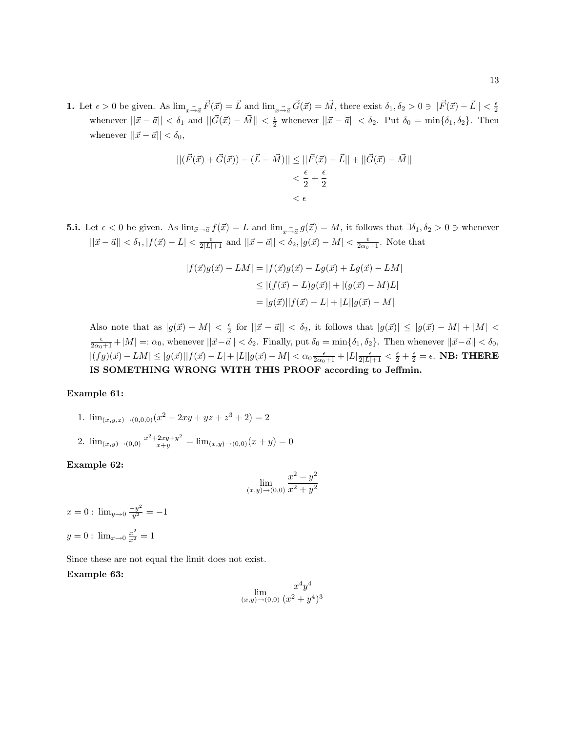**1.** Let  $\epsilon > 0$  be given. As  $\lim_{x \to a} \vec{F}(\vec{x}) = \vec{L}$  and  $\lim_{x \to \vec{a}} \vec{G}(\vec{x}) = \vec{M}$ , there exist  $\delta_1, \delta_2 > 0 \ni ||\vec{F}(\vec{x}) - \vec{L}|| < \frac{\epsilon}{2}$ whenever  $||\vec{x} - \vec{a}|| < \delta_1$  and  $||\vec{G}(\vec{x}) - \vec{M}|| < \frac{\epsilon}{2}$  whenever  $||\vec{x} - \vec{a}|| < \delta_2$ . Put  $\delta_0 = \min{\delta_1, \delta_2}$ . Then whenever  $||\vec{x} - \vec{a}|| < \delta_0$ ,

$$
\begin{aligned} ||(\vec{F}(\vec{x}) + \vec{G}(\vec{x})) - (\vec{L} - \vec{M})|| &\le ||\vec{F}(\vec{x}) - \vec{L}|| + ||\vec{G}(\vec{x}) - \vec{M}|| \\ &< \frac{\epsilon}{2} + \frac{\epsilon}{2} \\ &< \epsilon \end{aligned}
$$

**5.i.** Let  $\epsilon < 0$  be given. As  $\lim_{\vec{x}\to\vec{a}} f(\vec{x}) = L$  and  $\lim_{x\to\vec{a}} g(\vec{x}) = M$ , it follows that  $\exists \delta_1, \delta_2 > 0 \ni$  whenever  $||\vec{x} - \vec{a}|| < \delta_1, |f(\vec{x}) - L| < \frac{\epsilon}{2|L|+1}$  and  $||\vec{x} - \vec{a}|| < \delta_2, |g(\vec{x}) - M| < \frac{\epsilon}{2\alpha_0+1}$ . Note that

$$
|f(\vec{x})g(\vec{x}) - LM| = |f(\vec{x})g(\vec{x}) - Lg(\vec{x}) + Lg(\vec{x}) - LM|
$$
  
\n
$$
\leq |(f(\vec{x}) - L)g(\vec{x})| + |(g(\vec{x}) - M)L|
$$
  
\n
$$
= |g(\vec{x})||f(\vec{x}) - L| + |L||g(\vec{x}) - M|
$$

Also note that as  $|g(\vec{x}) - M| < \frac{\epsilon}{2}$  for  $||\vec{x} - \vec{a}|| < \delta_2$ , it follows that  $|g(\vec{x})| \leq |g(\vec{x}) - M| + |M| <$  $\frac{\epsilon}{2\alpha_0+1} + |M| =: \alpha_0$ , whenever  $||\vec{x}-\vec{a}|| < \delta_2$ . Finally, put  $\delta_0 = \min{\{\delta_1, \delta_2\}}$ . Then whenever  $||\vec{x}-\vec{a}|| < \delta_0$ ,  $|(fg)(\vec{x})-LM| \leq |g(\vec{x})||f(\vec{x})-L| + |L||g(\vec{x})-M| < \alpha_0 \frac{\epsilon}{2\alpha_0+1} + |L|\frac{\epsilon}{2|L|+1} < \frac{\epsilon}{2} + \frac{\epsilon}{2} = \epsilon$ . NB: THERE IS SOMETHING WRONG WITH THIS PROOF according to Jeffmin.

#### Example 61:

1. 
$$
\lim_{(x,y,z)\to(0,0,0)} (x^2 + 2xy + yz + z^3 + 2) = 2
$$
  
2. 
$$
\lim_{(x,y)\to(0,0)} \frac{x^2 + 2xy + y^2}{x+y} = \lim_{(x,y)\to(0,0)} (x+y) = 0
$$

Example 62:

$$
\lim_{(x,y)\to(0,0)}\frac{x^2-y^2}{x^2+y^2}
$$

 $x = 0$ :  $\lim_{y \to 0} \frac{-y^2}{y^2} = -1$  $y = 0$ :  $\lim_{x \to 0} \frac{x^2}{x^2} = 1$ 

Since these are not equal the limit does not exist.

## Example 63:

$$
\lim_{(x,y)\to(0,0)}\frac{x^4y^4}{(x^2+y^4)^3}
$$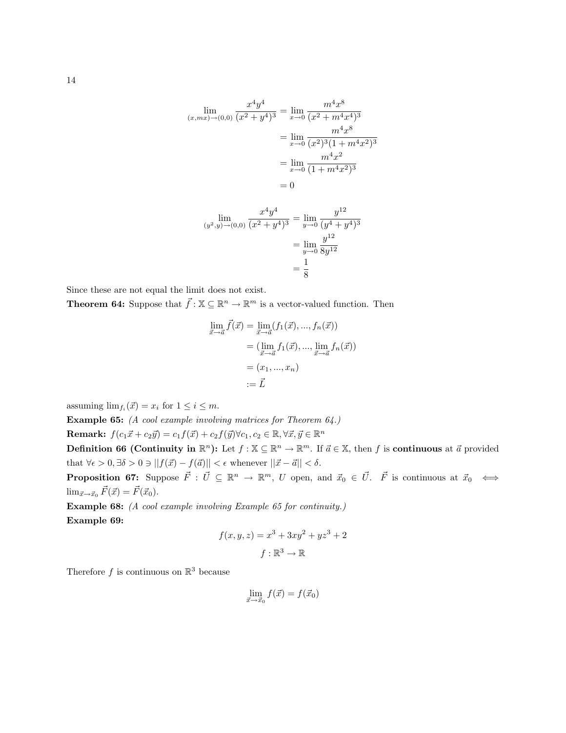$$
\lim_{(x,mx)\to(0,0)} \frac{x^4 y^4}{(x^2 + y^4)^3} = \lim_{x\to 0} \frac{m^4 x^8}{(x^2 + m^4 x^4)^3}
$$

$$
= \lim_{x\to 0} \frac{m^4 x^8}{(x^2)^3 (1 + m^4 x^2)^3}
$$

$$
= \lim_{x\to 0} \frac{m^4 x^2}{(1 + m^4 x^2)^3}
$$

$$
= 0
$$

$$
\lim_{(y^2, y) \to (0, 0)} \frac{x^4 y^4}{(x^2 + y^4)^3} = \lim_{y \to 0} \frac{y^{12}}{(y^4 + y^4)^3}
$$

$$
= \lim_{y \to 0} \frac{y^{12}}{8y^{12}}
$$

$$
= \frac{1}{8}
$$

Since these are not equal the limit does not exist.

**Theorem 64:** Suppose that  $\vec{f} : \mathbb{X} \subseteq \mathbb{R}^n \to \mathbb{R}^m$  is a vector-valued function. Then

$$
\lim_{\vec{x}\to\vec{a}} \vec{f}(\vec{x}) = \lim_{\vec{x}\to\vec{a}} (f_1(\vec{x}), ..., f_n(\vec{x}))
$$

$$
= (\lim_{\vec{x}\to\vec{a}} f_1(\vec{x}), ..., \lim_{\vec{x}\to\vec{a}} f_n(\vec{x}))
$$

$$
= (x_1, ..., x_n)
$$

$$
:= \vec{L}
$$

assuming  $\lim_{f_i}(\vec{x}) = x_i$  for  $1 \leq i \leq m$ .

Example 65: (A cool example involving matrices for Theorem 64.)

Remark:  $f(c_1\vec{x} + c_2\vec{y}) = c_1f(\vec{x}) + c_2f(\vec{y})\forall c_1, c_2 \in \mathbb{R}, \forall \vec{x}, \vec{y} \in \mathbb{R}^n$ 

**Definition 66 (Continuity in**  $\mathbb{R}^n$ ): Let  $f : \mathbb{X} \subseteq \mathbb{R}^n \to \mathbb{R}^m$ . If  $\vec{a} \in \mathbb{X}$ , then f is **continuous** at  $\vec{a}$  provided that  $\forall \epsilon > 0, \exists \delta > 0 \ni ||f(\vec{x}) - f(\vec{a})|| < \epsilon$  whenever  $||\vec{x} - \vec{a}|| < \delta$ .

**Proposition 67:** Suppose  $\vec{F}$  :  $\vec{U} \subseteq \mathbb{R}^n \to \mathbb{R}^m$ , U open, and  $\vec{x}_0 \in \vec{U}$ .  $\vec{F}$  is continuous at  $\vec{x}_0 \iff$  $\lim_{\vec{x}\to\vec{x}_0} \vec{F}(\vec{x}) = \vec{F}(\vec{x}_0).$ 

Example 68: (A cool example involving Example 65 for continuity.) Example 69:

$$
f(x, y, z) = x3 + 3xy2 + yz3 + 2
$$

$$
f: \mathbb{R}3 \to \mathbb{R}
$$

Therefore f is continuous on  $\mathbb{R}^3$  because

$$
\lim_{\vec{x}\to\vec{x}_0}f(\vec{x})=f(\vec{x}_0)
$$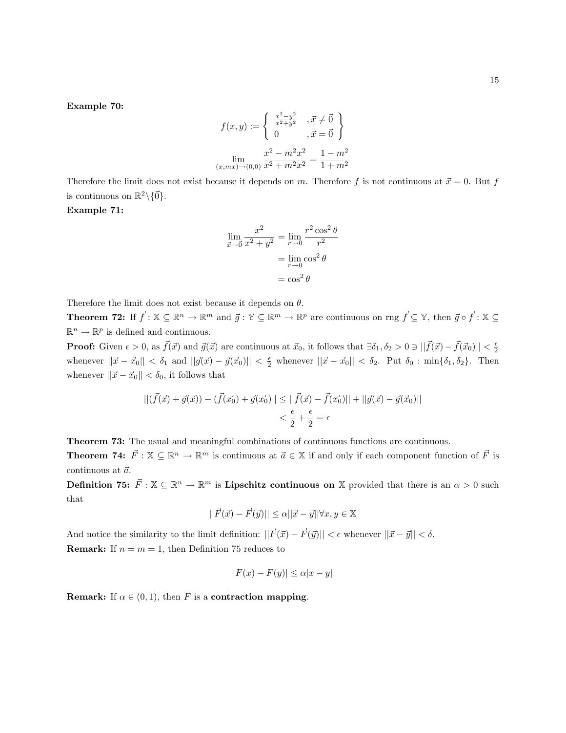Example 70:

$$
f(x,y) := \begin{cases} \frac{x^2 - y^2}{x^2 + y^2}, & \text{if } \neq \vec{0} \\ 0, & \text{if } \vec{0} \end{cases}
$$

$$
\lim_{(x,mx)\to(0,0)} \frac{x^2 - m^2 x^2}{x^2 + m^2 x^2} = \frac{1 - m^2}{1 + m^2}
$$

Therefore the limit does not exist because it depends on m. Therefore f is not continuous at  $\vec{x} = 0$ . But f is continuous on  $\mathbb{R}^2 \setminus \{ \vec{0} \}.$ 

## Example 71:

$$
\lim_{\vec{x}\to\vec{0}} \frac{x^2}{x^2 + y^2} = \lim_{r\to 0} \frac{r^2 \cos^2 \theta}{r^2}
$$

$$
= \lim_{r\to 0} \cos^2 \theta
$$

$$
= \cos^2 \theta
$$

Therefore the limit does not exist because it depends on  $\theta$ .

**Theorem 72:** If  $\vec{f} : \mathbb{X} \subseteq \mathbb{R}^n \to \mathbb{R}^m$  and  $\vec{g} : \mathbb{Y} \subseteq \mathbb{R}^m \to \mathbb{R}^p$  are continuous on rng  $\vec{f} \subseteq \mathbb{Y}$ , then  $\vec{g} \circ \vec{f} : \mathbb{X} \subseteq$  $\mathbb{R}^n \to \mathbb{R}^p$  is defined and continuous.

**Proof:** Given  $\epsilon > 0$ , as  $\vec{f}(\vec{x})$  and  $\vec{g}(\vec{x})$  are continuous at  $\vec{x}_0$ , it follows that  $\exists \delta_1, \delta_2 > 0 \ni ||\vec{f}(\vec{x}) - \vec{f}(\vec{x}_0)|| < \frac{\epsilon}{2}$ whenever  $||\vec{x} - \vec{x}_0|| < \delta_1$  and  $||\vec{g}(\vec{x}) - \vec{g}(\vec{x}_0)|| < \frac{\epsilon}{2}$  whenever  $||\vec{x} - \vec{x}_0|| < \delta_2$ . Put  $\delta_0 : \min{\delta_1, \delta_2}$ . Then whenever  $||\vec{x} - \vec{x}_0|| < \delta_0$ , it follows that

$$
||(\vec{f}(\vec{x}) + \vec{g}(\vec{x})) - (\vec{f}(\vec{x_0}) + \vec{g}(\vec{x_0})|| \le ||\vec{f}(\vec{x}) - \vec{f}(\vec{x_0})|| + ||\vec{g}(\vec{x}) - \vec{g}(\vec{x_0})||
$$
  

$$
< \frac{\epsilon}{2} + \frac{\epsilon}{2} = \epsilon
$$

Theorem 73: The usual and meaningful combinations of continuous functions are continuous.

**Theorem 74:**  $\vec{F}$  :  $\mathbb{X} \subseteq \mathbb{R}^n \to \mathbb{R}^m$  is continuous at  $\vec{a} \in \mathbb{X}$  if and only if each component function of  $\vec{F}$  is continuous at  $\vec{a}$ .

Definition 75:  $\vec{F}$  :  $\mathbb{X} \subseteq \mathbb{R}^n \to \mathbb{R}^m$  is Lipschitz continuous on X provided that there is an  $\alpha > 0$  such that

$$
||\vec{F}(\vec{x}) - \vec{F}(\vec{y})|| \le \alpha ||\vec{x} - \vec{y}|| \forall x, y \in \mathbb{X}
$$

And notice the similarity to the limit definition:  $||\vec{F}(\vec{x}) - \vec{F}(\vec{y})|| < \epsilon$  whenever  $||\vec{x} - \vec{y}|| < \delta$ . **Remark:** If  $n = m = 1$ , then Definition 75 reduces to

$$
|F(x) - F(y)| \le \alpha |x - y|
$$

**Remark:** If  $\alpha \in (0, 1)$ , then F is a contraction mapping.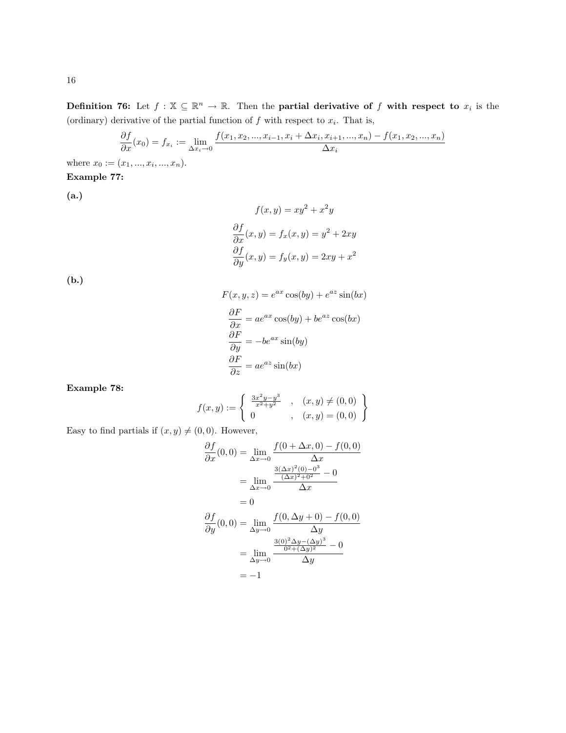Definition 76: Let  $f: \mathbb{X} \subseteq \mathbb{R}^n \to \mathbb{R}$ . Then the partial derivative of f with respect to  $x_i$  is the (ordinary) derivative of the partial function of  $f$  with respect to  $x_i$ . That is,

$$
\frac{\partial f}{\partial x}(x_0) = f_{x_i} := \lim_{\Delta x_i \to 0} \frac{f(x_1, x_2, ..., x_{i-1}, x_i + \Delta x_i, x_{i+1}, ..., x_n) - f(x_1, x_2, ..., x_n)}{\Delta x_i}
$$

where  $x_0 := (x_1, ..., x_i, ..., x_n).$ Example 77:

(a.)

$$
f(x,y) = xy^{2} + x^{2}y
$$

$$
\frac{\partial f}{\partial x}(x,y) = f_{x}(x,y) = y^{2} + 2xy
$$

$$
\frac{\partial f}{\partial y}(x,y) = f_{y}(x,y) = 2xy + x^{2}
$$

(b.)

$$
F(x, y, z) = e^{ax} \cos(by) + e^{az} \sin(bx)
$$

$$
\frac{\partial F}{\partial x} = ae^{ax} \cos(by) + be^{az} \cos(bx)
$$

$$
\frac{\partial F}{\partial y} = -be^{ax} \sin(by)
$$

$$
\frac{\partial F}{\partial z} = ae^{az} \sin(bx)
$$

Example 78:

$$
f(x,y) := \begin{cases} \frac{3x^2y - y^3}{x^2 + y^2} , & (x,y) \neq (0,0) \\ 0 , & (x,y) = (0,0) \end{cases}
$$

Easy to find partials if  $(x, y) \neq (0, 0)$ . However,

$$
\frac{\partial f}{\partial x}(0,0) = \lim_{\Delta x \to 0} \frac{f(0 + \Delta x, 0) - f(0,0)}{\Delta x} \n= \lim_{\Delta x \to 0} \frac{\frac{3(\Delta x)^2 (0) - 0^3}{(\Delta x)^2 + 0^2} - 0}{\Delta x} \n= 0 \n\frac{\partial f}{\partial y}(0,0) = \lim_{\Delta y \to 0} \frac{f(0, \Delta y + 0) - f(0,0)}{\Delta y} \n= \lim_{\Delta y \to 0} \frac{\frac{3(0)^2 \Delta y - (\Delta y)^3}{0^2 + (\Delta y)^2} - 0}{\Delta y} \n= -1
$$

16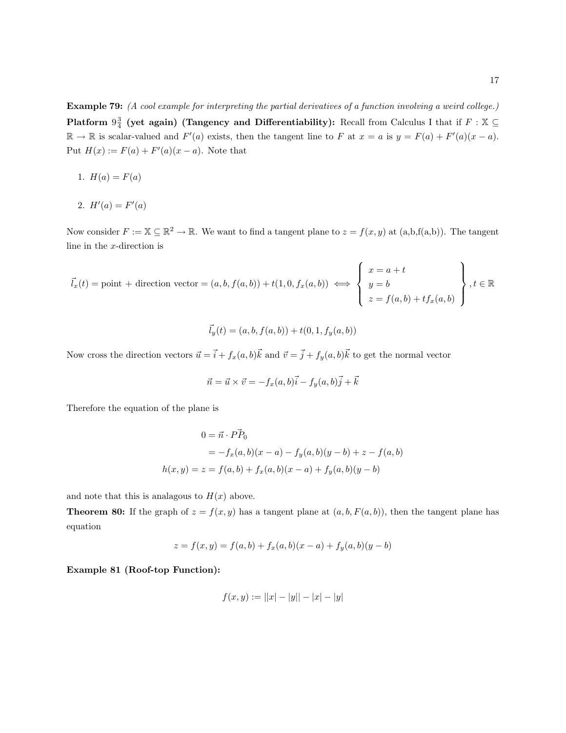Example 79: (A cool example for interpreting the partial derivatives of a function involving a weird college.) Platform  $9\frac{3}{4}$  (yet again) (Tangency and Differentiability): Recall from Calculus I that if  $F : \mathbb{X} \subseteq$  $\mathbb{R} \to \mathbb{R}$  is scalar-valued and  $F'(a)$  exists, then the tangent line to F at  $x = a$  is  $y = F(a) + F'(a)(x - a)$ . Put  $H(x) := F(a) + F'(a)(x - a)$ . Note that

- 1.  $H(a) = F(a)$
- 2.  $H'(a) = F'(a)$

Now consider  $F := \mathbb{X} \subseteq \mathbb{R}^2 \to \mathbb{R}$ . We want to find a tangent plane to  $z = f(x, y)$  at  $(a, b, f(a, b))$ . The tangent line in the x-direction is

$$
\vec{l}_x(t) = \text{point} + \text{direction vector} = (a, b, f(a, b)) + t(1, 0, f_x(a, b)) \iff \begin{cases} x = a + t \\ y = b \\ z = f(a, b) + t f_x(a, b) \end{cases}, t \in \mathbb{R}
$$

$$
\vec{l}_y(t) = (a, b, f(a, b)) + t(0, 1, f_y(a, b))
$$

Now cross the direction vectors  $\vec{u} = \vec{i} + f_x(a, b)\vec{k}$  and  $\vec{v} = \vec{j} + f_y(a, b)\vec{k}$  to get the normal vector

$$
\vec{n} = \vec{u} \times \vec{v} = -f_x(a, b)\vec{i} - f_y(a, b)\vec{j} + \vec{k}
$$

Therefore the equation of the plane is

$$
0 = \vec{n} \cdot P\vec{P}_0
$$
  
=  $-f_x(a, b)(x - a) - f_y(a, b)(y - b) + z - f(a, b)$   

$$
h(x, y) = z = f(a, b) + f_x(a, b)(x - a) + f_y(a, b)(y - b)
$$

and note that this is analagous to  $H(x)$  above.

**Theorem 80:** If the graph of  $z = f(x, y)$  has a tangent plane at  $(a, b, F(a, b))$ , then the tangent plane has equation

$$
z = f(x, y) = f(a, b) + f_x(a, b)(x - a) + f_y(a, b)(y - b)
$$

Example 81 (Roof-top Function):

$$
f(x, y) := ||x| - |y|| - |x| - |y|
$$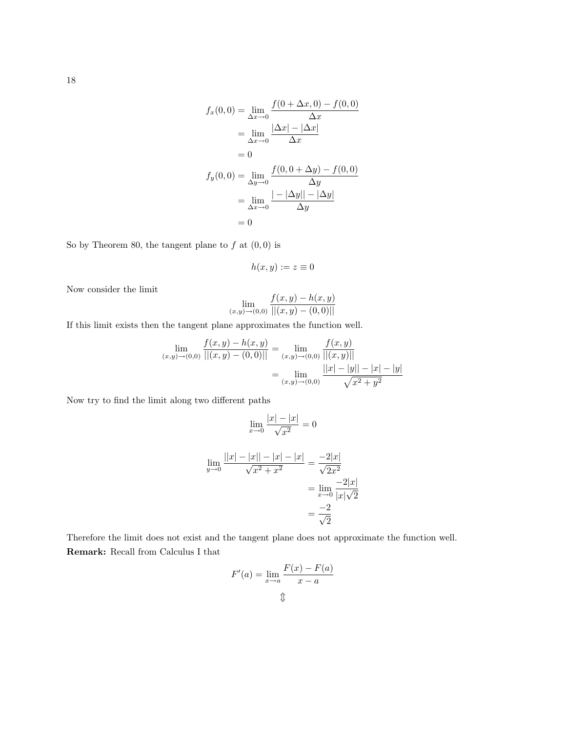$$
f_x(0,0) = \lim_{\Delta x \to 0} \frac{f(0 + \Delta x, 0) - f(0,0)}{\Delta x}
$$
  
=  $\lim_{\Delta x \to 0} \frac{|\Delta x| - |\Delta x|}{\Delta x}$   
= 0  

$$
f_y(0,0) = \lim_{\Delta y \to 0} \frac{f(0,0 + \Delta y) - f(0,0)}{\Delta y}
$$
  
=  $\lim_{\Delta x \to 0} \frac{|-\Delta y|| - |\Delta y|}{\Delta y}$   
= 0

So by Theorem 80, the tangent plane to  $f$  at  $(0,0)$  is

$$
h(x,y) := z \equiv 0
$$

Now consider the limit

$$
\lim_{(x,y)\to(0,0)}\frac{f(x,y)-h(x,y)}{||(x,y)-(0,0)||}
$$

If this limit exists then the tangent plane approximates the function well.

$$
\lim_{(x,y)\to(0,0)}\frac{f(x,y)-h(x,y)}{||(x,y)-(0,0)||} = \lim_{(x,y)\to(0,0)}\frac{f(x,y)}{||(x,y)||}
$$

$$
= \lim_{(x,y)\to(0,0)}\frac{||x|-|y||-|x|-|y|}{\sqrt{x^2+y^2}}
$$

Now try to find the limit along two different paths

$$
\lim_{x \to 0} \frac{|x| - |x|}{\sqrt{x^2}} = 0
$$

$$
\lim_{y \to 0} \frac{||x| - |x| - |x| - |x|}{\sqrt{x^2 + x^2}} = \frac{-2|x|}{\sqrt{2x^2}}
$$

$$
= \lim_{x \to 0} \frac{-2|x|}{|x|\sqrt{2}}
$$

$$
= \frac{-2}{\sqrt{2}}
$$

Therefore the limit does not exist and the tangent plane does not approximate the function well. Remark: Recall from Calculus I that

$$
F'(a) = \lim_{x \to a} \frac{F(x) - F(a)}{x - a}
$$

18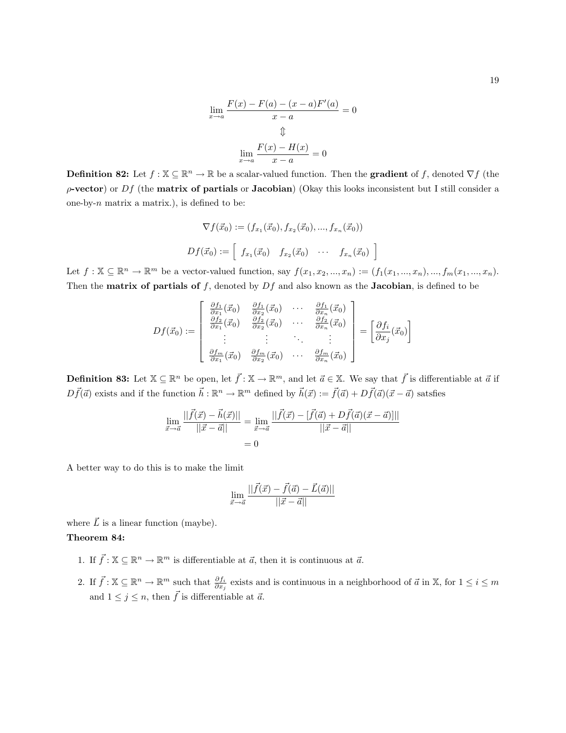$$
\lim_{x \to a} \frac{F(x) - F(a) - (x - a)F'(a)}{x - a} = 0
$$
  

$$
\Downarrow
$$
  

$$
\lim_{x \to a} \frac{F(x) - H(x)}{x - a} = 0
$$

**Definition 82:** Let  $f : \mathbb{X} \subseteq \mathbb{R}^n \to \mathbb{R}$  be a scalar-valued function. Then the **gradient** of f, denoted  $\nabla f$  (the  $\rho$ -vector) or Df (the matrix of partials or Jacobian) (Okay this looks inconsistent but I still consider a one-by- $n$  matrix a matrix.), is defined to be:

$$
\nabla f(\vec{x}_0) := (f_{x_1}(\vec{x}_0), f_{x_2}(\vec{x}_0), ..., f_{x_n}(\vec{x}_0))
$$
  

$$
Df(\vec{x}_0) := \begin{bmatrix} f_{x_1}(\vec{x}_0) & f_{x_2}(\vec{x}_0) & \cdots & f_{x_n}(\vec{x}_0) \end{bmatrix}
$$

i

Let  $f: \mathbb{X} \subseteq \mathbb{R}^n \to \mathbb{R}^m$  be a vector-valued function, say  $f(x_1, x_2, ..., x_n) := (f_1(x_1, ..., x_n), ..., f_m(x_1, ..., x_n))$ . Then the **matrix of partials of** f, denoted by  $Df$  and also known as the **Jacobian**, is defined to be

$$
Df(\vec{x}_0) := \begin{bmatrix} \frac{\partial f_1}{\partial x_1}(\vec{x}_0) & \frac{\partial f_1}{\partial x_2}(\vec{x}_0) & \cdots & \frac{\partial f_1}{\partial x_n}(\vec{x}_0) \\ \frac{\partial f_2}{\partial x_1}(\vec{x}_0) & \frac{\partial f_2}{\partial x_2}(\vec{x}_0) & \cdots & \frac{\partial f_2}{\partial x_n}(\vec{x}_0) \\ \vdots & \vdots & \ddots & \vdots \\ \frac{\partial f_m}{\partial x_1}(\vec{x}_0) & \frac{\partial f_m}{\partial x_2}(\vec{x}_0) & \cdots & \frac{\partial f_m}{\partial x_n}(\vec{x}_0) \end{bmatrix} = \begin{bmatrix} \frac{\partial f_i}{\partial x_j}(\vec{x}_0) \end{bmatrix}
$$

**Definition 83:** Let  $\mathbb{X} \subseteq \mathbb{R}^n$  be open, let  $\vec{f} : \mathbb{X} \to \mathbb{R}^m$ , and let  $\vec{a} \in \mathbb{X}$ . We say that  $\vec{f}$  is differentiable at  $\vec{a}$  if  $D\vec{f}(\vec{a})$  exists and if the function  $\vec{h} : \mathbb{R}^n \to \mathbb{R}^m$  defined by  $\vec{h}(\vec{x}) := \vec{f}(\vec{a}) + D\vec{f}(\vec{a})(\vec{x} - \vec{a})$  satsfies

$$
\lim_{\vec{x}\to\vec{a}}\frac{||\vec{f}(\vec{x}) - \vec{h}(\vec{x})||}{||\vec{x} - \vec{a}||} = \lim_{\vec{x}\to\vec{a}}\frac{||\vec{f}(\vec{x}) - [\vec{f}(\vec{a}) + D\vec{f}(\vec{a})(\vec{x} - \vec{a})]||}{||\vec{x} - \vec{a}||}
$$
\n
$$
= 0
$$

A better way to do this is to make the limit

$$
\lim_{\vec{x}\to\vec{a}}\frac{||\vec{f}(\vec{x})-\vec{f}(\vec{a})-\vec{L}(\vec{a})||}{||\vec{x}-\vec{a}||}
$$

where  $\vec{L}$  is a linear function (maybe).

#### Theorem 84:

- 1. If  $\vec{f} : \mathbb{X} \subseteq \mathbb{R}^n \to \mathbb{R}^m$  is differentiable at  $\vec{a}$ , then it is continuous at  $\vec{a}$ .
- 2. If  $\vec{f} : \mathbb{X} \subseteq \mathbb{R}^n \to \mathbb{R}^m$  such that  $\frac{\partial f_i}{\partial x_j}$  exists and is continuous in a neighborhood of  $\vec{a}$  in  $\mathbb{X}$ , for  $1 \leq i \leq m$ and  $1 \leq j \leq n$ , then  $\vec{f}$  is differentiable at  $\vec{a}$ .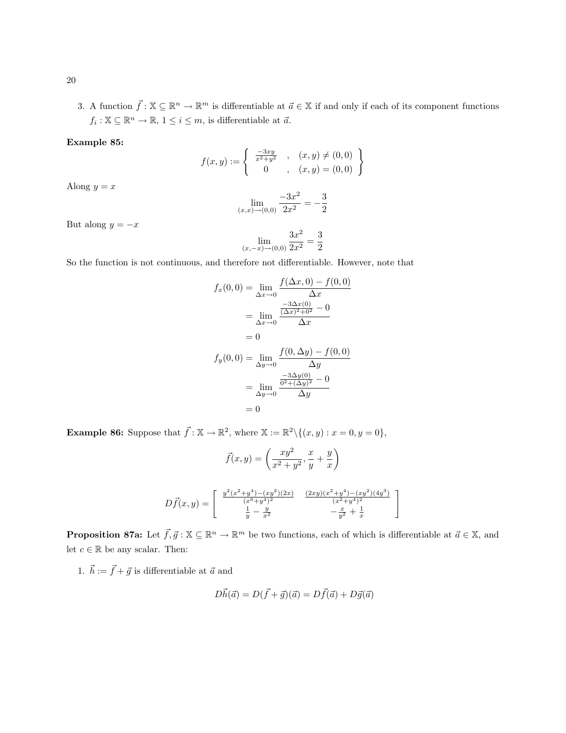3. A function  $\vec{f} : \mathbb{X} \subseteq \mathbb{R}^n \to \mathbb{R}^m$  is differentiable at  $\vec{a} \in \mathbb{X}$  if and only if each of its component functions  $f_i: \mathbb{X} \subseteq \mathbb{R}^n \to \mathbb{R}, 1 \leq i \leq m$ , is differentiable at  $\vec{a}$ .

## Example 85:

$$
f(x,y) := \begin{cases} \frac{-3xy}{x^2+y^2} , & (x,y) \neq (0,0) \\ 0 , & (x,y) = (0,0) \end{cases}
$$

Along  $y = x$ 

$$
\lim_{(x,x)\to(0,0)}\frac{-3x^2}{2x^2} = -\frac{3}{2}
$$

But along  $y = -x$ 

$$
\lim_{(x,-x)\to(0,0)}\frac{3x^2}{2x^2}=\frac{3}{2}
$$

So the function is not continuous, and therefore not differentiable. However, note that

$$
f_x(0,0) = \lim_{\Delta x \to 0} \frac{f(\Delta x, 0) - f(0,0)}{\Delta x}
$$
  
= 
$$
\lim_{\Delta x \to 0} \frac{\frac{-3\Delta x(0)}{(\Delta x)^2 + 0^2} - 0}{\Delta x}
$$
  
= 0  

$$
f_y(0,0) = \lim_{\Delta y \to 0} \frac{f(0,\Delta y) - f(0,0)}{\Delta y}
$$
  
= 
$$
\lim_{\Delta y \to 0} \frac{\frac{-3\Delta y(0)}{0^2 + (\Delta y)^2} - 0}{\Delta y}
$$
  
= 0

**Example 86:** Suppose that  $\vec{f} : \mathbb{X} \to \mathbb{R}^2$ , where  $\mathbb{X} := \mathbb{R}^2 \setminus \{(x, y) : x = 0, y = 0\},\$ 

$$
\vec{f}(x,y) = \left(\frac{xy^2}{x^2 + y^2}, \frac{x}{y} + \frac{y}{x}\right)
$$

$$
D\vec{f}(x,y) = \begin{bmatrix} \frac{y^2(x^2 + y^4) - (xy^2)(2x)}{(x^6 + y^4)^2} & \frac{(2xy)(x^2 + y^4) - (xy^2)(4y^3)}{(x^2 + y^4)^2} \\ \frac{1}{y} - \frac{y}{x^2} & -\frac{x}{y^2} + \frac{1}{x} \end{bmatrix}
$$

**Proposition 87a:** Let  $\vec{f}, \vec{g} : \mathbb{X} \subseteq \mathbb{R}^n \to \mathbb{R}^m$  be two functions, each of which is differentiable at  $\vec{a} \in \mathbb{X}$ , and let  $c \in \mathbb{R}$  be any scalar. Then:

1.  $\vec{h} := \vec{f} + \vec{g}$  is differentiable at  $\vec{a}$  and

$$
D\vec{h}(\vec{a}) = D(\vec{f} + \vec{g})(\vec{a}) = D\vec{f}(\vec{a}) + D\vec{g}(\vec{a})
$$

20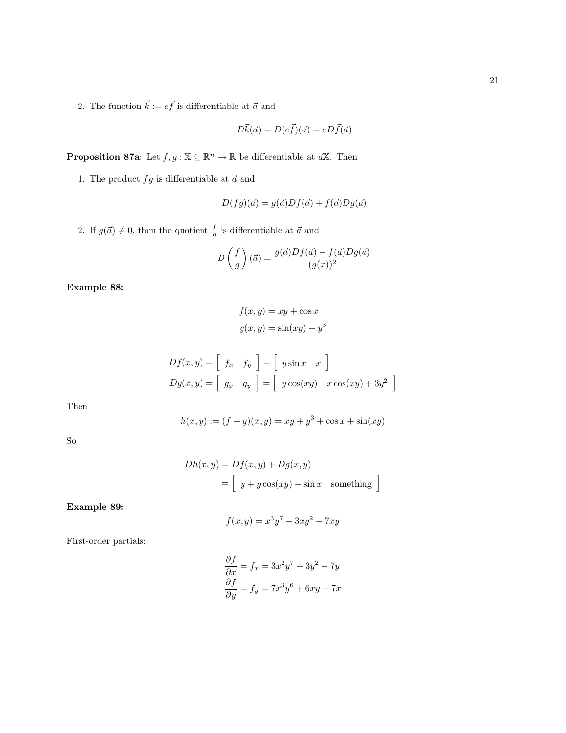2. The function  $\vec{k} := c\vec{f}$  is differentiable at  $\vec{a}$  and

$$
D\vec{k}(\vec{a}) = D(c\vec{f})(\vec{a}) = cD\vec{f}(\vec{a})
$$

**Proposition 87a:** Let  $f, g : \mathbb{X} \subseteq \mathbb{R}^n \to \mathbb{R}$  be differentiable at  $\vec{a}\mathbb{X}$ . Then

1. The product  $fg$  is differentiable at  $\vec{a}$  and

$$
D(fg)(\vec{a}) = g(\vec{a})Df(\vec{a}) + f(\vec{a})Dg(\vec{a})
$$

2. If  $g(\vec{a}) \neq 0$ , then the quotient  $\frac{f}{g}$  is differentiable at  $\vec{a}$  and

$$
D\left(\frac{f}{g}\right)(\vec{a}) = \frac{g(\vec{a})Df(\vec{a}) - f(\vec{a})Dg(\vec{a})}{(g(x))^2}
$$

Example 88:

$$
f(x, y) = xy + \cos x
$$

$$
g(x, y) = \sin(xy) + y^3
$$

$$
Df(x,y) = \begin{bmatrix} f_x & f_y \end{bmatrix} = \begin{bmatrix} y\sin x & x \end{bmatrix}
$$

$$
Dg(x,y) = \begin{bmatrix} g_x & g_y \end{bmatrix} = \begin{bmatrix} y\cos(xy) & x\cos(xy) + 3y^2 \end{bmatrix}
$$

Then

$$
h(x, y) := (f + g)(x, y) = xy + y3 + \cos x + \sin(xy)
$$

So

$$
Dh(x, y) = Df(x, y) + Dg(x, y)
$$
  
=  $\left[ y + y \cos(xy) - \sin x \text{ something } \right]$ 

Example 89:

$$
f(x,y) = x^3y^7 + 3xy^2 - 7xy
$$

First-order partials:

$$
\frac{\partial f}{\partial x} = f_x = 3x^2y^7 + 3y^2 - 7y
$$

$$
\frac{\partial f}{\partial y} = f_y = 7x^3y^6 + 6xy - 7x
$$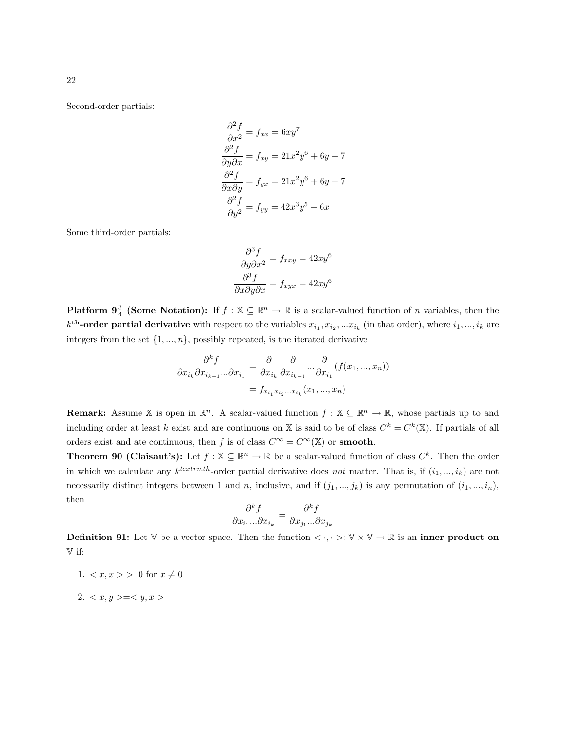Second-order partials:

$$
\frac{\partial^2 f}{\partial x^2} = f_{xx} = 6xy^7
$$
  

$$
\frac{\partial^2 f}{\partial y \partial x} = f_{xy} = 21x^2y^6 + 6y - 7
$$
  

$$
\frac{\partial^2 f}{\partial x \partial y} = f_{yx} = 21x^2y^6 + 6y - 7
$$
  

$$
\frac{\partial^2 f}{\partial y^2} = f_{yy} = 42x^3y^5 + 6x
$$

Some third-order partials:

$$
\frac{\partial^3 f}{\partial y \partial x^2} = f_{xxy} = 42xy^6
$$

$$
\frac{\partial^3 f}{\partial x \partial y \partial x} = f_{xyx} = 42xy^6
$$

**Platform 9**<sup>3</sup>/<sub>4</sub> (Some Notation): If  $f : \mathbb{X} \subseteq \mathbb{R}^n \to \mathbb{R}$  is a scalar-valued function of n variables, then the  $k^{\text{th}}$ -order partial derivative with respect to the variables  $x_{i_1}, x_{i_2},...x_{i_k}$  (in that order), where  $i_1,...,i_k$  are integers from the set  $\{1, ..., n\}$ , possibly repeated, is the iterated derivative

$$
\frac{\partial^k f}{\partial x_{i_k} \partial x_{i_{k-1}} \dots \partial x_{i_1}} = \frac{\partial}{\partial x_{i_k}} \frac{\partial}{\partial x_{i_{k-1}}} \dots \frac{\partial}{\partial x_{i_1}} (f(x_1, ..., x_n))
$$

$$
= f_{x_{i_1} x_{i_2} \dots x_{i_k}} (x_1, ..., x_n)
$$

**Remark:** Assume X is open in  $\mathbb{R}^n$ . A scalar-valued function  $f : \mathbb{X} \subseteq \mathbb{R}^n \to \mathbb{R}$ , whose partials up to and including order at least k exist and are continuous on X is said to be of class  $C^k = C^k(\mathbb{X})$ . If partials of all orders exist and ate continuous, then f is of class  $C^{\infty} = C^{\infty}(\mathbb{X})$  or **smooth**.

**Theorem 90 (Claisaut's):** Let  $f : \mathbb{X} \subseteq \mathbb{R}^n \to \mathbb{R}$  be a scalar-valued function of class  $C^k$ . Then the order in which we calculate any  $k^{textmth}$ -order partial derivative does not matter. That is, if  $(i_1, ..., i_k)$  are not necessarily distinct integers between 1 and n, inclusive, and if  $(j_1, ..., j_k)$  is any permutation of  $(i_1, ..., i_n)$ , then

$$
\frac{\partial^k f}{\partial x_{i_1}...\partial x_{i_k}} = \frac{\partial^k f}{\partial x_{j_1}...\partial x_{j_k}}
$$

**Definition 91:** Let  $\mathbb{V}$  be a vector space. Then the function  $\langle \cdot, \cdot \rangle : \mathbb{V} \times \mathbb{V} \to \mathbb{R}$  is an inner product on V if:

- 1.  $\langle x, x \rangle > 0$  for  $x \neq 0$
- 2.  $\langle x, y \rangle = \langle y, x \rangle$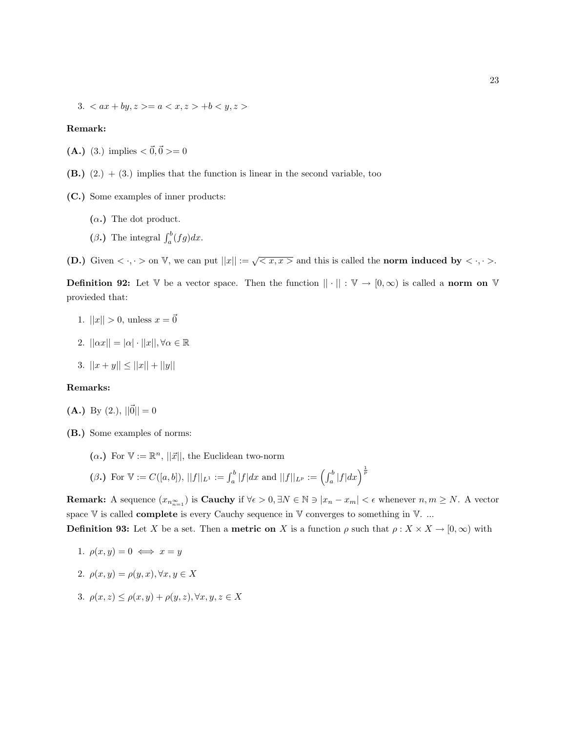3.  $\langle ax + by, z \rangle = a \langle x, z \rangle + b \langle y, z \rangle$ 

#### Remark:

- (A.) (3.) implies  $<\vec{0}, \vec{0}>=0$
- $(B.)$   $(2.) + (3.)$  implies that the function is linear in the second variable, too
- (C.) Some examples of inner products:
	- $(\alpha.)$  The dot product.
	- ( $\beta$ .) The integral  $\int_a^b (fg)dx$ .

(D.) Given  $\langle \cdot, \cdot \rangle$  on V, we can put  $||x|| := \sqrt{\langle x, x \rangle}$  and this is called the norm induced by  $\langle \cdot, \cdot \rangle$ .

**Definition 92:** Let  $\mathbb{V}$  be a vector space. Then the function  $|| \cdot || : \mathbb{V} \to [0, \infty)$  is called a norm on  $\mathbb{V}$ provieded that:

- 1.  $||x|| > 0$ , unless  $x = \vec{0}$
- 2.  $||\alpha x|| = |\alpha| \cdot ||x||, \forall \alpha \in \mathbb{R}$
- 3.  $||x + y|| \le ||x|| + ||y||$

#### Remarks:

- (A.) By (2.),  $||\vec{0}|| = 0$
- (B.) Some examples of norms:
	- ( $\alpha$ .) For  $\mathbb{V} := \mathbb{R}^n$ ,  $||\vec{x}||$ , the Euclidean two-norm
	- $(\beta.) \text{ For } V := C([a, b]), ||f||_{L^1} := \int_a^b |f| dx \text{ and } ||f||_{L^p} := \left(\int_a^b |f| dx\right)^{\frac{1}{p}}$

**Remark:** A sequence  $(x_{n_{n=1}^{\infty}})$  is **Cauchy** if  $\forall \epsilon > 0, \exists N \in \mathbb{N} \ni |x_n - x_m| < \epsilon$  whenever  $n, m \ge N$ . A vector space  $V$  is called **complete** is every Cauchy sequence in  $V$  converges to something in  $V$ . ...

**Definition 93:** Let X be a set. Then a **metric on** X is a function 
$$
\rho
$$
 such that  $\rho: X \times X \to [0, \infty)$  with

1. 
$$
\rho(x, y) = 0 \iff x = y
$$

- 2.  $\rho(x, y) = \rho(y, x), \forall x, y \in X$
- 3.  $\rho(x, z) \leq \rho(x, y) + \rho(y, z), \forall x, y, z \in X$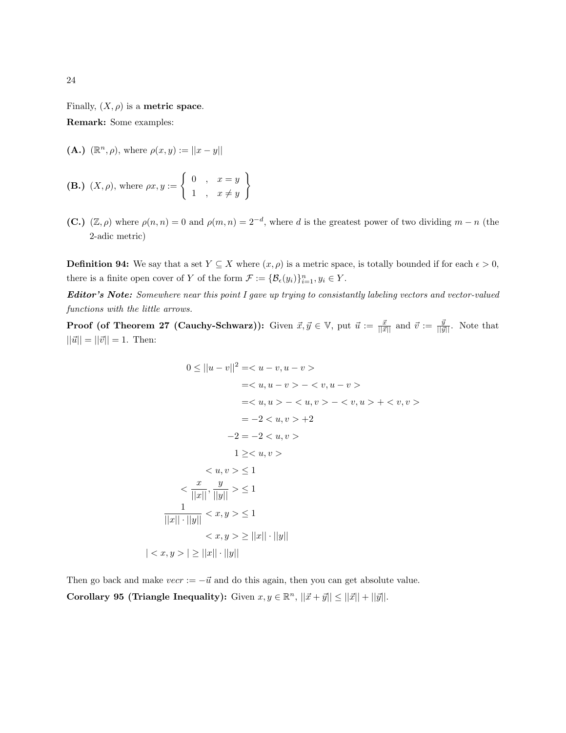Finally,  $(X, \rho)$  is a **metric space**.

Remark: Some examples:

(**A.**)  $(\mathbb{R}^n, \rho)$ , where  $\rho(x, y) := ||x - y||$ 

**(B.)** 
$$
(X, \rho)
$$
, where  $\rho x, y := \begin{cases} 0, & x = y \\ 1, & x \neq y \end{cases}$ 

(C.)  $(\mathbb{Z}, \rho)$  where  $\rho(n,n) = 0$  and  $\rho(m,n) = 2^{-d}$ , where d is the greatest power of two dividing  $m - n$  (the 2-adic metric)

**Definition 94:** We say that a set  $Y \subseteq X$  where  $(x, \rho)$  is a metric space, is totally bounded if for each  $\epsilon > 0$ , there is a finite open cover of Y of the form  $\mathcal{F} := \{ \mathcal{B}_{\epsilon}(y_i) \}_{i=1}^n, y_i \in Y$ .

Editor's Note: Somewhere near this point I gave up trying to consistantly labeling vectors and vector-valued functions with the little arrows.

**Proof (of Theorem 27 (Cauchy-Schwarz)):** Given  $\vec{x}, \vec{y} \in \mathbb{V}$ , put  $\vec{u} := \frac{\vec{x}}{||\vec{x}||}$  and  $\vec{v} := \frac{\vec{y}}{||\vec{y}||}$ . Note that  $||\vec{u}|| = ||\vec{v}|| = 1.$  Then:

$$
0 \le ||u - v||^2 = \langle u - v, u - v \rangle
$$
  
=  $\langle u, u - v \rangle - \langle v, u - v \rangle$   
=  $\langle u, u \rangle - \langle u, v \rangle - \langle v, u \rangle + \langle v, v \rangle$   
=  $-2 \langle u, v \rangle + 2$   
 $-2 = -2 \langle u, v \rangle$   
 $1 \ge \langle u, v \rangle$   
 $\langle u, v \rangle \le 1$   
 $\langle \frac{x}{||x||}, \frac{y}{||y||} \rangle \le 1$   
 $\frac{1}{||x|| \cdot ||y||} \langle x, y \rangle \le 1$   
 $\langle x, y \rangle \ge ||x|| \cdot ||y||$   
 $|\langle x, y \rangle| \ge ||x|| \cdot ||y||$ 

Then go back and make  $vec := -\vec{u}$  and do this again, then you can get absolute value. Corollary 95 (Triangle Inequality): Given  $x, y \in \mathbb{R}^n$ ,  $||\vec{x} + \vec{y}|| \le ||\vec{x}|| + ||\vec{y}||$ .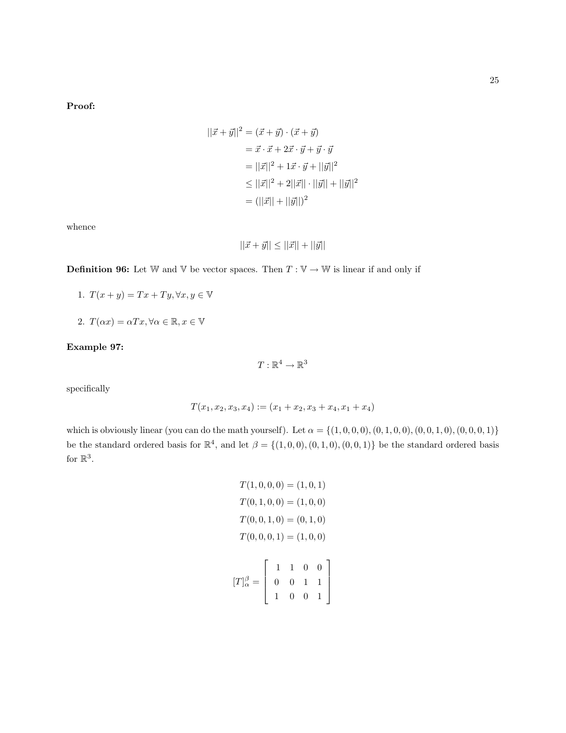Proof:

$$
||\vec{x} + \vec{y}||^2 = (\vec{x} + \vec{y}) \cdot (\vec{x} + \vec{y})
$$
  
=  $\vec{x} \cdot \vec{x} + 2\vec{x} \cdot \vec{y} + \vec{y} \cdot \vec{y}$   
=  $||\vec{x}||^2 + 1\vec{x} \cdot \vec{y} + ||\vec{y}||^2$   
 $\leq ||\vec{x}||^2 + 2||\vec{x}|| \cdot ||\vec{y}|| + ||\vec{y}||^2$   
=  $(||\vec{x}|| + ||\vec{y}||)^2$ 

whence

$$
||\vec{x} + \vec{y}|| \le ||\vec{x}|| + ||\vec{y}||
$$

**Definition 96:** Let W and V be vector spaces. Then  $T : V \to W$  is linear if and only if

- 1.  $T(x + y) = Tx + Ty, \forall x, y \in V$
- 2.  $T(\alpha x) = \alpha Tx, \forall \alpha \in \mathbb{R}, x \in \mathbb{V}$

## Example 97:

 $T:\mathbb{R}^4\to\mathbb{R}^3$ 

specifically

$$
T(x_1, x_2, x_3, x_4) := (x_1 + x_2, x_3 + x_4, x_1 + x_4)
$$

which is obviously linear (you can do the math yourself). Let  $\alpha = \{(1, 0, 0, 0), (0, 1, 0, 0), (0, 0, 1, 0), (0, 0, 0, 1)\}\$ be the standard ordered basis for  $\mathbb{R}^4$ , and let  $\beta = \{(1,0,0), (0,1,0), (0,0,1)\}\$ be the standard ordered basis for  $\mathbb{R}^3$ .

$$
T(1,0,0,0) = (1,0,1)
$$

$$
T(0,1,0,0) = (1,0,0)
$$

$$
T(0,0,1,0) = (0,1,0)
$$

$$
T(0,0,0,1) = (1,0,0)
$$

$$
[T]_{\alpha}^{\beta} = \begin{bmatrix} 1 & 1 & 0 & 0 \\ 0 & 0 & 1 & 1 \\ 1 & 0 & 0 & 1 \end{bmatrix}
$$

1 0 0 1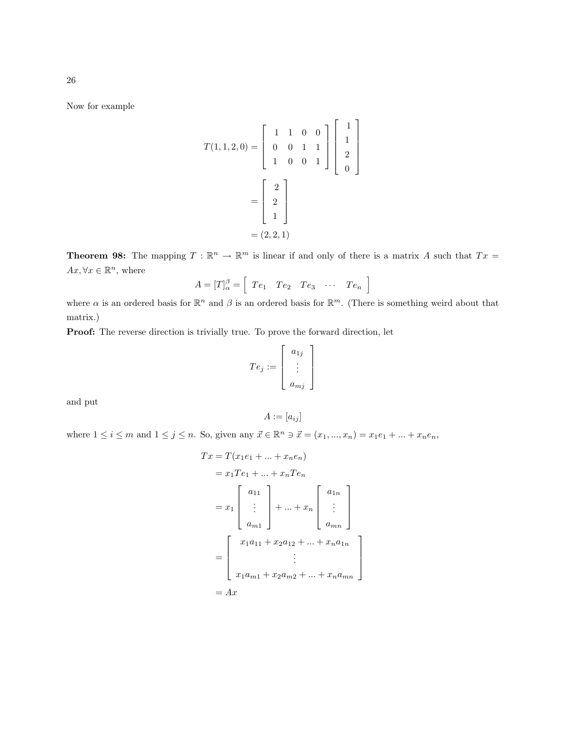Now for example

$$
T(1,1,2,0) = \begin{bmatrix} 1 & 1 & 0 & 0 \\ 0 & 0 & 1 & 1 \\ 1 & 0 & 0 & 1 \end{bmatrix} \begin{bmatrix} 1 \\ 1 \\ 2 \\ 0 \end{bmatrix}
$$

$$
= \begin{bmatrix} 2 \\ 2 \\ 1 \end{bmatrix}
$$

$$
= (2,2,1)
$$

**Theorem 98:** The mapping  $T : \mathbb{R}^n \to \mathbb{R}^m$  is linear if and only of there is a matrix A such that  $Tx =$  $Ax, \forall x \in \mathbb{R}^n$ , where

$$
A = [T]_{\alpha}^{\beta} = \left[ T e_1 \quad T e_2 \quad T e_3 \quad \cdots \quad T e_n \right]
$$

where  $\alpha$  is an ordered basis for  $\mathbb{R}^n$  and  $\beta$  is an ordered basis for  $\mathbb{R}^m$ . (There is something weird about that matrix.)

Proof: The reverse direction is trivially true. To prove the forward direction, let

$$
Te_j := \left[ \begin{array}{c} a_{1j} \\ \vdots \\ a_{mj} \end{array} \right]
$$

and put

$$
A := [a_{ij}]
$$

where  $1 \le i \le m$  and  $1 \le j \le n$ . So, given any  $\vec{x} \in \mathbb{R}^n \ni \vec{x} = (x_1, ..., x_n) = x_1 e_1 + ... + x_n e_n$ ,

$$
Tx = T(x_1e_1 + ... + x_ne_n)
$$
  
=  $x_1Te_1 + ... + x_nTe_n$   
=  $x_1\begin{bmatrix} a_{11} \\ \vdots \\ a_{m1} \end{bmatrix} + ... + x_n \begin{bmatrix} a_{1n} \\ \vdots \\ a_{mn} \end{bmatrix}$   
=  $\begin{bmatrix} x_1a_{11} + x_2a_{12} + ... + x_na_{1n} \\ \vdots \\ x_1a_{m1} + x_2a_{m2} + ... + x_na_{mn} \end{bmatrix}$   
=  $Ax$ 

26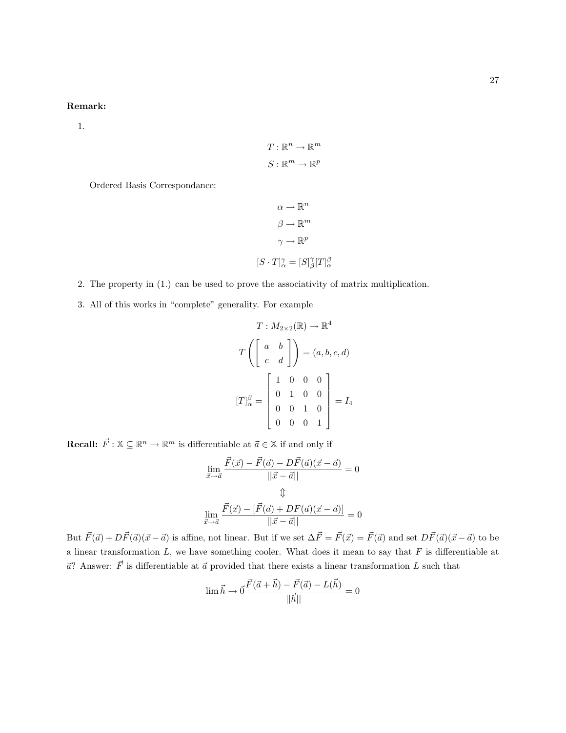## Remark:

1.

$$
T: \mathbb{R}^n \to \mathbb{R}^m
$$

$$
S: \mathbb{R}^m \to \mathbb{R}^p
$$

Ordered Basis Correspondance:

$$
\alpha \to \mathbb{R}^n
$$

$$
\beta \to \mathbb{R}^m
$$

$$
\gamma \to \mathbb{R}^p
$$

$$
[S \cdot T]_{\alpha}^{\gamma} = [S]_{\beta}^{\gamma} [T]_{\alpha}^{\beta}
$$

2. The property in (1.) can be used to prove the associativity of matrix multiplication.

3. All of this works in "complete" generality. For example

$$
T: M_{2\times2}(\mathbb{R}) \to \mathbb{R}^4
$$

$$
T\left(\begin{bmatrix} a & b \\ c & d \end{bmatrix}\right) = (a, b, c, d)
$$

$$
[T]_{\alpha}^{\beta} = \begin{bmatrix} 1 & 0 & 0 & 0 \\ 0 & 1 & 0 & 0 \\ 0 & 0 & 1 & 0 \\ 0 & 0 & 0 & 1 \end{bmatrix} = I_4
$$

**Recall:**  $\vec{F}$  :  $\mathbb{X} \subseteq \mathbb{R}^n \to \mathbb{R}^m$  is differentiable at  $\vec{a} \in \mathbb{X}$  if and only if

$$
\lim_{\vec{x}\to\vec{a}}\frac{\vec{F}(\vec{x}) - \vec{F}(\vec{a}) - D\vec{F}(\vec{a})(\vec{x} - \vec{a})}{||\vec{x} - \vec{a}||} = 0
$$
\n
$$
\Downarrow
$$
\n
$$
\lim_{\vec{x}\to\vec{a}}\frac{\vec{F}(\vec{x}) - [\vec{F}(\vec{a}) + DF(\vec{a})(\vec{x} - \vec{a})]}{||\vec{x} - \vec{a}||} = 0
$$

But  $\vec{F}(\vec{a}) + D\vec{F}(\vec{a})(\vec{x} - \vec{a})$  is affine, not linear. But if we set  $\Delta \vec{F} = \vec{F}(\vec{x}) = \vec{F}(\vec{a})$  and set  $D\vec{F}(\vec{a})(\vec{x} - \vec{a})$  to be a linear transformation  $L$ , we have something cooler. What does it mean to say that  $F$  is differentiable at  $\vec{a}$ ? Answer:  $\vec{F}$  is differentiable at  $\vec{a}$  provided that there exists a linear transformation L such that

$$
\lim {\vec h} \to \vec 0 \frac{\vec F(\vec a+\vec h)-\vec F(\vec a)-L(\vec h)}{||\vec h||}=0
$$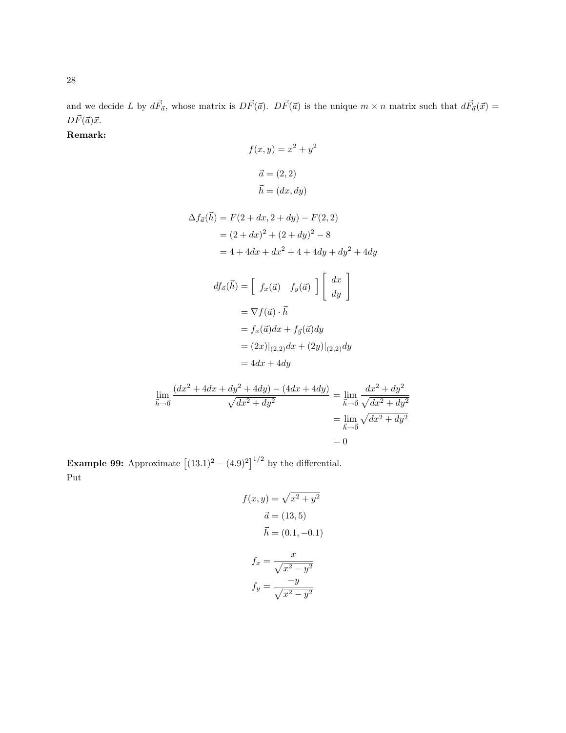and we decide L by  $d\vec{F}_{\vec{a}}$ , whose matrix is  $D\vec{F}(\vec{a})$ .  $D\vec{F}(\vec{a})$  is the unique  $m \times n$  matrix such that  $d\vec{F}_{\vec{a}}(\vec{x}) =$  $D\vec{F}(\vec{a})\vec{x}.$ 

Remark:

$$
f(x,y) = x^2 + y^2
$$
  
\n
$$
\vec{a} = (2, 2)
$$
  
\n
$$
\vec{h} = (dx, dy)
$$
  
\n
$$
\Delta f_{\vec{a}}(\vec{h}) = F(2 + dx, 2 + dy) - F(2, 2)
$$
  
\n
$$
= (2 + dx)^2 + (2 + dy)^2 - 8
$$
  
\n
$$
= 4 + 4dx + dx^2 + 4 + 4dy + dy^2 + 4dy
$$
  
\n
$$
df_{\vec{a}}(\vec{h}) = \begin{bmatrix} f_x(\vec{a}) & f_y(\vec{a}) \end{bmatrix} \begin{bmatrix} dx \\ dy \end{bmatrix}
$$
  
\n
$$
= \nabla f(\vec{a}) \cdot \vec{h}
$$
  
\n
$$
= f_x(\vec{a})dx + f_{\vec{y}}(\vec{a})dy
$$
  
\n
$$
= (2x)|_{(2,2)}dx + (2y)|_{(2,2)}dy
$$
  
\n
$$
= 4dx + 4dy
$$
  
\n
$$
\frac{(dx^2 + 4dx + dy^2 + 4dy) - (4dx + 4dy)}{\sqrt{dx^2 + dy^2}} = \lim_{\vec{h} \to 0} \frac{dx^2 + dy^2}{\sqrt{dx^2 + dy^2}}
$$

**Example 99:** Approximate  $[(13.1)^2 - (4.9)^2]^{1/2}$  by the differential. Put

 $\lim_{\vec{h}\to\vec{0}}$ 

$$
f(x,y) = \sqrt{x^2 + y^2}
$$

$$
\vec{a} = (13,5)
$$

$$
\vec{h} = (0.1, -0.1)
$$

$$
f_x = \frac{x}{\sqrt{x^2 - y^2}}
$$

$$
f_y = \frac{-y}{\sqrt{x^2 - y^2}}
$$

 $=\lim_{\vec{h}\to\vec{0}}$ 

 $= 0\,$ 

 $\sqrt{dx^2 + dy^2}$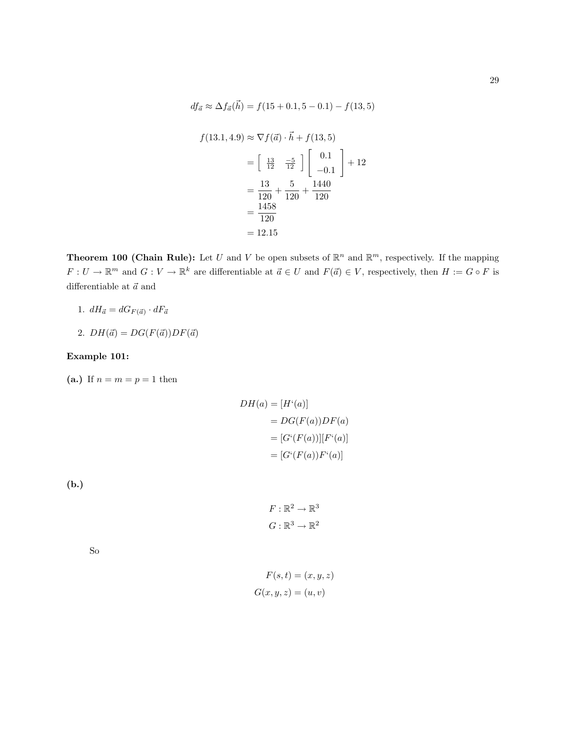$$
df_{\vec{a}} \approx \Delta f_{\vec{a}}(\vec{h}) = f(15 + 0.1, 5 - 0.1) - f(13, 5)
$$
  

$$
f(13.1, 4.9) \approx \nabla f(\vec{a}) \cdot \vec{h} + f(13, 5)
$$
  

$$
= \begin{bmatrix} \frac{13}{12} & -\frac{5}{12} \end{bmatrix} \begin{bmatrix} 0.1 \\ -0.1 \end{bmatrix} + 12
$$
  

$$
= \frac{13}{120} + \frac{5}{120} + \frac{1440}{120}
$$
  

$$
= \frac{1458}{120}
$$
  

$$
= 12.15
$$

**Theorem 100 (Chain Rule):** Let U and V be open subsets of  $\mathbb{R}^n$  and  $\mathbb{R}^m$ , respectively. If the mapping  $F: U \to \mathbb{R}^m$  and  $G: V \to \mathbb{R}^k$  are differentiable at  $\vec{a} \in U$  and  $F(\vec{a}) \in V$ , respectively, then  $H := G \circ F$  is differentiable at  $\vec{a}$  and

- 1.  $dH_{\vec{a}} = dG_{F(\vec{a})} \cdot dF_{\vec{a}}$
- 2.  $DH(\vec{a}) = DG(F(\vec{a}))DF(\vec{a})$

## Example 101:

(a.) If  $n = m = p = 1$  then

$$
DH(a) = [Hi(a)]
$$
  
= 
$$
DG(F(a))DF(a)
$$
  
= 
$$
[Gi(F(a))][Fi(a)]
$$
  
= 
$$
[Gi(F(a))Fi(a)]
$$

(b.)

$$
F: \mathbb{R}^2 \to \mathbb{R}^3
$$

$$
G: \mathbb{R}^3 \to \mathbb{R}^2
$$

So

$$
F(s,t) = (x, y, z)
$$

$$
G(x, y, z) = (u, v)
$$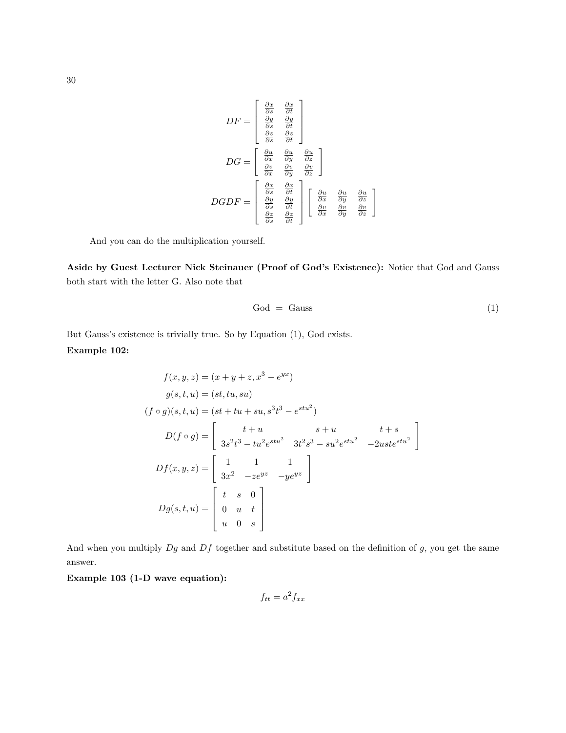$$
DF = \begin{bmatrix} \frac{\partial x}{\partial s} & \frac{\partial x}{\partial t} \\ \frac{\partial y}{\partial s} & \frac{\partial y}{\partial t} \\ \frac{\partial z}{\partial s} & \frac{\partial z}{\partial t} \end{bmatrix}
$$

$$
DG = \begin{bmatrix} \frac{\partial u}{\partial x} & \frac{\partial u}{\partial y} & \frac{\partial u}{\partial z} \\ \frac{\partial v}{\partial x} & \frac{\partial v}{\partial y} & \frac{\partial v}{\partial z} \end{bmatrix}
$$

$$
DGDF = \begin{bmatrix} \frac{\partial x}{\partial s} & \frac{\partial x}{\partial t} \\ \frac{\partial y}{\partial s} & \frac{\partial y}{\partial t} \\ \frac{\partial z}{\partial s} & \frac{\partial z}{\partial t} \end{bmatrix} \begin{bmatrix} \frac{\partial u}{\partial x} & \frac{\partial u}{\partial y} & \frac{\partial u}{\partial z} \\ \frac{\partial v}{\partial x} & \frac{\partial v}{\partial y} & \frac{\partial v}{\partial z} \end{bmatrix}
$$

And you can do the multiplication yourself.

Aside by Guest Lecturer Nick Steinauer (Proof of God's Existence): Notice that God and Gauss both start with the letter G. Also note that

$$
God = Gauss
$$
 (1)

But Gauss's existence is trivially true. So by Equation (1), God exists. Example 102:

$$
f(x, y, z) = (x + y + z, x^{3} - e^{yx})
$$
  
\n
$$
g(s, t, u) = (st, tu, su)
$$
  
\n
$$
(f \circ g)(s, t, u) = (st + tu + su, s^{3}t^{3} - e^{stu^{2}})
$$
  
\n
$$
D(f \circ g) = \begin{bmatrix} t + u & s + u & t + s \\ 3s^{2}t^{3} - tu^{2}e^{stu^{2}} & 3t^{2}s^{3} - su^{2}e^{stu^{2}} & -2uste^{stu^{2}} \\ 3x^{2} - ze^{yz} & -ye^{yz} \end{bmatrix}
$$
  
\n
$$
Dg(s, t, u) = \begin{bmatrix} t & s & 0 \\ 0 & u & t \\ u & 0 & s \end{bmatrix}
$$

And when you multiply  $Dg$  and  $Df$  together and substitute based on the definition of  $g$ , you get the same answer.

Example 103 (1-D wave equation):

$$
f_{tt} = a^2 f_{xx}
$$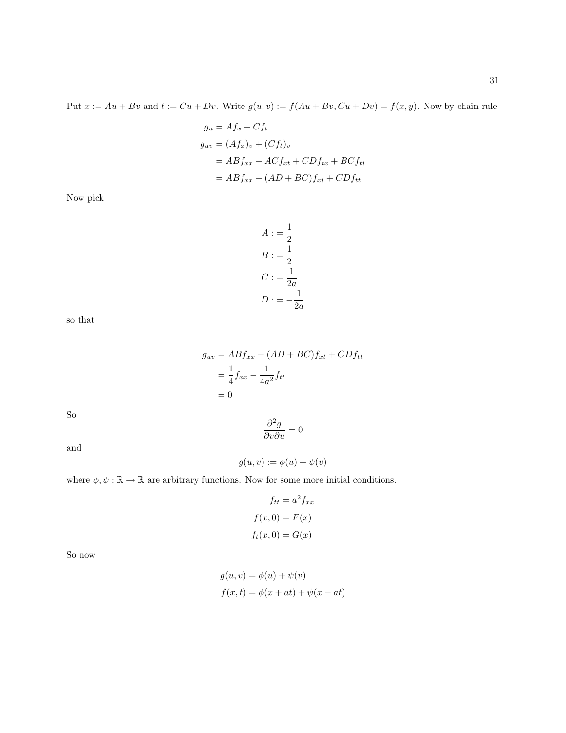$$
g_u = Af_x + Cf_t
$$
  
\n
$$
g_{uv} = (Af_x)_v + (Cf_t)_v
$$
  
\n
$$
= ABf_{xx} + ACf_{xt} + CDf_{tx} + BCf_{tt}
$$
  
\n
$$
= ABf_{xx} + (AD + BC)f_{xt} + CDf_{tt}
$$

Now pick

$$
A := \frac{1}{2}
$$
  

$$
B := \frac{1}{2}
$$
  

$$
C := \frac{1}{2a}
$$
  

$$
D := -\frac{1}{2a}
$$

so that

$$
g_{uv} = ABf_{xx} + (AD + BC)f_{xt} + CDf_{tt}
$$

$$
= \frac{1}{4}f_{xx} - \frac{1}{4a^2}f_{tt}
$$

$$
= 0
$$

So

and

$$
g(u, v) := \phi(u) + \psi(v)
$$

 $\frac{\partial^2 g}{\partial v \partial u} = 0$ 

where 
$$
\phi, \psi : \mathbb{R} \to \mathbb{R}
$$
 are arbitrary functions. Now for some more initial conditions.

$$
f_{tt} = a^2 f_{xx}
$$

$$
f(x, 0) = F(x)
$$

$$
f_t(x, 0) = G(x)
$$

So now

$$
g(u, v) = \phi(u) + \psi(v)
$$
  

$$
f(x, t) = \phi(x + at) + \psi(x - at)
$$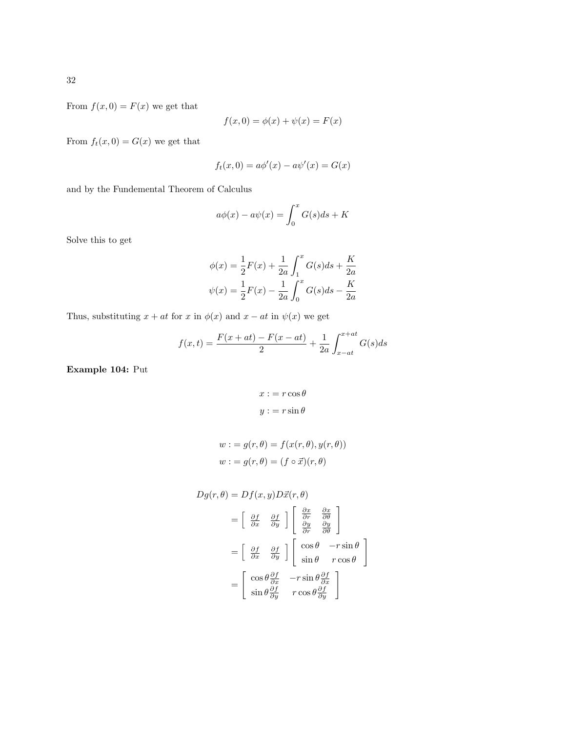From  $f(x, 0) = F(x)$  we get that

$$
f(x,0) = \phi(x) + \psi(x) = F(x)
$$

From  $f_t(x, 0) = G(x)$  we get that

$$
f_t(x,0) = a\phi'(x) - a\psi'(x) = G(x)
$$

and by the Fundemental Theorem of Calculus

$$
a\phi(x) - a\psi(x) = \int_0^x G(s)ds + K
$$

Solve this to get

$$
\phi(x) = \frac{1}{2}F(x) + \frac{1}{2a} \int_1^x G(s)ds + \frac{K}{2a}
$$

$$
\psi(x) = \frac{1}{2}F(x) - \frac{1}{2a} \int_0^x G(s)ds - \frac{K}{2a}
$$

Thus, substituting  $x + at$  for x in  $\phi(x)$  and  $x - at$  in  $\psi(x)$  we get

$$
f(x,t) = \frac{F(x+at) - F(x-at)}{2} + \frac{1}{2a} \int_{x-at}^{x+at} G(s)ds
$$

Example 104: Put

$$
x := r \cos \theta
$$

$$
y := r \sin \theta
$$

$$
w := g(r, \theta) = f(x(r, \theta), y(r, \theta))
$$
  

$$
w := g(r, \theta) = (f \circ \vec{x})(r, \theta)
$$

$$
Dg(r, \theta) = Df(x, y)D\vec{x}(r, \theta)
$$
  
=  $\begin{bmatrix} \frac{\partial f}{\partial x} & \frac{\partial f}{\partial y} \end{bmatrix} \begin{bmatrix} \frac{\partial x}{\partial r} & \frac{\partial x}{\partial \theta} \\ \frac{\partial y}{\partial r} & \frac{\partial y}{\partial \theta} \end{bmatrix}$   
=  $\begin{bmatrix} \frac{\partial f}{\partial x} & \frac{\partial f}{\partial y} \end{bmatrix} \begin{bmatrix} \cos \theta & -r \sin \theta \\ \sin \theta & r \cos \theta \end{bmatrix}$   
=  $\begin{bmatrix} \cos \theta \frac{\partial f}{\partial x} & -r \sin \theta \frac{\partial f}{\partial x} \\ \sin \theta \frac{\partial f}{\partial y} & r \cos \theta \frac{\partial f}{\partial y} \end{bmatrix}$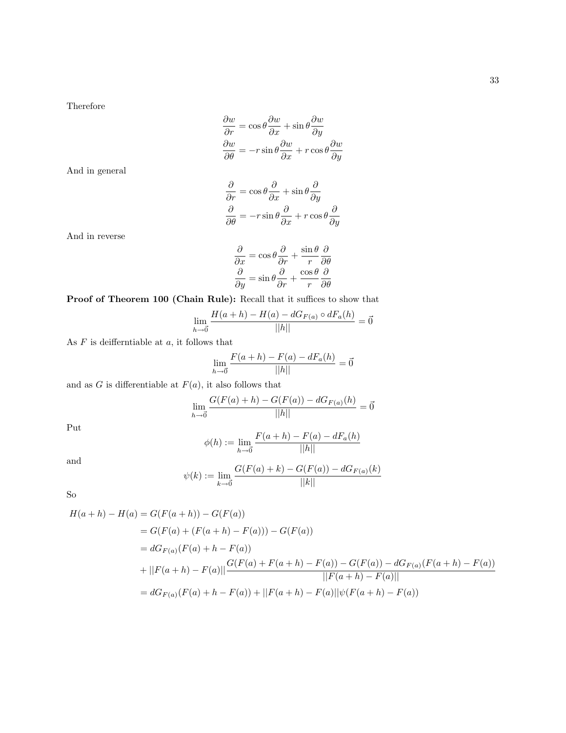$$
\frac{\partial w}{\partial r} = \cos \theta \frac{\partial w}{\partial x} + \sin \theta \frac{\partial w}{\partial y}
$$

$$
\frac{\partial w}{\partial \theta} = -r \sin \theta \frac{\partial w}{\partial x} + r \cos \theta \frac{\partial w}{\partial y}
$$

And in general

$$
\frac{\partial}{\partial r} = \cos \theta \frac{\partial}{\partial x} + \sin \theta \frac{\partial}{\partial y}
$$

$$
\frac{\partial}{\partial \theta} = -r \sin \theta \frac{\partial}{\partial x} + r \cos \theta \frac{\partial}{\partial y}
$$

And in reverse

$$
\frac{\partial}{\partial x} = \cos \theta \frac{\partial}{\partial r} + \frac{\sin \theta}{r} \frac{\partial}{\partial \theta}
$$

$$
\frac{\partial}{\partial y} = \sin \theta \frac{\partial}{\partial r} + \frac{\cos \theta}{r} \frac{\partial}{\partial \theta}
$$

Proof of Theorem 100 (Chain Rule): Recall that it suffices to show that

$$
\lim_{h \to \vec{0}} \frac{H(a+h) - H(a) - dG_{F(a)} \circ dF_a(h)}{||h||} = \vec{0}
$$

As  $F$  is deifferntiable at  $a$ , it follows that

$$
\lim_{h \to 0} \frac{F(a+h) - F(a) - dF_a(h)}{||h||} = 0
$$

and as  $G$  is differentiable at  $F(a)$ , it also follows that

$$
\lim_{h \to \vec{0}} \frac{G(F(a) + h) - G(F(a)) - dG_{F(a)}(h)}{||h||} = \vec{0}
$$

Put

$$
\phi(h) := \lim_{h \to 0} \frac{F(a+h) - F(a) - dF_a(h)}{||h||}
$$

and

$$
\psi(k) := \lim_{k \to 0} \frac{G(F(a) + k) - G(F(a)) - dG_{F(a)}(k)}{||k||}
$$

So

$$
H(a+h) - H(a) = G(F(a+h)) - G(F(a))
$$
  
=  $G(F(a) + (F(a+h) - F(a))) - G(F(a))$   
=  $dG_{F(a)}(F(a) + h - F(a))$   
+  $||F(a+h) - F(a)|| \frac{G(F(a) + F(a+h) - F(a)) - G(F(a)) - dG_{F(a)}(F(a+h) - F(a))}{||F(a+h) - F(a)||}$   
=  $dG_{F(a)}(F(a) + h - F(a)) + ||F(a+h) - F(a)||\psi(F(a+h) - F(a))$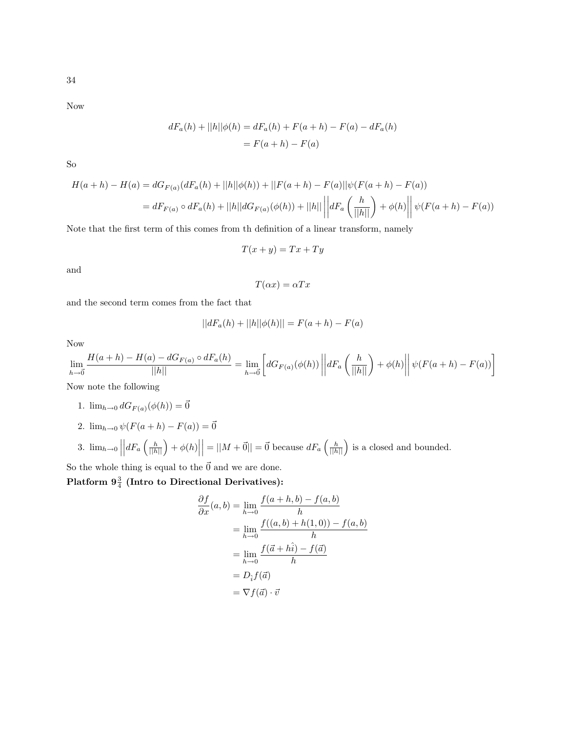Now

$$
dF_a(h) + ||h||\phi(h) = dF_a(h) + F(a+h) - F(a) - dF_a(h)
$$
  
= F(a+h) - F(a)

So

$$
H(a+h) - H(a) = dG_{F(a)}(dF_a(h) + ||h||\phi(h)) + ||F(a+h) - F(a)||\psi(F(a+h) - F(a))
$$
  
=  $dF_{F(a)} \circ dF_a(h) + ||h||dG_{F(a)}(\phi(h)) + ||h|| \left||dF_a\left(\frac{h}{||h||}\right) + \phi(h)\right|| \psi(F(a+h) - F(a))$ 

Note that the first term of this comes from th definition of a linear transform, namely

$$
T(x+y) = Tx + Ty
$$

and

$$
T(\alpha x) = \alpha Tx
$$

and the second term comes from the fact that

$$
||dF_a(h) + ||h||\phi(h)|| = F(a+h) - F(a)
$$

Now

$$
\lim_{h \to 0} \frac{H(a+h) - H(a) - dG_{F(a)} \circ dF_a(h)}{||h||} = \lim_{h \to 0} \left[ dG_{F(a)}(\phi(h)) \left| \left| dF_a\left(\frac{h}{||h||}\right) + \phi(h) \right| \right| \psi(F(a+h) - F(a)) \right]
$$

Now note the following

- 1.  $\lim_{h\to 0} dG_{F(a)}(\phi(h)) = \vec{0}$
- 2.  $\lim_{h\to 0} \psi(F(a+h) F(a)) = \vec{0}$
- 3.  $\lim_{h\to 0}$  $\left| dF_a \left( \frac{h}{||h||} \right) + \phi(h) \right|$  $= ||M + \vec{0}|| = \vec{0}$  because  $dF_a\left(\frac{h}{||h||}\right)$  is a closed and bounded.

So the whole thing is equal to the  $\vec{0}$  and we are done.

Platform  $9\frac{3}{4}$  (Intro to Directional Derivatives):

$$
\frac{\partial f}{\partial x}(a,b) = \lim_{h \to 0} \frac{f(a+h,b) - f(a,b)}{h}
$$

$$
= \lim_{h \to 0} \frac{f((a,b) + h(1,0)) - f(a,b)}{h}
$$

$$
= \lim_{h \to 0} \frac{f(\vec{a} + h\hat{i}) - f(\vec{a})}{h}
$$

$$
= D_{\hat{i}}f(\vec{a})
$$

$$
= \nabla f(\vec{a}) \cdot \vec{v}
$$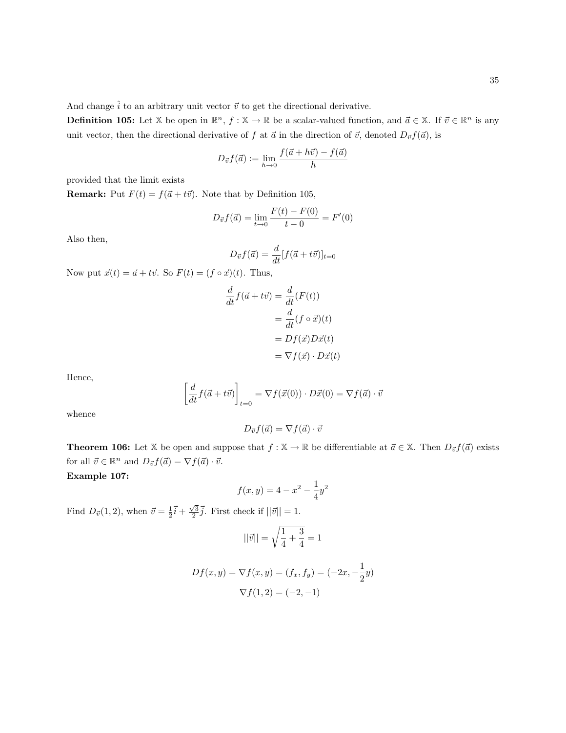And change  $\hat{i}$  to an arbitrary unit vector  $\vec{v}$  to get the directional derivative.

**Definition 105:** Let X be open in  $\mathbb{R}^n$ ,  $f : \mathbb{X} \to \mathbb{R}$  be a scalar-valued function, and  $\vec{a} \in \mathbb{X}$ . If  $\vec{v} \in \mathbb{R}^n$  is any unit vector, then the directional derivative of f at  $\vec{a}$  in the direction of  $\vec{v}$ , denoted  $D_{\vec{v}}f(\vec{a})$ , is

$$
D_{\vec{v}}f(\vec{a}) := \lim_{h \to 0} \frac{f(\vec{a} + h\vec{v}) - f(\vec{a})}{h}
$$

provided that the limit exists

**Remark:** Put  $F(t) = f(\vec{a} + t\vec{v})$ . Note that by Definition 105,

$$
D_{\vec{v}}f(\vec{a}) = \lim_{t \to 0} \frac{F(t) - F(0)}{t - 0} = F'(0)
$$

Also then,

$$
D_{\vec{v}}f(\vec{a}) = \frac{d}{dt}[f(\vec{a} + t\vec{v})]_{t=0}
$$

Now put  $\vec{x}(t) = \vec{a} + t\vec{v}$ . So  $F(t) = (f \circ \vec{x})(t)$ . Thus,

$$
\frac{d}{dt}f(\vec{a} + t\vec{v}) = \frac{d}{dt}(F(t))
$$
\n
$$
= \frac{d}{dt}(f \circ \vec{x})(t)
$$
\n
$$
= Df(\vec{x})D\vec{x}(t)
$$
\n
$$
= \nabla f(\vec{x}) \cdot D\vec{x}(t)
$$

Hence,

$$
\left[\frac{d}{dt}f(\vec{a} + t\vec{v})\right]_{t=0} = \nabla f(\vec{x}(0)) \cdot D\vec{x}(0) = \nabla f(\vec{a}) \cdot \vec{v}
$$

whence

$$
D_{\vec{v}}f(\vec{a}) = \nabla f(\vec{a}) \cdot \vec{v}
$$

**Theorem 106:** Let X be open and suppose that  $f : X \to \mathbb{R}$  be differentiable at  $\vec{a} \in X$ . Then  $D_{\vec{v}}f(\vec{a})$  exists for all  $\vec{v} \in \mathbb{R}^n$  and  $D_{\vec{v}} f(\vec{a}) = \nabla f(\vec{a}) \cdot \vec{v}$ .

Example 107:

$$
f(x,y) = 4 - x^2 - \frac{1}{4}y^2
$$

Find  $D_{\vec{v}}(1,2)$ , when  $\vec{v} = \frac{1}{2}\vec{i} + \frac{\sqrt{3}}{2}\vec{j}$ . First check if  $||\vec{v}|| = 1$ .

$$
||\vec{v}|| = \sqrt{\frac{1}{4} + \frac{3}{4}} = 1
$$

$$
Df(x,y) = \nabla f(x,y) = (f_x, f_y) = (-2x, -\frac{1}{2}y)
$$

$$
\nabla f(1,2) = (-2, -1)
$$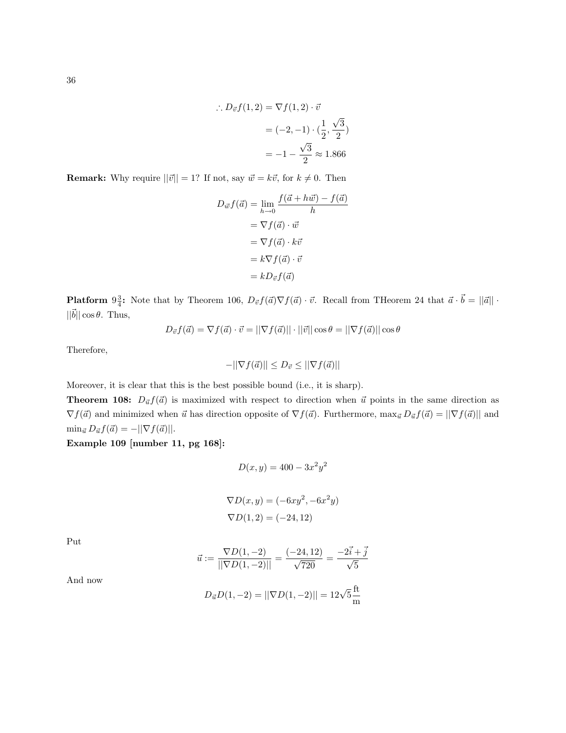$$
\therefore D_{\vec{v}}f(1,2) = \nabla f(1,2) \cdot \vec{v}
$$

$$
= (-2,-1) \cdot (\frac{1}{2},\frac{\sqrt{3}}{2})
$$

$$
= -1 - \frac{\sqrt{3}}{2} \approx 1.866
$$

**Remark:** Why require  $||\vec{v}|| = 1$ ? If not, say  $\vec{w} = k\vec{v}$ , for  $k \neq 0$ . Then

$$
D_{\vec{w}}f(\vec{a}) = \lim_{h \to 0} \frac{f(\vec{a} + h\vec{w}) - f(\vec{a})}{h}
$$

$$
= \nabla f(\vec{a}) \cdot \vec{w}
$$

$$
= \nabla f(\vec{a}) \cdot k\vec{v}
$$

$$
= k \nabla f(\vec{a}) \cdot \vec{v}
$$

$$
= k D_{\vec{v}} f(\vec{a})
$$

**Platform**  $9\frac{3}{4}$ : Note that by Theorem 106,  $D_{\vec{v}}f(\vec{a})\nabla f(\vec{a}) \cdot \vec{v}$ . Recall from THeorem 24 that  $\vec{a} \cdot \vec{b} = ||\vec{a}|| \cdot$  $||\vec{b}|| \cos \theta$ . Thus,

$$
D_{\vec{v}}f(\vec{a}) = \nabla f(\vec{a}) \cdot \vec{v} = ||\nabla f(\vec{a})|| \cdot ||\vec{v}|| \cos \theta = ||\nabla f(\vec{a})|| \cos \theta
$$

Therefore,

$$
-||\nabla f(\vec{a})|| \le D_{\vec{v}} \le ||\nabla f(\vec{a})||
$$

Moreover, it is clear that this is the best possible bound (i.e., it is sharp).

**Theorem 108:**  $D_{\vec{u}}f(\vec{a})$  is maximized with respect to direction when  $\vec{u}$  points in the same direction as  $\nabla f(\vec{a})$  and minimized when  $\vec{u}$  has direction opposite of  $\nabla f(\vec{a})$ . Furthermore,  $\max_{\vec{u}} D_{\vec{u}} f(\vec{a}) = ||\nabla f(\vec{a})||$  and  $\min_{\vec{a}} D_{\vec{a}} f(\vec{a}) = -||\nabla f(\vec{a})||.$ 

Example 109 [number 11, pg 168]:

$$
D(x, y) = 400 - 3x^2y^2
$$

$$
\nabla D(x, y) = (-6xy^2, -6x^2y)
$$
  

$$
\nabla D(1, 2) = (-24, 12)
$$

Put

$$
\vec{u}:=\frac{\nabla D(1,-2)}{||\nabla D(1,-2)||}=\frac{(-24,12)}{\sqrt{720}}=\frac{-2\vec{i}+\vec{j}}{\sqrt{5}}
$$

 $D_{\vec{u}}D(1,-2) = ||\nabla D(1,-2)|| = 12\sqrt{5}\frac{\text{ft}}{m}$ m

36

And now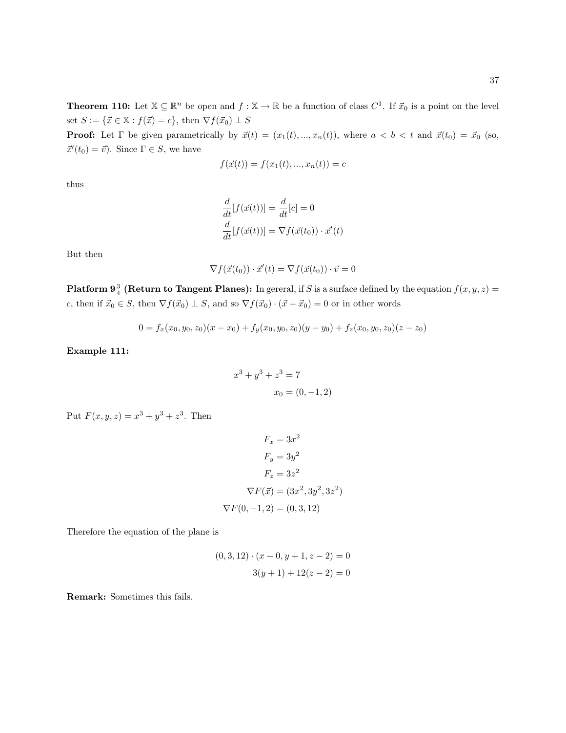**Theorem 110:** Let  $\mathbb{X} \subseteq \mathbb{R}^n$  be open and  $f : \mathbb{X} \to \mathbb{R}$  be a function of class  $C^1$ . If  $\vec{x}_0$  is a point on the level set  $S := \{\vec{x} \in \mathbb{X} : f(\vec{x}) = c\}$ , then  $\nabla f(\vec{x}_0) \perp S$ 

**Proof:** Let  $\Gamma$  be given parametrically by  $\vec{x}(t) = (x_1(t), ..., x_n(t))$ , where  $a < b < t$  and  $\vec{x}(t_0) = \vec{x}_0$  (so,  $\vec{x}'(t_0) = \vec{v}$ . Since  $\Gamma \in S$ , we have

$$
f(\vec{x}(t)) = f(x_1(t), ..., x_n(t)) = c
$$

thus

$$
\frac{d}{dt}[f(\vec{x}(t))] = \frac{d}{dt}[c] = 0
$$
\n
$$
\frac{d}{dt}[f(\vec{x}(t))] = \nabla f(\vec{x}(t_0)) \cdot \vec{x}'(t)
$$

But then

$$
\nabla f(\vec{x}(t_0)) \cdot \vec{x}'(t) = \nabla f(\vec{x}(t_0)) \cdot \vec{v} = 0
$$

**Platform 9**<sup>3</sup>/<sub>4</sub> (Return to Tangent Planes): In gereral, if S is a surface defined by the equation  $f(x, y, z)$  = c, then if  $\vec{x}_0 \in S$ , then  $\nabla f(\vec{x}_0) \perp S$ , and so  $\nabla f(\vec{x}_0) \cdot (\vec{x} - \vec{x}_0) = 0$  or in other words

$$
0 = f_x(x_0, y_0, z_0)(x - x_0) + f_y(x_0, y_0, z_0)(y - y_0) + f_z(x_0, y_0, z_0)(z - z_0)
$$

Example 111:

$$
x^{3} + y^{3} + z^{3} = 7
$$

$$
x_{0} = (0, -1, 2)
$$

Put  $F(x, y, z) = x^3 + y^3 + z^3$ . Then

$$
F_x = 3x^2
$$

$$
F_y = 3y^2
$$

$$
F_z = 3z^2
$$

$$
\nabla F(\vec{x}) = (3x^2, 3y^2, 3z^2)
$$

$$
\nabla F(0, -1, 2) = (0, 3, 12)
$$

Therefore the equation of the plane is

$$
(0,3,12) \cdot (x-0, y+1, z-2) = 0
$$

$$
3(y+1) + 12(z-2) = 0
$$

Remark: Sometimes this fails.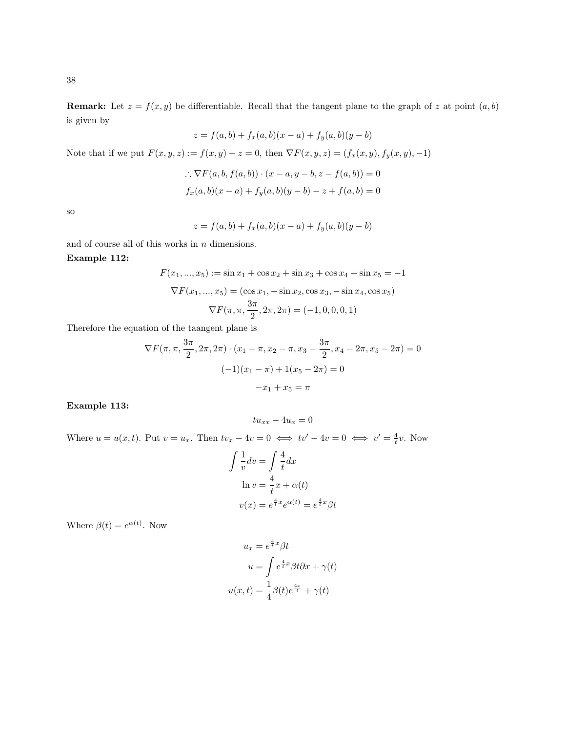**Remark:** Let  $z = f(x, y)$  be differentiable. Recall that the tangent plane to the graph of z at point  $(a, b)$ is given by

$$
z = f(a, b) + f_x(a, b)(x - a) + f_y(a, b)(y - b)
$$

Note that if we put  $F(x, y, z) := f(x, y) - z = 0$ , then  $\nabla F(x, y, z) = (f_x(x, y), f_y(x, y), -1)$ 

$$
\therefore \nabla F(a, b, f(a, b)) \cdot (x - a, y - b, z - f(a, b)) = 0
$$
  

$$
f_x(a, b)(x - a) + f_y(a, b)(y - b) - z + f(a, b) = 0
$$

so

$$
z = f(a, b) + f_x(a, b)(x - a) + f_y(a, b)(y - b)
$$

and of course all of this works in  $\boldsymbol{n}$  dimensions.

## Example 112:

$$
F(x_1, ..., x_5) := \sin x_1 + \cos x_2 + \sin x_3 + \cos x_4 + \sin x_5 = -1
$$

$$
\nabla F(x_1, ..., x_5) = (\cos x_1, -\sin x_2, \cos x_3, -\sin x_4, \cos x_5)
$$

$$
\nabla F(\pi, \pi, \frac{3\pi}{2}, 2\pi, 2\pi) = (-1, 0, 0, 0, 1)
$$

Therefore the equation of the taangent plane is

$$
\nabla F(\pi, \pi, \frac{3\pi}{2}, 2\pi, 2\pi) \cdot (x_1 - \pi, x_2 - \pi, x_3 - \frac{3\pi}{2}, x_4 - 2\pi, x_5 - 2\pi) = 0
$$

$$
(-1)(x_1 - \pi) + 1(x_5 - 2\pi) = 0
$$

$$
-x_1 + x_5 = \pi
$$

#### Example 113:

$$
tu_{xx} - 4u_x = 0
$$

Where  $u = u(x, t)$ . Put  $v = u_x$ . Then  $tv_x - 4v = 0 \iff tv' - 4v = 0 \iff v' = \frac{4}{t}v$ . Now

$$
\int \frac{1}{v} dv = \int \frac{4}{t} dx
$$
  
ln  $v = \frac{4}{t}x + \alpha(t)$   
 $v(x) = e^{\frac{4}{t}x} e^{\alpha(t)} = e^{\frac{4}{t}x} \beta t$ 

Where  $\beta(t) = e^{\alpha(t)}$ . Now

$$
u_x = e^{\frac{4}{t}x} \beta t
$$

$$
u = \int e^{\frac{4}{t}x} \beta t \partial x + \gamma(t)
$$

$$
u(x, t) = \frac{1}{4} \beta(t) e^{\frac{4x}{t}} + \gamma(t)
$$

38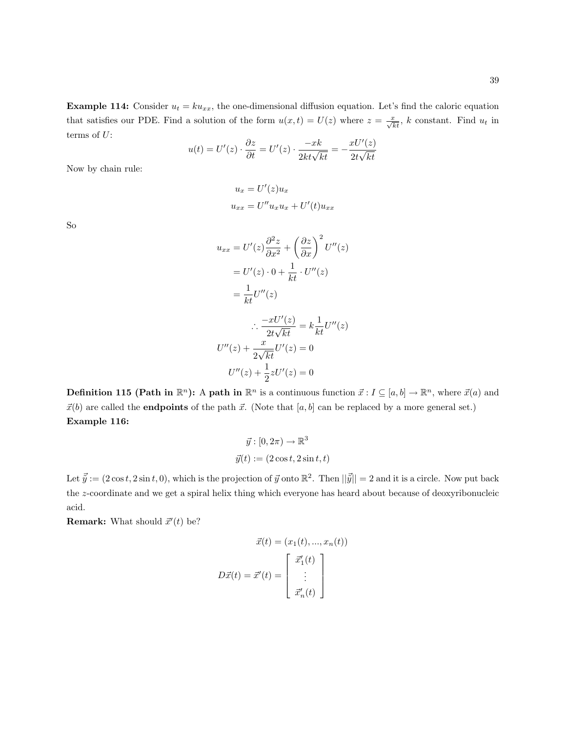**Example 114:** Consider  $u_t = k u_{xx}$ , the one-dimensional diffusion equation. Let's find the caloric equation that satisfies our PDE. Find a solution of the form  $u(x,t) = U(z)$  where  $z = \frac{x}{\sqrt{kt}}$ , k constant. Find  $u_t$  in terms of  $U$ :

$$
u(t) = U'(z) \cdot \frac{\partial z}{\partial t} = U'(z) \cdot \frac{-xk}{2kt\sqrt{kt}} = -\frac{xU'(z)}{2t\sqrt{kt}}
$$

Now by chain rule:

$$
u_x = U'(z)u_x
$$
  

$$
u_{xx} = U''u_xu_x + U'(t)u_{xx}
$$

So

$$
u_{xx} = U'(z)\frac{\partial^2 z}{\partial x^2} + \left(\frac{\partial z}{\partial x}\right)^2 U''(z)
$$
  

$$
= U'(z) \cdot 0 + \frac{1}{kt} \cdot U''(z)
$$
  

$$
= \frac{1}{kt}U''(z)
$$
  

$$
\therefore \frac{-xU'(z)}{2t\sqrt{kt}} = k\frac{1}{kt}U''(z)
$$
  

$$
U''(z) + \frac{x}{2\sqrt{kt}}U'(z) = 0
$$
  

$$
U''(z) + \frac{1}{2}zU'(z) = 0
$$

**Definition 115 (Path in**  $\mathbb{R}^n$ **):** A **path in**  $\mathbb{R}^n$  is a continuous function  $\vec{x}$ :  $I \subseteq [a, b] \to \mathbb{R}^n$ , where  $\vec{x}(a)$  and  $\vec{x}(b)$  are called the **endpoints** of the path  $\vec{x}$ . (Note that [a, b] can be replaced by a more general set.) Example 116:

$$
\vec{y} : [0, 2\pi) \to \mathbb{R}^3
$$

$$
\vec{y}(t) := (2\cos t, 2\sin t, t)
$$

Let  $\vec{y} := (2 \cos t, 2 \sin t, 0)$ , which is the projection of  $\vec{y}$  onto  $\mathbb{R}^2$ . Then  $||\vec{y}|| = 2$  and it is a circle. Now put back the z-coordinate and we get a spiral helix thing which everyone has heard about because of deoxyribonucleic acid.

**Remark:** What should  $\vec{x}'(t)$  be?

$$
\vec{x}(t) = (x_1(t), ..., x_n(t))
$$

$$
D\vec{x}(t) = \vec{x}'(t) = \begin{bmatrix} \vec{x}'_1(t) \\ \vdots \\ \vec{x}'_n(t) \end{bmatrix}
$$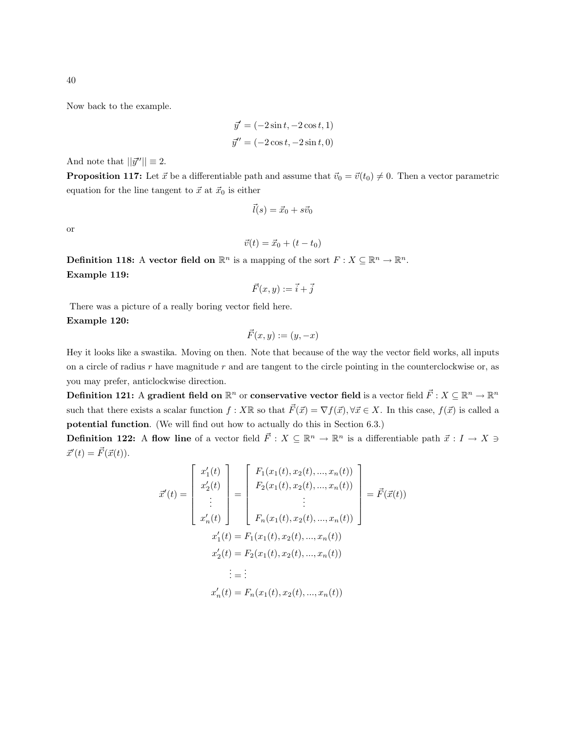Now back to the example.

$$
\vec{y}' = (-2\sin t, -2\cos t, 1)
$$

$$
\vec{y}'' = (-2\cos t, -2\sin t, 0)
$$

And note that  $||\vec{y}''|| \equiv 2$ .

**Proposition 117:** Let  $\vec{x}$  be a differentiable path and assume that  $\vec{v}_0 = \vec{v}(t_0) \neq 0$ . Then a vector parametric equation for the line tangent to  $\vec{x}$  at  $\vec{x}_0$  is either

$$
\vec{l}(s) = \vec{x}_0 + s\vec{v}_0
$$

or

$$
\vec{v}(t) = \vec{x}_0 + (t - t_0)
$$

**Definition 118:** A vector field on  $\mathbb{R}^n$  is a mapping of the sort  $F: X \subseteq \mathbb{R}^n \to \mathbb{R}^n$ . Example 119:

$$
\vec{F}(x,y):=\vec{i}+\vec{j}
$$

There was a picture of a really boring vector field here. Example 120:

$$
\vec{F}(x,y) := (y, -x)
$$

Hey it looks like a swastika. Moving on then. Note that because of the way the vector field works, all inputs on a circle of radius  $r$  have magnitude  $r$  and are tangent to the circle pointing in the counterclockwise or, as you may prefer, anticlockwise direction.

Definition 121: A gradient field on  $\R^n$  or conservative vector field is a vector field  $\vec F:X\subseteq\R^n\to\R^n$ such that there exists a scalar function  $f : X \mathbb{R}$  so that  $\vec{F}(\vec{x}) = \nabla f(\vec{x}), \forall \vec{x} \in X$ . In this case,  $f(\vec{x})$  is called a potential function. (We will find out how to actually do this in Section 6.3.)

**Definition 122:** A flow line of a vector field  $\vec{F}$  :  $X \subseteq \mathbb{R}^n \to \mathbb{R}^n$  is a differentiable path  $\vec{x}$  :  $I \to X \ni$  $\vec{x}'(t) = \vec{F}(\vec{x}(t)).$ 

$$
\vec{x}'(t) = \begin{bmatrix} x'_1(t) \\ x'_2(t) \\ \vdots \\ x'_n(t) \end{bmatrix} = \begin{bmatrix} F_1(x_1(t), x_2(t), ..., x_n(t)) \\ F_2(x_1(t), x_2(t), ..., x_n(t)) \\ \vdots \\ F_n(x_1(t), x_2(t), ..., x_n(t)) \end{bmatrix} = \vec{F}(\vec{x}(t))
$$

$$
x'_1(t) = F_1(x_1(t), x_2(t), ..., x_n(t))
$$

$$
x'_2(t) = F_2(x_1(t), x_2(t), ..., x_n(t))
$$

$$
\vdots = \vdots
$$

$$
x'_n(t) = F_n(x_1(t), x_2(t), ..., x_n(t))
$$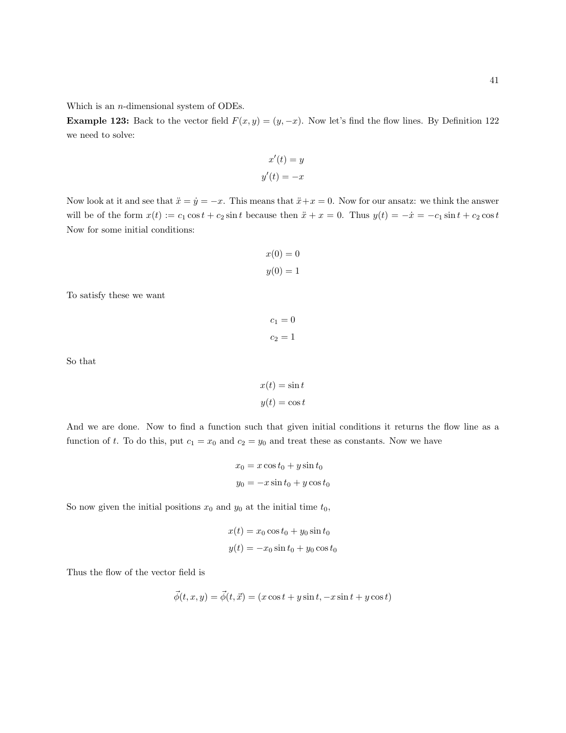Which is an n-dimensional system of ODEs.

**Example 123:** Back to the vector field  $F(x, y) = (y, -x)$ . Now let's find the flow lines. By Definition 122 we need to solve:

$$
x'(t) = y
$$

$$
y'(t) = -x
$$

Now look at it and see that  $\ddot{x} = \dot{y} = -x$ . This means that  $\ddot{x} + x = 0$ . Now for our ansatz: we think the answer will be of the form  $x(t) := c_1 \cos t + c_2 \sin t$  because then  $\ddot{x} + x = 0$ . Thus  $y(t) = -\dot{x} = -c_1 \sin t + c_2 \cos t$ Now for some initial conditions:

$$
x(0) = 0
$$

$$
y(0) = 1
$$

To satisfy these we want

$$
c_1 = 0
$$
  

$$
c_2 = 1
$$

So that

$$
x(t) = \sin t
$$

$$
y(t) = \cos t
$$

And we are done. Now to find a function such that given initial conditions it returns the flow line as a function of t. To do this, put  $c_1 = x_0$  and  $c_2 = y_0$  and treat these as constants. Now we have

$$
x_0 = x \cos t_0 + y \sin t_0
$$
  

$$
y_0 = -x \sin t_0 + y \cos t_0
$$

So now given the initial positions  $x_0$  and  $y_0$  at the initial time  $t_0$ ,

$$
x(t) = x_0 \cos t_0 + y_0 \sin t_0
$$
  

$$
y(t) = -x_0 \sin t_0 + y_0 \cos t_0
$$

Thus the flow of the vector field is

$$
\vec{\phi}(t, x, y) = \vec{\phi}(t, \vec{x}) = (x \cos t + y \sin t, -x \sin t + y \cos t)
$$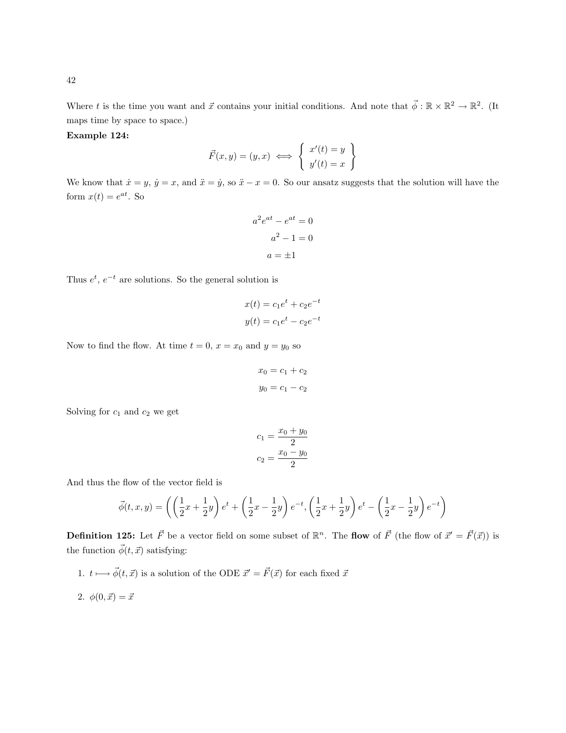Where t is the time you want and  $\vec{x}$  contains your initial conditions. And note that  $\vec{\phi}: \mathbb{R} \times \mathbb{R}^2 \to \mathbb{R}^2$ . (It maps time by space to space.)

Example 124:

$$
\vec{F}(x,y) = (y,x) \iff \begin{cases} x'(t) = y \\ y'(t) = x \end{cases}
$$

We know that  $\dot{x} = y$ ,  $\dot{y} = x$ , and  $\ddot{x} = \dot{y}$ , so  $\ddot{x} - x = 0$ . So our ansatz suggests that the solution will have the form  $x(t) = e^{at}$ . So

$$
a2eat - eat = 0
$$

$$
a2 - 1 = 0
$$

$$
a = \pm 1
$$

Thus  $e^t$ ,  $e^{-t}$  are solutions. So the general solution is

$$
x(t) = c_1 e^t + c_2 e^{-t}
$$

$$
y(t) = c_1 e^t - c_2 e^{-t}
$$

Now to find the flow. At time  $t = 0$ ,  $x = x_0$  and  $y = y_0$  so

$$
x_0 = c_1 + c_2
$$

$$
y_0 = c_1 - c_2
$$

Solving for  $c_1$  and  $c_2$  we get

$$
c_1 = \frac{x_0 + y_0}{2}
$$

$$
c_2 = \frac{x_0 - y_0}{2}
$$

And thus the flow of the vector field is

$$
\vec{\phi}(t, x, y) = \left( \left( \frac{1}{2}x + \frac{1}{2}y \right) e^t + \left( \frac{1}{2}x - \frac{1}{2}y \right) e^{-t}, \left( \frac{1}{2}x + \frac{1}{2}y \right) e^t - \left( \frac{1}{2}x - \frac{1}{2}y \right) e^{-t} \right)
$$

**Definition 125:** Let  $\vec{F}$  be a vector field on some subset of  $\mathbb{R}^n$ . The flow of  $\vec{F}$  (the flow of  $\vec{x}' = \vec{F}(\vec{x})$ ) is the function  $\vec{\phi}(t, \vec{x})$  satisfying:

1.  $t \longmapsto \vec{\phi}(t, \vec{x})$  is a solution of the ODE  $\vec{x}' = \vec{F}(\vec{x})$  for each fixed  $\vec{x}$ 

2.  $\phi(0, \vec{x}) = \vec{x}$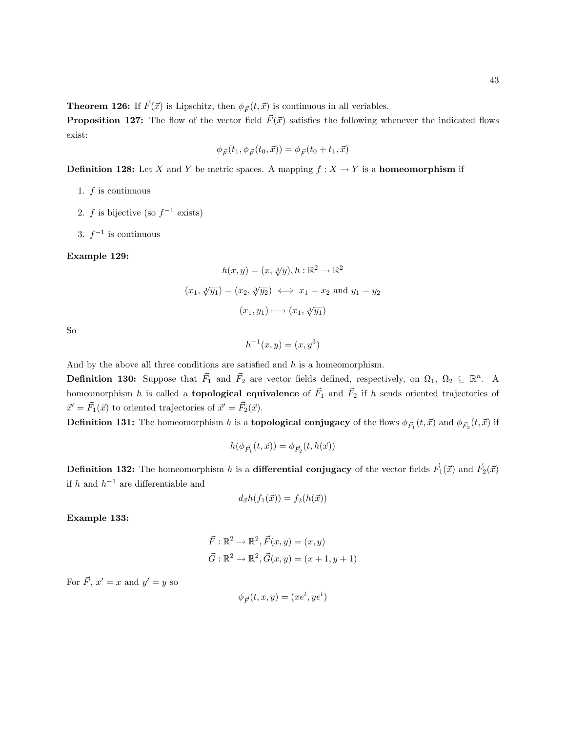**Theorem 126:** If  $\vec{F}(\vec{x})$  is Lipschitz, then  $\phi_{\vec{F}}(t, \vec{x})$  is continuous in all veriables.

**Proposition 127:** The flow of the vector field  $\vec{F}(\vec{x})$  satisfies the following whenever the indicated flows exist:

$$
\phi_{\vec{F}}(t_1, \phi_{\vec{F}}(t_0, \vec{x})) = \phi_{\vec{F}}(t_0 + t_1, \vec{x})
$$

**Definition 128:** Let X and Y be metric spaces. A mapping  $f : X \to Y$  is a **homeomorphism** if

- 1.  $f$  is continuous
- 2. f is bijective (so  $f^{-1}$  exists)
- 3.  $f^{-1}$  is continuous

#### Example 129:

$$
h(x, y) = (x, \sqrt[3]{y}), h : \mathbb{R}^2 \to \mathbb{R}^2
$$

$$
(x_1, \sqrt[3]{y_1}) = (x_2, \sqrt[3]{y_2}) \iff x_1 = x_2 \text{ and } y_1 = y_2
$$

$$
(x_1, y_1) \longmapsto (x_1, \sqrt[3]{y_1})
$$

So

 $h^{-1}(x, y) = (x, y^3)$ 

And by the above all three conditions are satisfied and  $h$  is a homeomorphism.

**Definition 130:** Suppose that  $\vec{F}_1$  and  $\vec{F}_2$  are vector fields defined, respectively, on  $\Omega_1$ ,  $\Omega_2 \subseteq \mathbb{R}^n$ . A homeomorphism h is called a **topological equivalence** of  $\vec{F}_1$  and  $\vec{F}_2$  if h sends oriented trajectories of  $\vec{x}' = \vec{F}_1(\vec{x})$  to oriented trajectories of  $\vec{x}' = \vec{F}_2(\vec{x})$ .

**Definition 131:** The homeomorphism  $h$  is a **topological conjugacy** of the flows  $\phi_{\vec{F}_1}(t,\vec{x})$  and  $\phi_{\vec{F}_2}(t,\vec{x})$  if

$$
h(\phi_{\vec{F}_1}(t,\vec{x})) = \phi_{\vec{F}_2}(t, h(\vec{x}))
$$

**Definition 132:** The homeomorphism  $h$  is a differential conjugacy of the vector fields  $\vec{F}_1(\vec{x})$  and  $\vec{F}_2(\vec{x})$ if  $h$  and  $h^{-1}$  are differentiable and

$$
d_{\vec{x}}h(f_1(\vec{x})) = f_2(h(\vec{x}))
$$

Example 133:

$$
\vec{F} : \mathbb{R}^2 \to \mathbb{R}^2, \vec{F}(x, y) = (x, y)
$$

$$
\vec{G} : \mathbb{R}^2 \to \mathbb{R}^2, \vec{G}(x, y) = (x + 1, y + 1)
$$

For  $\vec{F}$ ,  $x' = x$  and  $y' = y$  so

$$
\phi_{\vec{F}}(t,x,y)=(xe^t, ye^t)
$$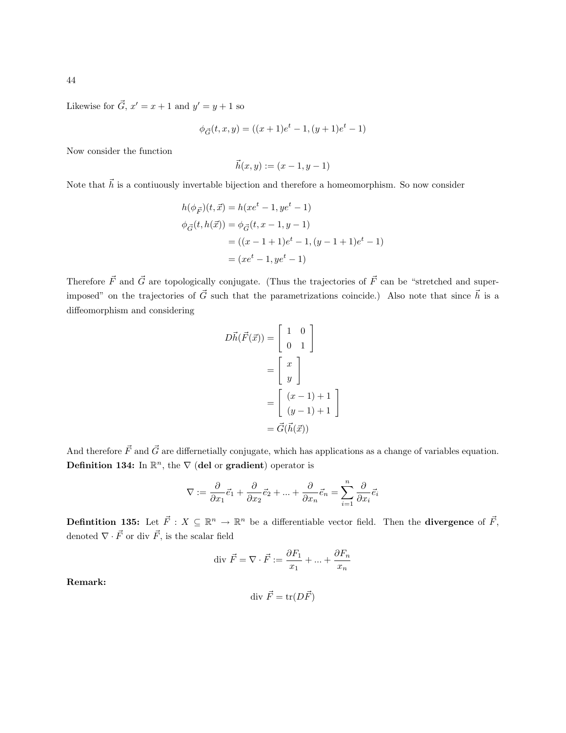Likewise for  $\vec{G}$ ,  $x' = x + 1$  and  $y' = y + 1$  so

$$
\phi_{\vec{G}}(t, x, y) = ((x + 1)e^{t} - 1, (y + 1)e^{t} - 1)
$$

Now consider the function

$$
\vec{h}(x, y) := (x - 1, y - 1)
$$

Note that  $\vec{h}$  is a contiuously invertable bijection and therefore a homeomorphism. So now consider

$$
h(\phi_{\vec{F}})(t, \vec{x}) = h(xe^t - 1, ye^t - 1)
$$
  
\n
$$
\phi_{\vec{G}}(t, h(\vec{x})) = \phi_{\vec{G}}(t, x - 1, y - 1)
$$
  
\n
$$
= ((x - 1 + 1)e^t - 1, (y - 1 + 1)e^t - 1)
$$
  
\n
$$
= (xe^t - 1, ye^t - 1)
$$

Therefore  $\vec{F}$  and  $\vec{G}$  are topologically conjugate. (Thus the trajectories of  $\vec{F}$  can be "stretched and superimposed" on the trajectories of  $\vec{G}$  such that the parametrizations coincide.) Also note that since  $\vec{h}$  is a diffeomorphism and considering

$$
D\vec{h}(\vec{F}(\vec{x})) = \begin{bmatrix} 1 & 0 \\ 0 & 1 \end{bmatrix}
$$

$$
= \begin{bmatrix} x \\ y \end{bmatrix}
$$

$$
= \begin{bmatrix} (x-1) + 1 \\ (y-1) + 1 \end{bmatrix}
$$

$$
= \vec{G}(\vec{h}(\vec{x}))
$$

And therefore  $\vec{F}$  and  $\vec{G}$  are differnetially conjugate, which has applications as a change of variables equation. **Definition 134:** In  $\mathbb{R}^n$ , the  $\nabla$  (del or gradient) operator is

$$
\nabla:=\frac{\partial}{\partial x_1}\vec{e}_1+\frac{\partial}{\partial x_2}\vec{e}_2+\ldots+\frac{\partial}{\partial x_n}\vec{e}_n=\sum_{i=1}^n\frac{\partial}{\partial x_i}\vec{e}_i
$$

**Definition 135:** Let  $\vec{F}$  :  $X \subseteq \mathbb{R}^n \to \mathbb{R}^n$  be a differentiable vector field. Then the **divergence** of  $\vec{F}$ , denoted  $\nabla \cdot \vec{F}$  or div  $\vec{F}$ , is the scalar field

div 
$$
\vec{F} = \nabla \cdot \vec{F} := \frac{\partial F_1}{x_1} + \dots + \frac{\partial F_n}{x_n}
$$

Remark:

$$
\operatorname{div}\vec{F} = \operatorname{tr}(D\vec{F})
$$

44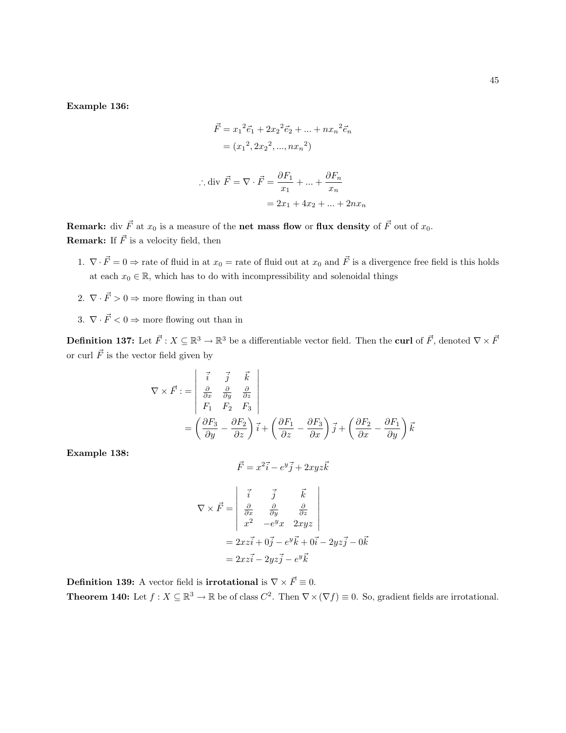Example 136:

$$
\vec{F} = x_1^2 \vec{e}_1 + 2x_2^2 \vec{e}_2 + \dots + nx_n^2 \vec{e}_n
$$

$$
= (x_1^2, 2x_2^2, ..., nx_n^2)
$$

$$
\therefore \text{div } \vec{F} = \nabla \cdot \vec{F} = \frac{\partial F_1}{x_1} + \dots + \frac{\partial F_n}{x_n}
$$

$$
= 2x_1 + 4x_2 + \dots + 2nx_n
$$

**Remark:** div  $\vec{F}$  at  $x_0$  is a measure of the net mass flow or flux density of  $\vec{F}$  out of  $x_0$ . **Remark:** If  $\vec{F}$  is a velocity field, then

- 1.  $\nabla \cdot \vec{F} = 0 \Rightarrow$  rate of fluid in at  $x_0 =$  rate of fluid out at  $x_0$  and  $\vec{F}$  is a divergence free field is this holds at each  $x_0 \in \mathbb{R}$ , which has to do with incompressibility and solenoidal things
- 2.  $\nabla \cdot \vec{F} > 0 \Rightarrow$  more flowing in than out
- 3.  $\nabla \cdot \vec{F} < 0 \Rightarrow$  more flowing out than in

**Definition 137:** Let  $\vec{F}$  :  $X \subseteq \mathbb{R}^3 \to \mathbb{R}^3$  be a differentiable vector field. Then the curl of  $\vec{F}$ , denoted  $\nabla \times \vec{F}$ or curl  $\vec{F}$  is the vector field given by

$$
\nabla \times \vec{F} := \begin{vmatrix} \vec{i} & \vec{j} & \vec{k} \\ \frac{\partial}{\partial x} & \frac{\partial}{\partial y} & \frac{\partial}{\partial z} \\ F_1 & F_2 & F_3 \end{vmatrix}
$$
  
=  $\left( \frac{\partial F_3}{\partial y} - \frac{\partial F_2}{\partial z} \right) \vec{i} + \left( \frac{\partial F_1}{\partial z} - \frac{\partial F_3}{\partial x} \right) \vec{j} + \left( \frac{\partial F_2}{\partial x} - \frac{\partial F_1}{\partial y} \right) \vec{k}$ 

Example 138:

$$
\vec{F} = x^2 \vec{i} - e^y \vec{j} + 2xyz \vec{k}
$$

$$
\nabla \times \vec{F} = \begin{vmatrix} \vec{i} & \vec{j} & \vec{k} \\ \frac{\partial}{\partial x} & \frac{\partial}{\partial y} & \frac{\partial}{\partial z} \\ x^2 & -e^y x & 2xyz \end{vmatrix}
$$
  
= 2xz\vec{i} + 0\vec{j} - e^y \vec{k} + 0\vec{i} - 2yz\vec{j} - 0\vec{k}  
= 2xz\vec{i} - 2yz\vec{j} - e^y\vec{k}

**Definition 139:** A vector field is **irrotational** is  $\nabla \times \vec{F} \equiv 0$ .

**Theorem 140:** Let  $f: X \subseteq \mathbb{R}^3 \to \mathbb{R}$  be of class  $C^2$ . Then  $\nabla \times (\nabla f) \equiv 0$ . So, gradient fields are irrotational.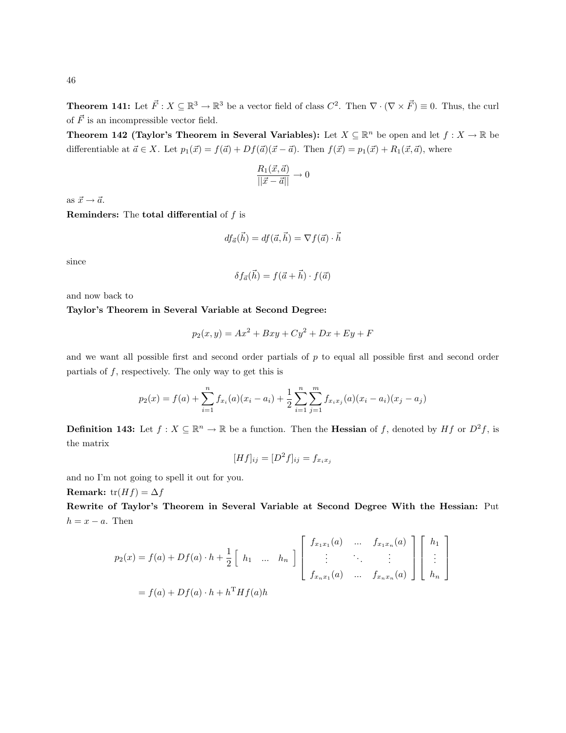**Theorem 141:** Let  $\vec{F}$  :  $X \subseteq \mathbb{R}^3 \to \mathbb{R}^3$  be a vector field of class  $C^2$ . Then  $\nabla \cdot (\nabla \times \vec{F}) \equiv 0$ . Thus, the curl of  $\vec{F}$  is an incompressible vector field.

**Theorem 142 (Taylor's Theorem in Several Variables):** Let  $X \subseteq \mathbb{R}^n$  be open and let  $f: X \to \mathbb{R}$  be differentiable at  $\vec{a} \in X$ . Let  $p_1(\vec{x}) = f(\vec{a}) + Df(\vec{a})(\vec{x} - \vec{a})$ . Then  $f(\vec{x}) = p_1(\vec{x}) + R_1(\vec{x}, \vec{a})$ , where

$$
\frac{R_1(\vec{x}, \vec{a})}{\|\vec{x} - \vec{a}\|} \to 0
$$

as  $\vec{x} \rightarrow \vec{a}$ .

**Reminders:** The **total differential** of  $f$  is

$$
df_{\vec{a}}(\vec{h}) = df(\vec{a}, \vec{h}) = \nabla f(\vec{a}) \cdot \vec{h}
$$

since

$$
\delta f_{\vec{a}}(\vec{h}) = f(\vec{a} + \vec{h}) \cdot f(\vec{a})
$$

and now back to

## Taylor's Theorem in Several Variable at Second Degree:

$$
p_2(x, y) = Ax^2 + Bxy + Cy^2 + Dx + Ey + F
$$

and we want all possible first and second order partials of p to equal all possible first and second order partials of  $f$ , respectively. The only way to get this is

$$
p_2(x) = f(a) + \sum_{i=1}^n f_{x_i}(a)(x_i - a_i) + \frac{1}{2} \sum_{i=1}^n \sum_{j=1}^m f_{x_i x_j}(a)(x_i - a_i)(x_j - a_j)
$$

**Definition 143:** Let  $f: X \subseteq \mathbb{R}^n \to \mathbb{R}$  be a function. Then the **Hessian** of f, denoted by Hf or  $D^2f$ , is the matrix

$$
[Hf]_{ij} = [D^2f]_{ij} = f_{x_ix_j}
$$

and no I'm not going to spell it out for you.

Remark: tr( $Hf$ ) =  $\Delta f$ 

Rewrite of Taylor's Theorem in Several Variable at Second Degree With the Hessian: Put  $h = x - a$ . Then

$$
p_2(x) = f(a) + Df(a) \cdot h + \frac{1}{2} \begin{bmatrix} h_1 & \dots & h_n \end{bmatrix} \begin{bmatrix} f_{x_1x_1}(a) & \dots & f_{x_1x_n}(a) \\ \vdots & \ddots & \vdots \\ f_{x_nx_1}(a) & \dots & f_{x_nx_n}(a) \end{bmatrix} \begin{bmatrix} h_1 \\ \vdots \\ h_n \end{bmatrix}
$$

$$
= f(a) + Df(a) \cdot h + h^{\mathrm{T}} Hf(a) h
$$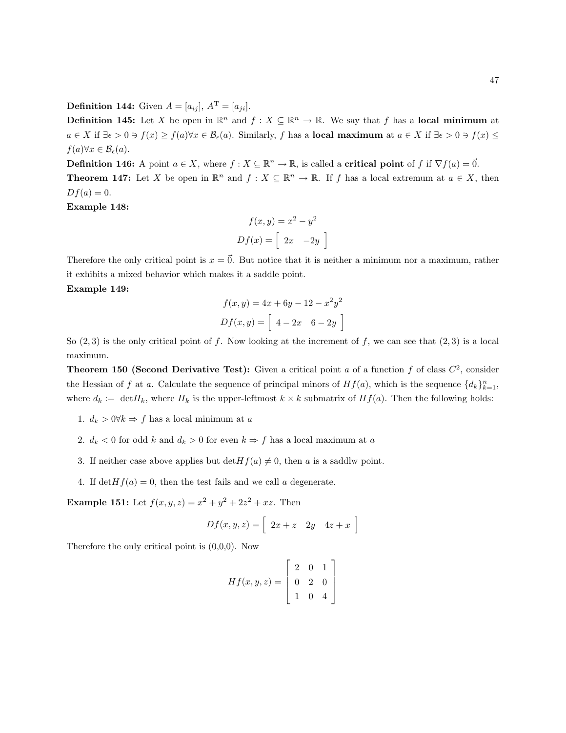**Definition 144:** Given  $A = [a_{ij}], A^{\mathrm{T}} = [a_{ji}].$ 

**Definition 145:** Let X be open in  $\mathbb{R}^n$  and  $f: X \subseteq \mathbb{R}^n \to \mathbb{R}$ . We say that f has a local minimum at  $a \in X$  if  $\exists \epsilon > 0 \ni f(x) \ge f(a) \forall x \in \mathcal{B}_{\epsilon}(a)$ . Similarly, f has a local maximum at  $a \in X$  if  $\exists \epsilon > 0 \ni f(x) \le f(x)$  $f(a)\forall x\in\mathcal{B}_{\epsilon}(a).$ 

**Definition 146:** A point  $a \in X$ , where  $f: X \subseteq \mathbb{R}^n \to \mathbb{R}$ , is called a **critical point** of f if  $\nabla f(a) = \vec{0}$ . **Theorem 147:** Let X be open in  $\mathbb{R}^n$  and  $f : X \subseteq \mathbb{R}^n \to \mathbb{R}$ . If f has a local extremum at  $a \in X$ , then  $Df(a) = 0.$ 

Example 148:

$$
f(x,y) = x2 - y2
$$

$$
Df(x) = \begin{bmatrix} 2x & -2y \end{bmatrix}
$$

Therefore the only critical point is  $x = \vec{0}$ . But notice that it is neither a minimum nor a maximum, rather it exhibits a mixed behavior which makes it a saddle point.

Example 149:

$$
f(x, y) = 4x + 6y - 12 - x^{2}y^{2}
$$

$$
Df(x, y) = \begin{bmatrix} 4 - 2x & 6 - 2y \end{bmatrix}
$$

So  $(2,3)$  is the only critical point of f. Now looking at the increment of f, we can see that  $(2,3)$  is a local maximum.

**Theorem 150 (Second Derivative Test):** Given a critical point a of a function f of class  $C^2$ , consider the Hessian of f at a. Calculate the sequence of principal minors of  $Hf(a)$ , which is the sequence  $\{d_k\}_{k=1}^n$ , where  $d_k := \text{det}H_k$ , where  $H_k$  is the upper-leftmost  $k \times k$  submatrix of  $Hf(a)$ . Then the following holds:

- 1.  $d_k > 0 \forall k \Rightarrow f$  has a local minimum at a
- 2.  $d_k < 0$  for odd k and  $d_k > 0$  for even  $k \Rightarrow f$  has a local maximum at a
- 3. If neither case above applies but  $\det Hf(a) \neq 0$ , then a is a saddlw point.
- 4. If  $\det Hf(a) = 0$ , then the test fails and we call a degenerate.

**Example 151:** Let  $f(x, y, z) = x^2 + y^2 + 2z^2 + xz$ . Then

$$
Df(x, y, z) = \left[2x + z \quad 2y \quad 4z + x\right]
$$

Therefore the only critical point is (0,0,0). Now

$$
Hf(x, y, z) = \begin{bmatrix} 2 & 0 & 1 \\ 0 & 2 & 0 \\ 1 & 0 & 4 \end{bmatrix}
$$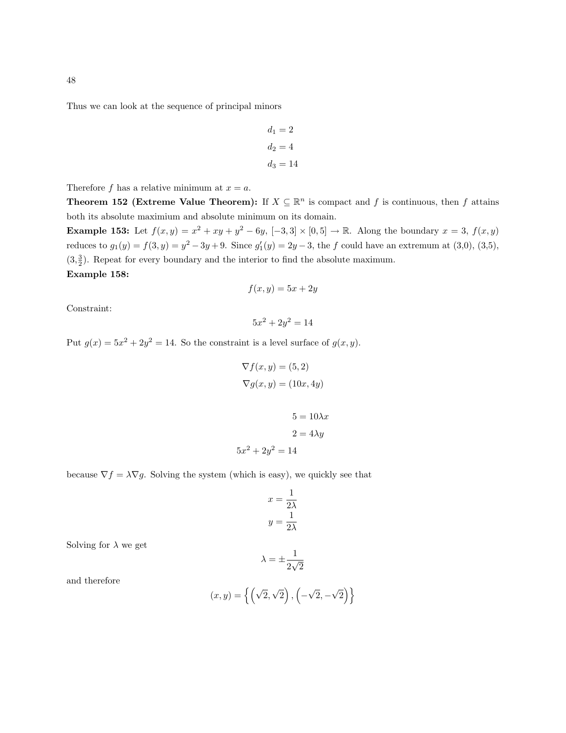Thus we can look at the sequence of principal minors

$$
d_1 = 2
$$

$$
d_2 = 4
$$

$$
d_3 = 14
$$

Therefore f has a relative minimum at  $x = a$ .

**Theorem 152 (Extreme Value Theorem):** If  $X \subseteq \mathbb{R}^n$  is compact and f is continuous, then f attains both its absolute maximium and absolute minimum on its domain.

**Example 153:** Let  $f(x,y) = x^2 + xy + y^2 - 6y$ ,  $[-3,3] \times [0,5] \rightarrow \mathbb{R}$ . Along the boundary  $x = 3$ ,  $f(x,y)$ reduces to  $g_1(y) = f(3, y) = y^2 - 3y + 9$ . Since  $g'_1(y) = 2y - 3$ , the f could have an extremum at (3,0), (3,5),  $(3, \frac{3}{2})$ . Repeat for every boundary and the interior to find the absolute maximum. Example 158:

$$
f(x,y) = 5x + 2y
$$

Constraint:

 $5x^2 + 2y^2 = 14$ 

Put  $g(x) = 5x^2 + 2y^2 = 14$ . So the constraint is a level surface of  $g(x, y)$ .

$$
\nabla f(x, y) = (5, 2)
$$

$$
\nabla g(x, y) = (10x, 4y)
$$

$$
5 = 10\lambda x
$$

$$
2 = 4\lambda y
$$

$$
5x^2 + 2y^2 = 14
$$

because  $\nabla f = \lambda \nabla g$ . Solving the system (which is easy), we quickly see that

$$
x = \frac{1}{2\lambda}
$$

$$
y = \frac{1}{2\lambda}
$$

Solving for  $\lambda$  we get

$$
\lambda=\pm\frac{1}{2\sqrt{2}}
$$

and therefore

$$
(x,y) = \left\{ \left( \sqrt{2}, \sqrt{2} \right), \left( -\sqrt{2}, -\sqrt{2} \right) \right\}
$$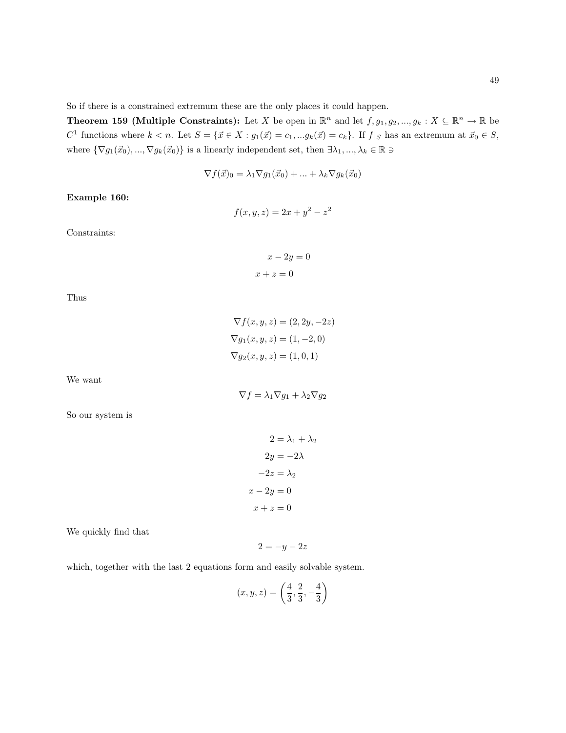So if there is a constrained extremum these are the only places it could happen.

**Theorem 159 (Multiple Constraints):** Let X be open in  $\mathbb{R}^n$  and let  $f, g_1, g_2, ..., g_k : X \subseteq \mathbb{R}^n \to \mathbb{R}$  be  $C^1$  functions where  $k < n$ . Let  $S = {\{\vec{x} \in X : g_1(\vec{x}) = c_1, ...g_k(\vec{x}) = c_k\}}$ . If  $f|_S$  has an extremum at  $\vec{x}_0 \in S$ , where  $\{\nabla g_1(\vec{x}_0), ..., \nabla g_k(\vec{x}_0)\}$  is a linearly independent set, then  $\exists \lambda_1, ..., \lambda_k \in \mathbb{R} \ni$ 

$$
\nabla f(\vec{x})_0 = \lambda_1 \nabla g_1(\vec{x}_0) + \dots + \lambda_k \nabla g_k(\vec{x}_0)
$$

Example 160:

$$
f(x, y, z) = 2x + y^2 - z^2
$$

Constraints:

$$
x - 2y = 0
$$

$$
x + z = 0
$$

Thus

$$
\nabla f(x, y, z) = (2, 2y, -2z)
$$

$$
\nabla g_1(x, y, z) = (1, -2, 0)
$$

$$
\nabla g_2(x, y, z) = (1, 0, 1)
$$

We want

$$
\nabla f = \lambda_1 \nabla g_1 + \lambda_2 \nabla g_2
$$

So our system is

$$
2 = \lambda_1 + \lambda_2
$$

$$
2y = -2\lambda
$$

$$
-2z = \lambda_2
$$

$$
-2y = 0
$$

$$
x + z = 0
$$

 $\overline{x}$ 

We quickly find that

$$
2=-y-2z
$$

which, together with the last 2 equations form and easily solvable system.

$$
(x, y, z) = \left(\frac{4}{3}, \frac{2}{3}, -\frac{4}{3}\right)
$$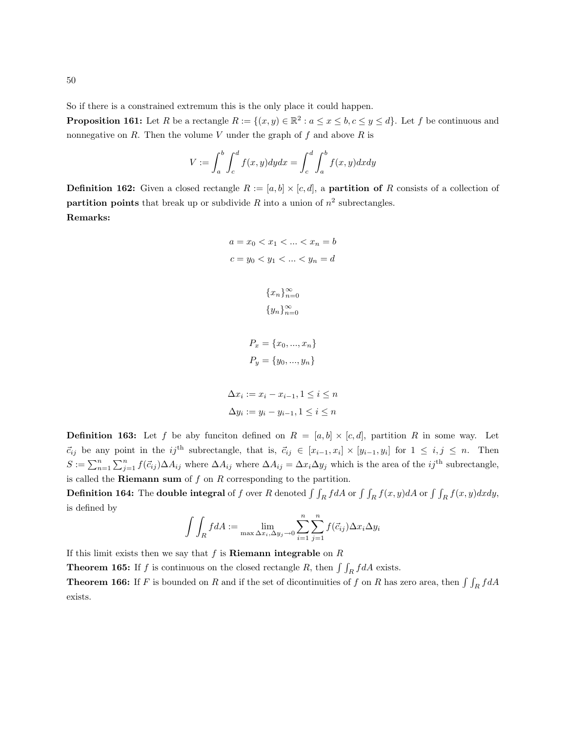**Proposition 161:** Let R be a rectangle  $R := \{(x, y) \in \mathbb{R}^2 : a \le x \le b, c \le y \le d\}$ . Let f be continuous and nonnegative on  $R$ . Then the volume  $V$  under the graph of  $f$  and above  $R$  is

$$
V := \int_a^b \int_c^d f(x, y) dy dx = \int_c^d \int_a^b f(x, y) dx dy
$$

**Definition 162:** Given a closed rectangle  $R := [a, b] \times [c, d]$ , a **partition of** R consists of a collection of partition points that break up or subdivide R into a union of  $n^2$  subrectangles. Remarks:

> $a = x_0 < x_1 < \ldots < x_n = b$  $c = y_0 < y_1 < \ldots < y_n = d$  ${x_n}_{n=0}^\infty$

$$
\{y_n\}_{n=0}^{\infty}
$$

$$
P_x = \{x_0, ..., x_n\}
$$

 $P_y = \{y_0, ..., y_n\}$ 

$$
\Delta x_i := x_i - x_{i-1}, 1 \le i \le n
$$
  

$$
\Delta y_i := y_i - y_{i-1}, 1 \le i \le n
$$

**Definition 163:** Let f be aby funciton defined on  $R = [a, b] \times [c, d]$ , partition R in some way. Let  $\vec{c}_{ij}$  be any point in the ij<sup>th</sup> subrectangle, that is,  $\vec{c}_{ij} \in [x_{i-1}, x_i] \times [y_{i-1}, y_i]$  for  $1 \leq i, j \leq n$ . Then  $S := \sum_{n=1}^{n} \sum_{j=1}^{n} f(\vec{c}_{ij}) \Delta A_{ij}$  where  $\Delta A_{ij} = \Delta x_i \Delta y_j$  which is the area of the  $ij$ <sup>th</sup> subrectangle, is called the **Riemann sum** of  $f$  on  $R$  corresponding to the partition.

**Definition 164:** The **double integral** of f over R denoted  $\int \int_R f dA$  or  $\int \int_R f(x, y) dA$  or  $\int \int_R f(x, y) dxdy$ , is defined by

$$
\int\int_R f dA := \lim_{\max \Delta x_i, \Delta y_j \to 0} \sum_{i=1}^n \sum_{j=1}^n f(\vec{c}_{ij}) \Delta x_i \Delta y_i
$$

If this limit exists then we say that  $f$  is **Riemann integrable** on  $R$ 

**Theorem 165:** If f is continuous on the closed rectangle R, then  $\iint_R f dA$  exists.

**Theorem 166:** If F is bounded on R and if the set of dicontinuities of f on R has zero area, then  $\int \int_R f dA$ exists.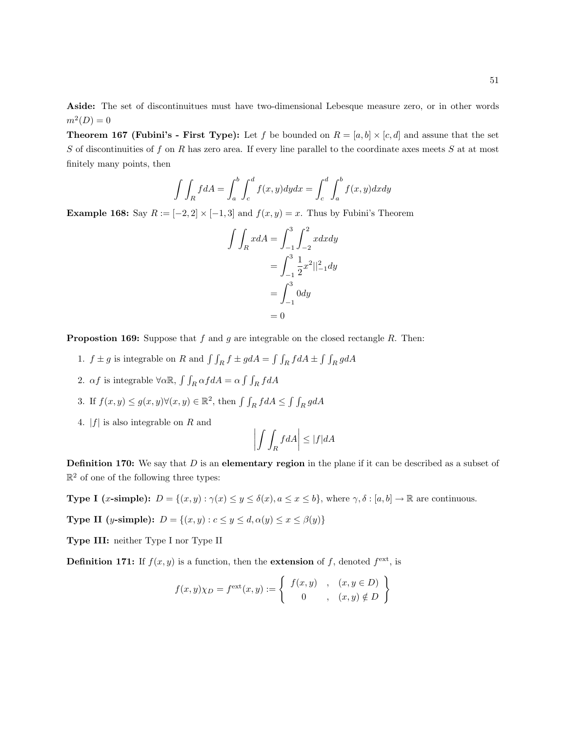Aside: The set of discontinuitues must have two-dimensional Lebesque measure zero, or in other words  $m^2(D) = 0$ 

**Theorem 167 (Fubini's - First Type):** Let f be bounded on  $R = [a, b] \times [c, d]$  and assune that the set S of discontinuities of f on R has zero area. If every line parallel to the coordinate axes meets S at at most finitely many points, then

$$
\int \int_R f dA = \int_a^b \int_c^d f(x, y) dy dx = \int_c^d \int_a^b f(x, y) dx dy
$$

Example 168: Say  $R := [-2, 2] \times [-1, 3]$  and  $f(x, y) = x$ . Thus by Fubini's Theorem

$$
\int \int_{R} x dA = \int_{-1}^{3} \int_{-2}^{2} x dx dy
$$

$$
= \int_{-1}^{3} \frac{1}{2} x^{2} ||_{-1}^{2} dy
$$

$$
= \int_{-1}^{3} 0 dy
$$

$$
= 0
$$

**Propostion 169:** Suppose that f and g are integrable on the closed rectangle R. Then:

- 1.  $f \pm g$  is integrable on R and  $\int \int_R f \pm g dA = \int \int_R f dA \pm \int \int_R g dA$
- 2.  $\alpha f$  is integrable  $\forall \alpha \mathbb{R}$ ,  $\int \int_R \alpha f dA = \alpha \int \int_R f dA$
- 3. If  $f(x, y) \le g(x, y) \forall (x, y) \in \mathbb{R}^2$ , then  $\int \int_R f dA \le \int \int_R g dA$
- 4.  $|f|$  is also integrable on R and

$$
\left| \int \int_R f dA \right| \le |f| dA
$$

**Definition 170:** We say that  $D$  is an elementary region in the plane if it can be described as a subset of  $\mathbb{R}^2$  of one of the following three types:

**Type I** (x-simple):  $D = \{(x, y) : \gamma(x) \le y \le \delta(x), a \le x \le b\}$ , where  $\gamma, \delta : [a, b] \to \mathbb{R}$  are continuous.

Type II (y-simple):  $D = \{(x, y) : c \le y \le d, \alpha(y) \le x \le \beta(y)\}\$ 

Type III: neither Type I nor Type II

**Definition 171:** If  $f(x, y)$  is a function, then the **extension** of f, denoted  $f^{\text{ext}}$ , is

$$
f(x,y)\chi_D = f^{\text{ext}}(x,y) := \left\{ \begin{array}{ccc} f(x,y) & , & (x,y \in D) \\ 0 & , & (x,y) \notin D \end{array} \right\}
$$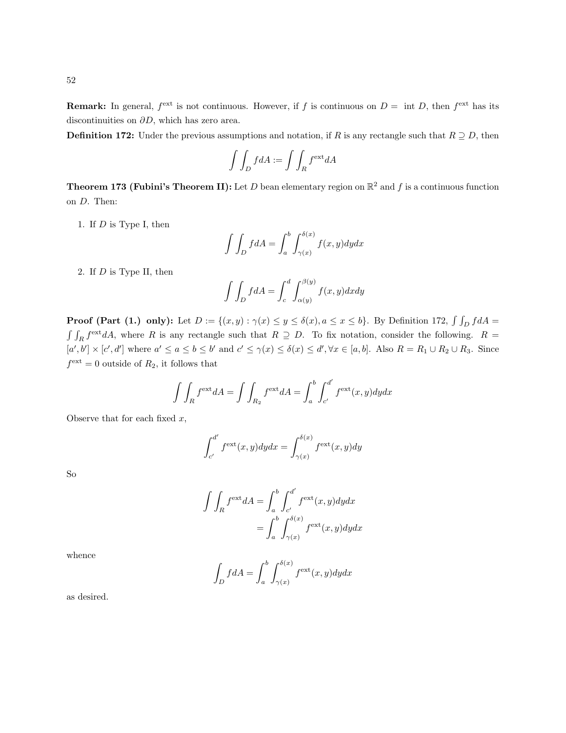**Remark:** In general,  $f^{\text{ext}}$  is not continuous. However, if f is continuous on  $D = \text{int } D$ , then  $f^{\text{ext}}$  has its discontinuities on  $\partial D$ , which has zero area.

**Definition 172:** Under the previous assumptions and notation, if R is any rectangle such that  $R \supseteq D$ , then

$$
\int \int_D f dA := \int \int_R f^{\text{ext}} dA
$$

**Theorem 173 (Fubini's Theorem II):** Let D bean elementary region on  $\mathbb{R}^2$  and f is a continuous function on D. Then:

1. If D is Type I, then

$$
\int \int_D f dA = \int_a^b \int_{\gamma(x)}^{\delta(x)} f(x, y) dy dx
$$

2. If D is Type II, then

$$
\int \int_D f dA = \int_c^d \int_{\alpha(y)}^{\beta(y)} f(x, y) dx dy
$$

**Proof (Part (1.) only):** Let  $D := \{(x, y) : \gamma(x) \le y \le \delta(x), a \le x \le b\}$ . By Definition 172,  $\int \int_D f dA =$  $\int \int_R f^{\text{ext}} dA$ , where R is any rectangle such that  $R \supseteq D$ . To fix notation, consider the following.  $R =$  $[a',b'] \times [c',d']$  where  $a' \le a \le b \le b'$  and  $c' \le \gamma(x) \le \delta(x) \le d', \forall x \in [a,b]$ . Also  $R = R_1 \cup R_2 \cup R_3$ . Since  $f^{\text{ext}} = 0$  outside of  $R_2$ , it follows that

$$
\int \int_R f^{\text{ext}} dA = \int \int_{R_2} f^{\text{ext}} dA = \int_a^b \int_{c'}^{d'} f^{\text{ext}}(x, y) dy dx
$$

Observe that for each fixed  $x$ ,

$$
\int_{c'}^{d'} f^{\text{ext}}(x, y) dy dx = \int_{\gamma(x)}^{\delta(x)} f^{\text{ext}}(x, y) dy
$$

So

$$
\int \int_{R} f^{\text{ext}} dA = \int_{a}^{b} \int_{c'}^{d'} f^{\text{ext}}(x, y) dy dx
$$

$$
= \int_{a}^{b} \int_{\gamma(x)}^{\delta(x)} f^{\text{ext}}(x, y) dy dx
$$

whence

$$
\int_D f dA = \int_a^b \int_{\gamma(x)}^{\delta(x)} f^{\text{ext}}(x, y) dy dx
$$

as desired.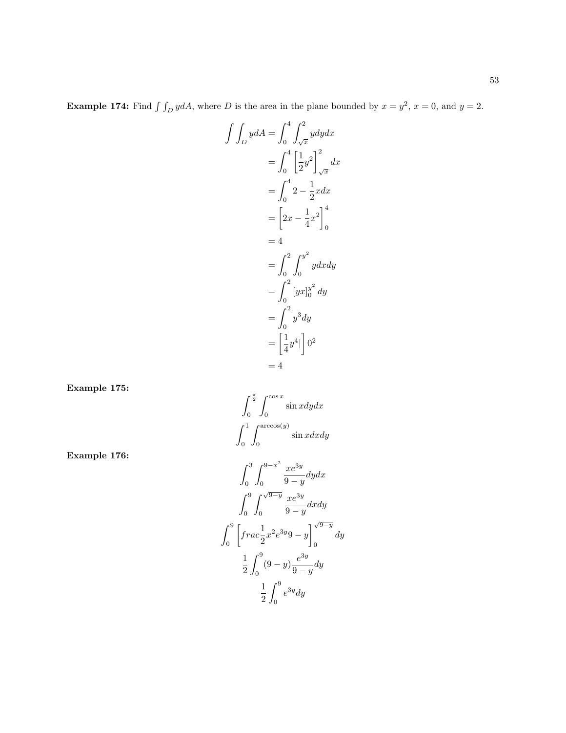**Example 174:** Find  $\int \int_D y dA$ , where D is the area in the plane bounded by  $x = y^2$ ,  $x = 0$ , and  $y = 2$ .

$$
\int \int_{D} y dA = \int_{0}^{4} \int_{\sqrt{x}}^{2} y dy dx
$$
  
=  $\int_{0}^{4} \left[ \frac{1}{2} y^{2} \right]_{\sqrt{x}}^{2} dx$   
=  $\int_{0}^{4} 2 - \frac{1}{2} x dx$   
=  $\left[ 2x - \frac{1}{4} x^{2} \right]_{0}^{4}$   
= 4  
=  $\int_{0}^{2} \int_{0}^{y^{2}} y dx dy$   
=  $\int_{0}^{2} [yx]_{0}^{y^{2}} dy$   
=  $\int_{0}^{2} y^{3} dy$   
=  $\left[ \frac{1}{4} y^{4} \right]_{0}^{2}$   
= 4

Example 175:

Example 176:

$$
\int_{0}^{\frac{\pi}{2}} \int_{0}^{\cos x} \sin x dy dx
$$

$$
\int_{0}^{1} \int_{0}^{\arccos(y)} \sin x dx dy
$$

$$
\int_{0}^{3} \int_{0}^{9-x^{2}} \frac{xe^{3y}}{9-y} dy dx
$$

$$
\int_{0}^{9} \int_{0}^{\sqrt{9-y}} \frac{xe^{3y}}{9-y} dx dy
$$

$$
\int_{0}^{9} \left[ frac \frac{1}{2}x^{2}e^{3y}9 - y \right]_{0}^{\sqrt{9-y}} dy
$$

$$
\frac{1}{2} \int_{0}^{9} (9-y) \frac{e^{3y}}{9-y} dy
$$

$$
\frac{1}{2} \int_{0}^{9} e^{3y} dy
$$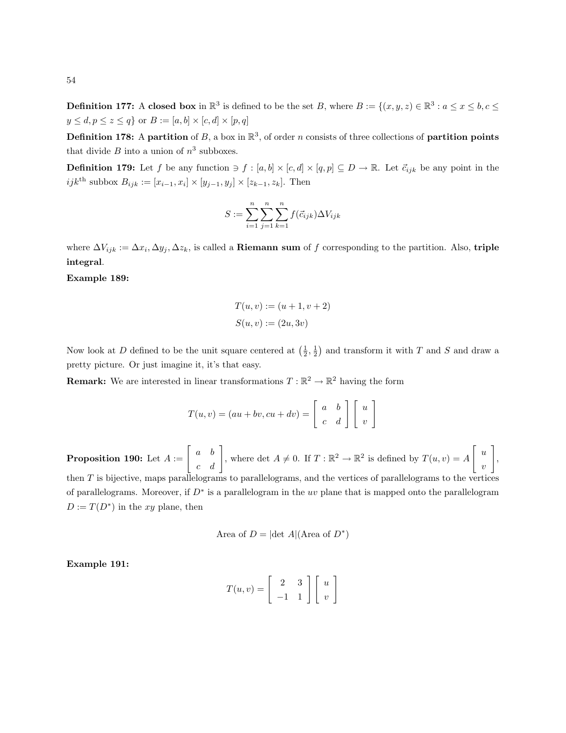**Definition 177:** A closed box in  $\mathbb{R}^3$  is defined to be the set B, where  $B := \{(x, y, z) \in \mathbb{R}^3 : a \le x \le b, c \le c\}$  $y\leq d, p\leq z\leq q\}$  or  $B:=[a,b]\times [c,d]\times [p,q]$ 

**Definition 178:** A partition of B, a box in  $\mathbb{R}^3$ , of order n consists of three collections of partition points that divide  $B$  into a union of  $n^3$  subboxes.

**Definition 179:** Let f be any function  $\ni f : [a, b] \times [c, d] \times [q, p] \subseteq D \rightarrow \mathbb{R}$ . Let  $\vec{c}_{ijk}$  be any point in the *ijk*<sup>th</sup> subbox  $B_{ijk} := [x_{i-1}, x_i] \times [y_{j-1}, y_j] \times [z_{k-1}, z_k]$ . Then

$$
S := \sum_{i=1}^{n} \sum_{j=1}^{n} \sum_{k=1}^{n} f(\vec{c}_{ijk}) \Delta V_{ijk}
$$

where  $\Delta V_{ijk} := \Delta x_i, \Delta y_j, \Delta z_k$ , is called a **Riemann sum** of f corresponding to the partition. Also, **triple** integral.

#### Example 189:

$$
T(u, v) := (u + 1, v + 2)
$$

$$
S(u, v) := (2u, 3v)
$$

Now look at D defined to be the unit square centered at  $(\frac{1}{2}, \frac{1}{2})$  and transform it with T and S and draw a pretty picture. Or just imagine it, it's that easy.

**Remark:** We are interested in linear transformations  $T : \mathbb{R}^2 \to \mathbb{R}^2$  having the form

$$
T(u, v) = (au + bv, cu + dv) = \begin{bmatrix} a & b \\ c & d \end{bmatrix} \begin{bmatrix} u \\ v \end{bmatrix}
$$

**Proposition 190:** Let  $A := \begin{bmatrix} a & b \\ c & d \end{bmatrix}$ , where det  $A \neq 0$ . If  $T : \mathbb{R}^2 \to \mathbb{R}^2$  is defined by  $T(u, v) = A$  $\lceil u \rceil$ v 1 , then T is bijective, maps parallelograms to parallelograms, and the vertices of parallelograms to the vertices of parallelograms. Moreover, if  $D^*$  is a parallelogram in the uv plane that is mapped onto the parallelogram  $D := T(D^*)$  in the xy plane, then

Area of 
$$
D = |\det A|
$$
 (Area of  $D^*$ )

Example 191:

$$
T(u,v) = \left[ \begin{array}{cc} 2 & 3 \\ -1 & 1 \end{array} \right] \left[ \begin{array}{c} u \\ v \end{array} \right]
$$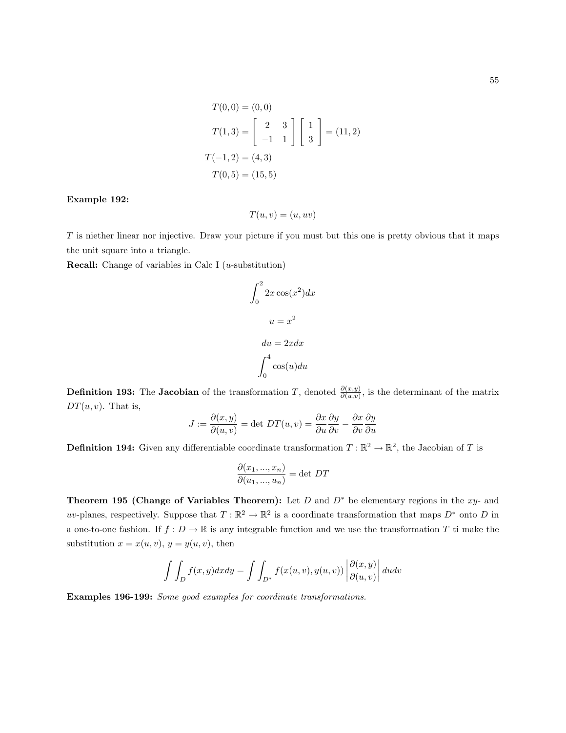$$
T(0,0) = (0,0)
$$
  
\n
$$
T(1,3) = \begin{bmatrix} 2 & 3 \\ -1 & 1 \end{bmatrix} \begin{bmatrix} 1 \\ 3 \end{bmatrix} = (11,2)
$$
  
\n
$$
T(-1,2) = (4,3)
$$
  
\n
$$
T(0,5) = (15,5)
$$

#### Example 192:

$$
T(u, v) = (u, uv)
$$

T is niether linear nor injective. Draw your picture if you must but this one is pretty obvious that it maps the unit square into a triangle.

**Recall:** Change of variables in Calc I ( $u$ -substitution)

$$
\int_0^2 2x \cos(x^2) dx
$$

$$
u = x^2
$$

$$
du = 2x dx
$$

$$
\int_0^4 \cos(u) du
$$

**Definition 193:** The **Jacobian** of the transformation T, denoted  $\frac{\partial(x,y)}{\partial(u,v)}$ , is the determinant of the matrix  $DT(u, v)$ . That is,

$$
J := \frac{\partial(x, y)}{\partial(u, v)} = \det DT(u, v) = \frac{\partial x}{\partial u} \frac{\partial y}{\partial v} - \frac{\partial x}{\partial v} \frac{\partial y}{\partial u}
$$

**Definition 194:** Given any differentiable coordinate transformation  $T : \mathbb{R}^2 \to \mathbb{R}^2$ , the Jacobian of T is

$$
\frac{\partial(x_1, ..., x_n)}{\partial(u_1, ..., u_n)} = \det DT
$$

Theorem 195 (Change of Variables Theorem): Let  $D$  and  $D^*$  be elementary regions in the xy- and uv-planes, respectively. Suppose that  $T : \mathbb{R}^2 \to \mathbb{R}^2$  is a coordinate transformation that maps  $D^*$  onto D in a one-to-one fashion. If  $f: D \to \mathbb{R}$  is any integrable function and we use the transformation T ti make the substitution  $x = x(u, v), y = y(u, v)$ , then

$$
\int \int_D f(x, y) dx dy = \int \int_{D^*} f(x(u, v), y(u, v)) \left| \frac{\partial(x, y)}{\partial(u, v)} \right| du dv
$$

Examples 196-199: Some good examples for coordinate transformations.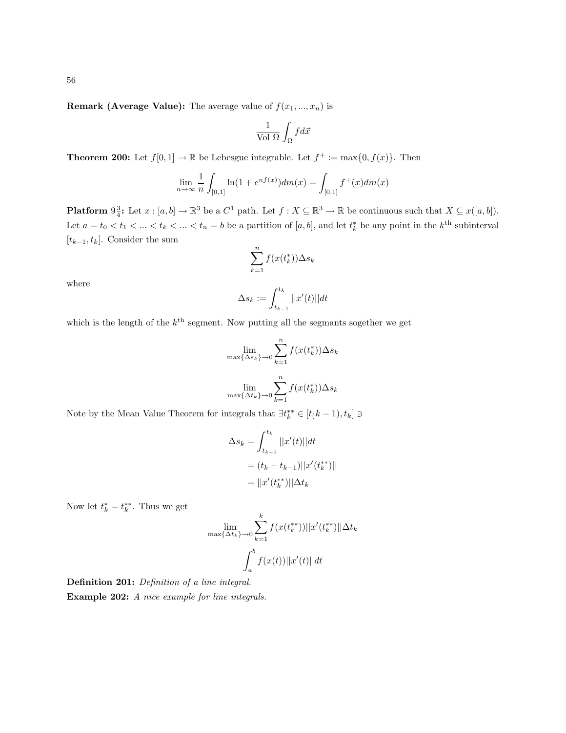**Remark (Average Value):** The average value of  $f(x_1, ..., x_n)$  is

$$
\frac{1}{\text{Vol }\Omega}\int_\Omega f d\vec{x}
$$

**Theorem 200:** Let  $f[0,1] \to \mathbb{R}$  be Lebesgue integrable. Let  $f^+ := \max\{0, f(x)\}\$ . Then

$$
\lim_{n \to \infty} \frac{1}{n} \int_{[0,1]} \ln(1 + e^{nf(x)}) dm(x) = \int_{[0,1]} f^+(x) dm(x)
$$

**Platform**  $9\frac{3}{4}$ : Let  $x : [a, b] \to \mathbb{R}^3$  be a  $C^1$  path. Let  $f : X \subseteq \mathbb{R}^3 \to \mathbb{R}$  be continuous such that  $X \subseteq x([a, b])$ . Let  $a = t_0 < t_1 < \ldots < t_k < \ldots < t_n = b$  be a partition of  $[a, b]$ , and let  $t_k^*$  be any point in the  $k^{\text{th}}$  subinterval  $[t_{k-1}, t_k]$ . Consider the sum

$$
\sum_{k=1}^{n} f(x(t_k^*)) \Delta s_k
$$

where

$$
\Delta s_k := \int_{t_{k-1}}^{t_k} ||x'(t)|| dt
$$

which is the length of the  $k^{\text{th}}$  segment. Now putting all the segmants sogether we get

$$
\lim_{\max\{\Delta s_k\}\to 0} \sum_{k=1}^n f(x(t_k^*))\Delta s_k
$$

$$
\lim_{\max\{\Delta t_k\}\to 0} \sum_{k=1}^n f(x(t_k^*))\Delta s_k
$$

Note by the Mean Value Theorem for integrals that  $\exists t_k^{**} \in [t(k-1), t_k] \ni$ 

$$
\Delta s_k = \int_{t_{k-1}}^{t_k} ||x'(t)||dt
$$
  
=  $(t_k - t_{k-1})||x'(t_k^{**})||$   
=  $||x'(t_k^{**})||\Delta t_k$ 

Now let  $t_k^* = t_k^{**}$ . Thus we get

$$
\lim_{\max\{\Delta t_k\}\to 0} \sum_{k=1}^k f(x(t_k^{**}))||x'(t_k^{**})||\Delta t_k
$$

$$
\int_a^b f(x(t))||x'(t)||dt
$$

Definition 201: Definition of a line integral. Example 202: A nice example for line integrals.

56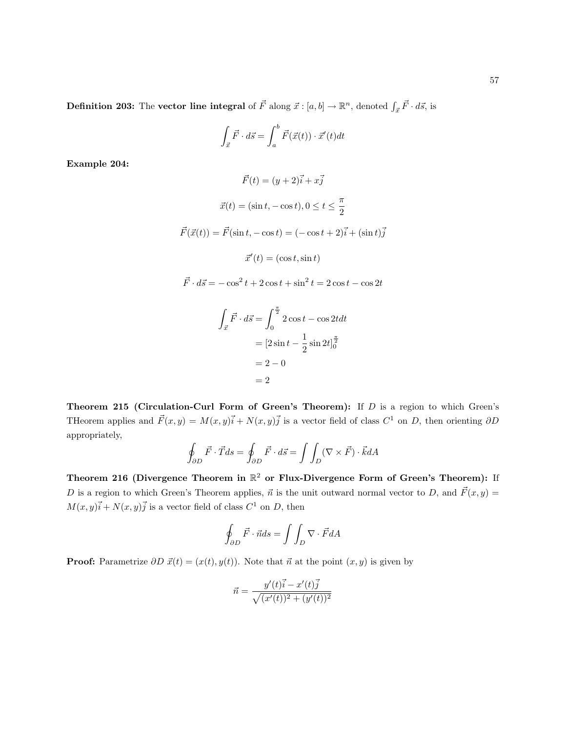**Definition 203:** The vector line integral of  $\vec{F}$  along  $\vec{x}$  :  $[a, b] \rightarrow \mathbb{R}^n$ , denoted  $\int_{\vec{x}} \vec{F} \cdot d\vec{s}$ , is

$$
\int_{\vec{x}} \vec{F} \cdot d\vec{s} = \int_{a}^{b} \vec{F}(\vec{x}(t)) \cdot \vec{x}'(t) dt
$$

Example 204:

$$
\vec{F}(t) = (y+2)\vec{i} + x\vec{j}
$$

$$
\vec{x}(t) = (\sin t, -\cos t), 0 \le t \le \frac{\pi}{2}
$$

$$
\vec{F}(\vec{x}(t)) = \vec{F}(\sin t, -\cos t) = (-\cos t + 2)\vec{i} + (\sin t)\vec{j}
$$

$$
\vec{x}'(t) = (\cos t, \sin t)
$$

 $\vec{F} \cdot d\vec{s} = -\cos^2 t + 2\cos t + \sin^2 t = 2\cos t - \cos 2t$ 

$$
\int_{\vec{x}} \vec{F} \cdot d\vec{s} = \int_0^{\frac{\pi}{2}} 2 \cos t - \cos 2t dt
$$

$$
= [2 \sin t - \frac{1}{2} \sin 2t]_0^{\frac{\pi}{2}}
$$

$$
= 2 - 0
$$

$$
= 2
$$

Theorem 215 (Circulation-Curl Form of Green's Theorem): If  $D$  is a region to which Green's THeorem applies and  $\vec{F}(x, y) = M(x, y)\vec{i} + N(x, y)\vec{j}$  is a vector field of class  $C^1$  on D, then orienting  $\partial D$ appropriately,

$$
\oint_{\partial D} \vec{F} \cdot \vec{T} ds = \oint_{\partial D} \vec{F} \cdot d\vec{s} = \int \int_{D} (\nabla \times \vec{F}) \cdot \vec{k} dA
$$

Theorem 216 (Divergence Theorem in  $\mathbb{R}^2$  or Flux-Divergence Form of Green's Theorem): If D is a region to which Green's Theorem applies,  $\vec{n}$  is the unit outward normal vector to D, and  $\vec{F}(x, y) =$  $M(x, y)\vec{i} + N(x, y)\vec{j}$  is a vector field of class  $C^1$  on D, then

$$
\oint_{\partial D} \vec{F} \cdot \vec{n} ds = \int \int_{D} \nabla \cdot \vec{F} dA
$$

**Proof:** Parametrize  $\partial D \vec{x}(t) = (x(t), y(t))$ . Note that  $\vec{n}$  at the point  $(x, y)$  is given by

$$
\vec{n} = \frac{y'(t)\vec{i} - x'(t)\vec{j}}{\sqrt{(x'(t))^2 + (y'(t))^2}}
$$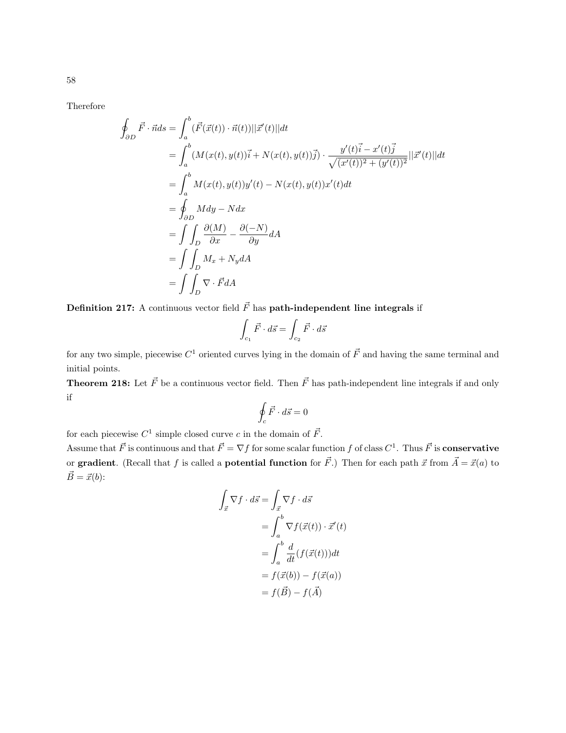Therefore

$$
\oint_{\partial D} \vec{F} \cdot \vec{n} ds = \int_{a}^{b} (\vec{F}(\vec{x}(t)) \cdot \vec{n}(t)) ||\vec{x}'(t)|| dt
$$
\n
$$
= \int_{a}^{b} (M(x(t), y(t))\vec{i} + N(x(t), y(t))\vec{j}) \cdot \frac{y'(t)\vec{i} - x'(t)\vec{j}}{\sqrt{(x'(t))^2 + (y'(t))^2}} ||\vec{x}'(t)|| dt
$$
\n
$$
= \int_{a}^{b} M(x(t), y(t))y'(t) - N(x(t), y(t))x'(t)dt
$$
\n
$$
= \oint_{\partial D} M dy - N dx
$$
\n
$$
= \int \int_{D} \frac{\partial (M)}{\partial x} - \frac{\partial (-N)}{\partial y} dA
$$
\n
$$
= \int \int_{D} M_x + N_y dA
$$
\n
$$
= \int \int_{D} \nabla \cdot \vec{F} dA
$$

**Definition 217:** A continuous vector field  $\vec{F}$  has **path-independent line integrals** if

$$
\int_{c_1} \vec{F} \cdot d\vec{s} = \int_{c_2} \vec{F} \cdot d\vec{s}
$$

for any two simple, piecewise  $C^1$  oriented curves lying in the domain of  $\vec{F}$  and having the same terminal and initial points.

**Theorem 218:** Let  $\vec{F}$  be a continuous vector field. Then  $\vec{F}$  has path-independent line integrals if and only if

$$
\oint_c \vec{F} \cdot d\vec{s} = 0
$$

for each piecewise  $C^1$  simple closed curve c in the domain of  $\vec{F}$ .

Assume that  $\vec{F}$  is continuous and that  $\vec{F} = \nabla f$  for some scalar function f of class  $C^1$ . Thus  $\vec{F}$  is **conservative** or gradient. (Recall that f is called a potential function for  $\vec{F}$ .) Then for each path  $\vec{x}$  from  $\vec{A} = \vec{x}(a)$  to  $\vec{B} = \vec{x}(b)$ :

$$
\int_{\vec{x}} \nabla f \cdot d\vec{s} = \int_{\vec{x}} \nabla f \cdot d\vec{s}
$$
\n
$$
= \int_{a}^{b} \nabla f(\vec{x}(t)) \cdot \vec{x}'(t)
$$
\n
$$
= \int_{a}^{b} \frac{d}{dt} (f(\vec{x}(t))) dt
$$
\n
$$
= f(\vec{x}(b)) - f(\vec{x}(a))
$$
\n
$$
= f(\vec{B}) - f(\vec{A})
$$

58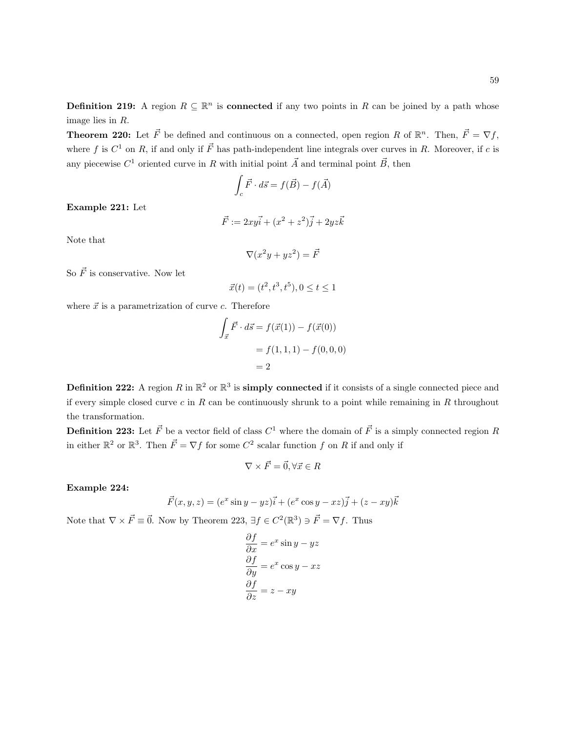**Definition 219:** A region  $R \subseteq \mathbb{R}^n$  is **connected** if any two points in R can be joined by a path whose image lies in R.

**Theorem 220:** Let  $\vec{F}$  be defined and continuous on a connected, open region R of  $\mathbb{R}^n$ . Then,  $\vec{F} = \nabla f$ , where f is  $C^1$  on R, if and only if  $\vec{F}$  has path-independent line integrals over curves in R. Moreover, if c is any piecewise  $C^1$  oriented curve in R with initial point  $\vec{A}$  and terminal point  $\vec{B}$ , then

$$
\int_c \vec{F} \cdot d\vec{s} = f(\vec{B}) - f(\vec{A})
$$

Example 221: Let

$$
\vec{F} := 2xy\vec{i} + (x^2 + z^2)\vec{j} + 2yz\vec{k}
$$

Note that

$$
\nabla (x^2y + yz^2) = \vec{F}
$$

So  $\vec{F}$  is conservative. Now let

$$
\vec{x}(t) = (t^2, t^3, t^5), 0 \le t \le 1
$$

where  $\vec{x}$  is a parametrization of curve c. Therefore

$$
\int_{\vec{x}} \vec{F} \cdot d\vec{s} = f(\vec{x}(1)) - f(\vec{x}(0))
$$

$$
= f(1, 1, 1) - f(0, 0, 0)
$$

$$
= 2
$$

**Definition 222:** A region R in  $\mathbb{R}^2$  or  $\mathbb{R}^3$  is **simply connected** if it consists of a single connected piece and if every simple closed curve  $c$  in  $R$  can be continuously shrunk to a point while remaining in  $R$  throughout the transformation.

**Definition 223:** Let  $\vec{F}$  be a vector field of class  $C^1$  where the domain of  $\vec{F}$  is a simply connected region R in either  $\mathbb{R}^2$  or  $\mathbb{R}^3$ . Then  $\vec{F} = \nabla f$  for some  $C^2$  scalar function f on R if and only if

$$
\nabla \times \vec{F} = \vec{0}, \forall \vec{x} \in R
$$

Example 224:

$$
\vec{F}(x, y, z) = (e^x \sin y - yz)\vec{i} + (e^x \cos y - xz)\vec{j} + (z - xy)\vec{k}
$$

Note that  $\nabla \times \vec{F} \equiv \vec{0}$ . Now by Theorem 223,  $\exists f \in C^2(\mathbb{R}^3) \ni \vec{F} = \nabla f$ . Thus

$$
\frac{\partial f}{\partial x} = e^x \sin y - yz
$$

$$
\frac{\partial f}{\partial y} = e^x \cos y - xz
$$

$$
\frac{\partial f}{\partial z} = z - xy
$$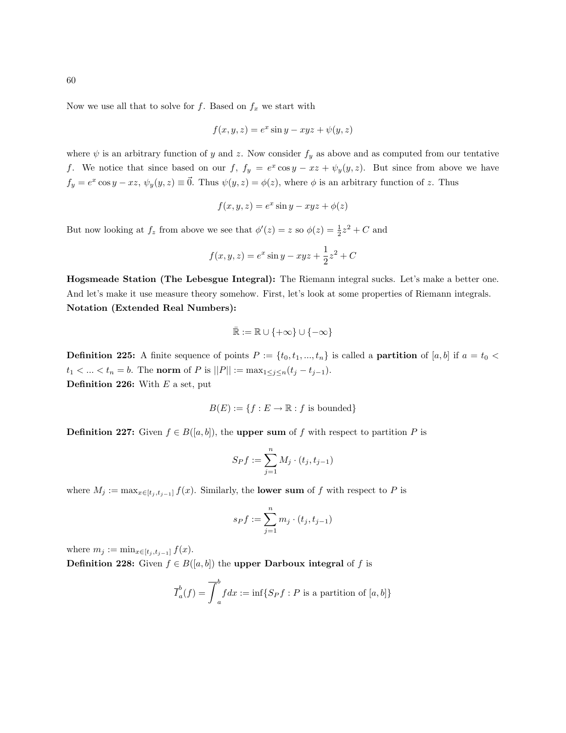Now we use all that to solve for f. Based on  $f_x$  we start with

$$
f(x, y, z) = e^x \sin y - xyz + \psi(y, z)
$$

where  $\psi$  is an arbitrary function of y and z. Now consider  $f_y$  as above and as computed from our tentative f. We notice that since based on our f,  $f_y = e^x \cos y - xz + \psi_y(y, z)$ . But since from above we have  $f_y = e^x \cos y - xz$ ,  $\psi_y(y, z) \equiv \vec{0}$ . Thus  $\psi(y, z) = \phi(z)$ , where  $\phi$  is an arbitrary function of z. Thus

$$
f(x, y, z) = e^x \sin y - xyz + \phi(z)
$$

But now looking at  $f_z$  from above we see that  $\phi'(z) = z$  so  $\phi(z) = \frac{1}{2}z^2 + C$  and

$$
f(x, y, z) = e^x \sin y - xyz + \frac{1}{2}z^2 + C
$$

Hogsmeade Station (The Lebesgue Integral): The Riemann integral sucks. Let's make a better one. And let's make it use measure theory somehow. First, let's look at some properties of Riemann integrals. Notation (Extended Real Numbers):

$$
\bar{\mathbb{R}} := \mathbb{R} \cup \{+\infty\} \cup \{-\infty\}
$$

**Definition 225:** A finite sequence of points  $P := \{t_0, t_1, ..., t_n\}$  is called a **partition** of [a, b] if  $a = t_0 <$  $t_1 < ... < t_n = b$ . The norm of P is  $||P|| := \max_{1 \le j \le n} (t_j - t_{j-1}).$ **Definition 226:** With  $E$  a set, put

$$
B(E) := \{ f : E \to \mathbb{R} : f \text{ is bounded} \}
$$

**Definition 227:** Given  $f \in B([a, b])$ , the **upper sum** of f with respect to partition P is

$$
S_P f := \sum_{j=1}^n M_j \cdot (t_j, t_{j-1})
$$

where  $M_j := \max_{x \in [t_j, t_{j-1}]} f(x)$ . Similarly, the lower sum of f with respect to P is

$$
s_Pf:=\sum_{j=1}^n m_j\cdot (t_j,t_{j-1})
$$

where  $m_j := \min_{x \in [t_j, t_{j-1}]} f(x)$ .

**Definition 228:** Given  $f \in B([a, b])$  the upper **Darboux integral** of f is

$$
\overline{I}_a^b(f) = \overline{\int}_a^b f dx := \inf\{S_P f : P \text{ is a partition of } [a, b]\}
$$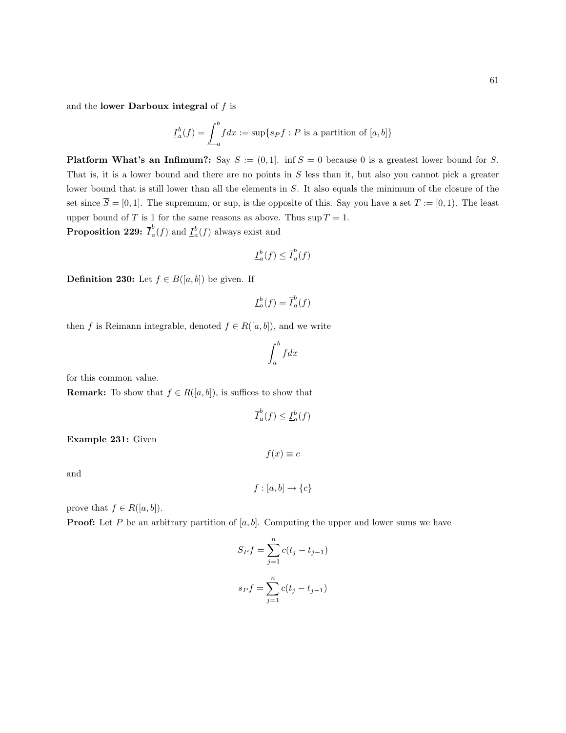and the lower Darboux integral of  $f$  is

$$
\underline{I}_a^b(f) = \underline{\int}_a^b f dx := \sup\{s_P f : P \text{ is a partition of } [a, b]\}
$$

**Platform What's an Infimum?:** Say  $S := (0, 1]$ . inf  $S = 0$  because 0 is a greatest lower bound for S. That is, it is a lower bound and there are no points in  $S$  less than it, but also you cannot pick a greater lower bound that is still lower than all the elements in S. It also equals the minimum of the closure of the set since  $\overline{S} = [0, 1]$ . The supremum, or sup, is the opposite of this. Say you have a set  $T := [0, 1]$ . The least upper bound of T is 1 for the same reasons as above. Thus  $\sup T = 1$ .

Proposition 229:  $\overline{I}_{a}^{b}$  $a<sup>b</sup>(f)$  and  $\underline{I}_{a}^{b}(f)$  always exist and

$$
\underline{I}_a^b(f) \le \overline{I}_a^b(f)
$$

**Definition 230:** Let  $f \in B([a, b])$  be given. If

$$
\underline{I}_a^b(f) = \overline{I}_a^b(f)
$$

then f is Reimann integrable, denoted  $f \in R([a, b])$ , and we write

$$
\int_a^b f dx
$$

for this common value.

**Remark:** To show that  $f \in R([a, b])$ , is suffices to show that

$$
\overline{I}_a^b(f) \le \underline{I}_a^b(f)
$$

Example 231: Given

and

$$
f:[a,b]\to\{c\}
$$

 $f(x) \equiv c$ 

prove that  $f \in R([a, b]).$ 

**Proof:** Let P be an arbitrary partition of [a, b]. Computing the upper and lower sums we have

$$
S_P f = \sum_{j=1}^{n} c(t_j - t_{j-1})
$$

$$
s_P f = \sum_{j=1}^{n} c(t_j - t_{j-1})
$$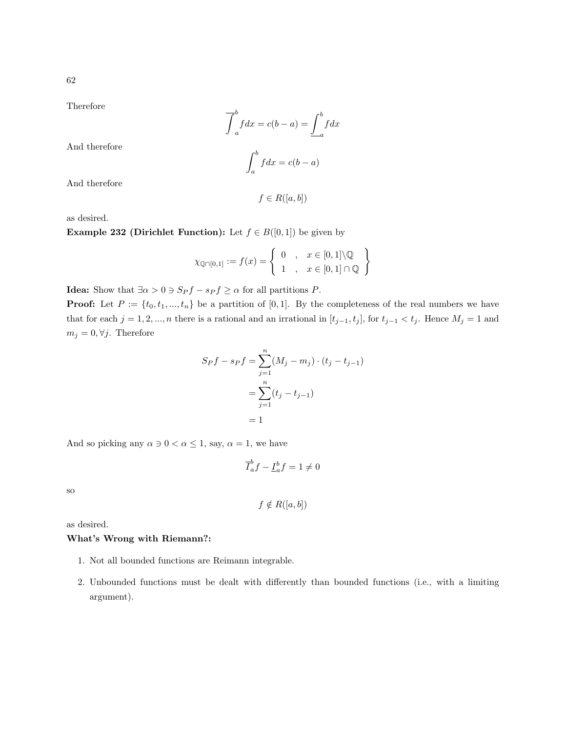Therefore

$$
\overline{\int}_{a}^{b} f dx = c(b - a) = \underline{\int}_{a}^{b} f dx
$$

$$
\int_{a}^{b} f dx = c(b - a)
$$

And therefore

And therefore

 $f \in R([a, b])$ 

as desired.

**Example 232 (Dirichlet Function):** Let  $f \in B([0,1])$  be given by

$$
\chi_{\mathbb{Q}\cap[0,1]} := f(x) = \left\{ \begin{array}{ll} 0 & , & x \in [0,1] \backslash \mathbb{Q} \\ 1 & , & x \in [0,1] \cap \mathbb{Q} \end{array} \right\}
$$

**Idea:** Show that  $\exists \alpha > 0 \ni S_P f - s_P f \geq \alpha$  for all partitions P.

**Proof:** Let  $P := \{t_0, t_1, ..., t_n\}$  be a partition of [0,1]. By the completeness of the real numbers we have that for each  $j = 1, 2, ..., n$  there is a rational and an irrational in  $[t_{j-1}, t_j]$ , for  $t_{j-1} < t_j$ . Hence  $M_j = 1$  and  $m_j = 0, \forall j$ . Therefore

$$
S_P f - s_P f = \sum_{j=1}^{n} (M_j - m_j) \cdot (t_j - t_{j-1})
$$
  
= 
$$
\sum_{j=1}^{n} (t_j - t_{j-1})
$$
  
= 1

And so picking any  $\alpha \ni 0 < \alpha \leq 1$ , say,  $\alpha = 1$ , we have

$$
\overline{I}_a^b f - \underline{I}_a^b f = 1 \neq 0
$$

so

$$
f \notin R([a, b])
$$

as desired.

## What's Wrong with Riemann?:

- 1. Not all bounded functions are Reimann integrable.
- 2. Unbounded functions must be dealt with differently than bounded functions (i.e., with a limiting argument).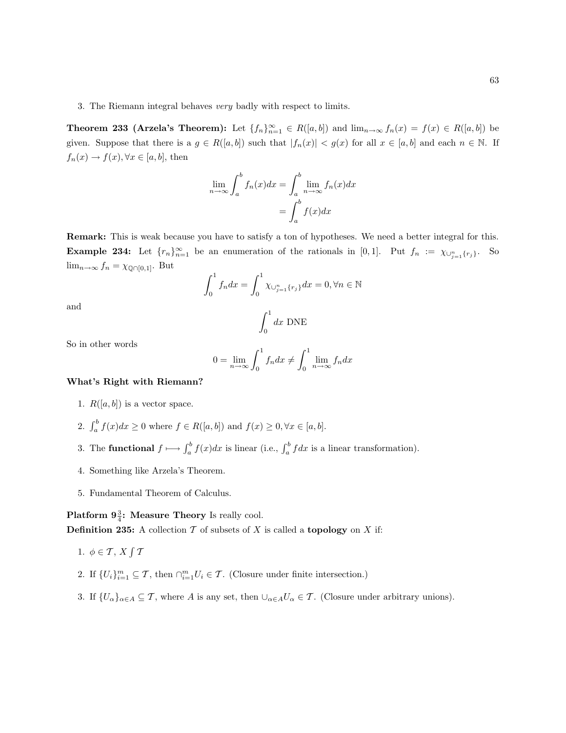3. The Riemann integral behaves very badly with respect to limits.

**Theorem 233 (Arzela's Theorem):** Let  $\{f_n\}_{n=1}^{\infty} \in R([a, b])$  and  $\lim_{n\to\infty} f_n(x) = f(x) \in R([a, b])$  be given. Suppose that there is a  $g \in R([a, b])$  such that  $|f_n(x)| < g(x)$  for all  $x \in [a, b]$  and each  $n \in \mathbb{N}$ . If  $f_n(x) \to f(x), \forall x \in [a, b],$  then

$$
\lim_{n \to \infty} \int_{a}^{b} f_n(x) dx = \int_{a}^{b} \lim_{n \to \infty} f_n(x) dx
$$

$$
= \int_{a}^{b} f(x) dx
$$

Remark: This is weak because you have to satisfy a ton of hypotheses. We need a better integral for this. **Example 234:** Let  $\{r_n\}_{n=1}^{\infty}$  be an enumeration of the rationals in [0,1]. Put  $f_n := \chi_{\cup_{j=1}^n \{r_j\}}$ . So  $\lim_{n\to\infty} f_n = \chi_{\mathbb{Q}\cap[0,1]}$ . But

$$
\int_0^1 f_n dx = \int_0^1 \chi_{\cup_{j=1}^n \{r_j\}} dx = 0, \forall n \in \mathbb{N}
$$

and

$$
\int_0^1 dx \text{ DNE}
$$

So in other words

$$
0 = \lim_{n \to \infty} \int_0^1 f_n dx \neq \int_0^1 \lim_{n \to \infty} f_n dx
$$

## What's Right with Riemann?

- 1.  $R([a, b])$  is a vector space.
- 2.  $\int_a^b f(x)dx \ge 0$  where  $f \in R([a, b])$  and  $f(x) \ge 0, \forall x \in [a, b]$ .
- 3. The **functional**  $f \mapsto \int_a^b f(x)dx$  is linear (i.e.,  $\int_a^b f(x)dx$  is a linear transformation).
- 4. Something like Arzela's Theorem.
- 5. Fundamental Theorem of Calculus.

Platform  $9\frac{3}{4}$ : Measure Theory Is really cool.

**Definition 235:** A collection  $\mathcal T$  of subsets of  $X$  is called a **topology** on  $X$  if:

- 1.  $\phi \in \mathcal{T}, X \int \mathcal{T}$
- 2. If  $\{U_i\}_{i=1}^m \subseteq \mathcal{T}$ , then  $\bigcap_{i=1}^m U_i \in \mathcal{T}$ . (Closure under finite intersection.)
- 3. If  $\{U_{\alpha}\}_{{\alpha}\in A}\subseteq T$ , where A is any set, then  $\bigcup_{{\alpha}\in A}U_{\alpha}\in T$ . (Closure under arbitrary unions).